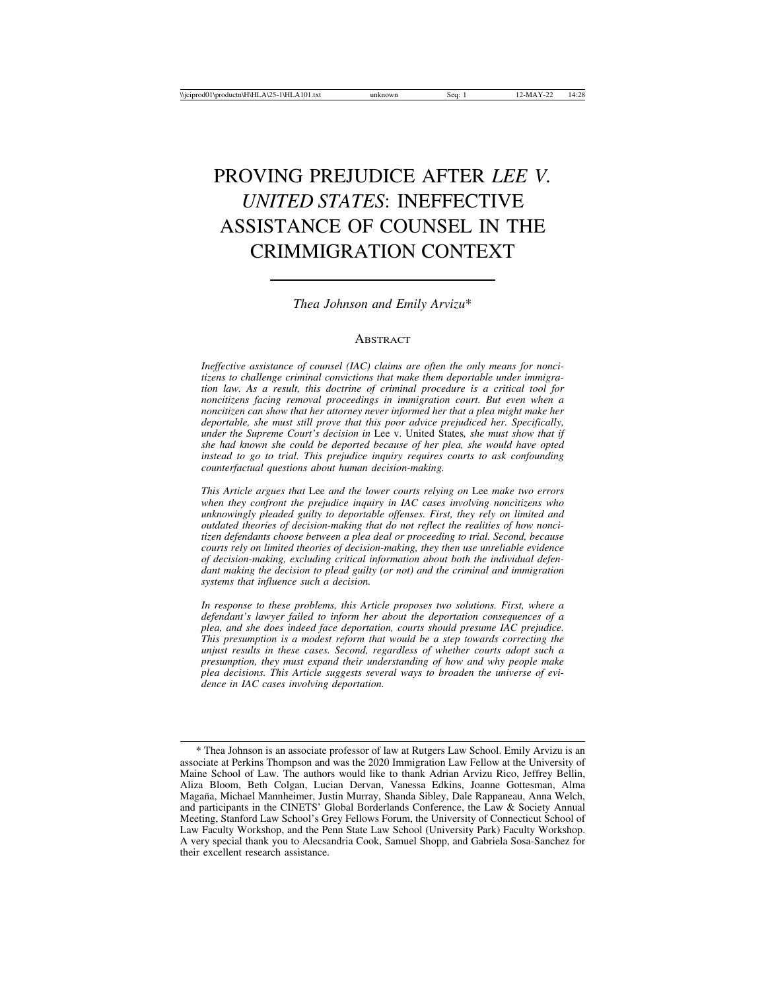# PROVING PREJUDICE AFTER *LEE V. UNITED STATES*: INEFFECTIVE ASSISTANCE OF COUNSEL IN THE CRIMMIGRATION CONTEXT

*Thea Johnson and Emily Arvizu*\*

#### **ABSTRACT**

*Ineffective assistance of counsel (IAC) claims are often the only means for noncitizens to challenge criminal convictions that make them deportable under immigration law. As a result, this doctrine of criminal procedure is a critical tool for noncitizens facing removal proceedings in immigration court. But even when a noncitizen can show that her attorney never informed her that a plea might make her deportable, she must still prove that this poor advice prejudiced her. Specifically, under the Supreme Court's decision in* Lee v. United States*, she must show that if she had known she could be deported because of her plea, she would have opted instead to go to trial. This prejudice inquiry requires courts to ask confounding counterfactual questions about human decision-making.*

*This Article argues that* Lee *and the lower courts relying on* Lee *make two errors when they confront the prejudice inquiry in IAC cases involving noncitizens who unknowingly pleaded guilty to deportable offenses. First, they rely on limited and outdated theories of decision-making that do not reflect the realities of how noncitizen defendants choose between a plea deal or proceeding to trial. Second, because courts rely on limited theories of decision-making, they then use unreliable evidence of decision-making, excluding critical information about both the individual defendant making the decision to plead guilty (or not) and the criminal and immigration systems that influence such a decision.*

*In response to these problems, this Article proposes two solutions. First, where a defendant's lawyer failed to inform her about the deportation consequences of a plea, and she does indeed face deportation, courts should presume IAC prejudice. This presumption is a modest reform that would be a step towards correcting the unjust results in these cases. Second, regardless of whether courts adopt such a presumption, they must expand their understanding of how and why people make plea decisions. This Article suggests several ways to broaden the universe of evidence in IAC cases involving deportation.*

<sup>\*</sup> Thea Johnson is an associate professor of law at Rutgers Law School. Emily Arvizu is an associate at Perkins Thompson and was the 2020 Immigration Law Fellow at the University of Maine School of Law. The authors would like to thank Adrian Arvizu Rico, Jeffrey Bellin, Aliza Bloom, Beth Colgan, Lucian Dervan, Vanessa Edkins, Joanne Gottesman, Alma Magaña, Michael Mannheimer, Justin Murray, Shanda Sibley, Dale Rappaneau, Anna Welch, and participants in the CINETS' Global Borderlands Conference, the Law & Society Annual Meeting, Stanford Law School's Grey Fellows Forum, the University of Connecticut School of Law Faculty Workshop, and the Penn State Law School (University Park) Faculty Workshop. A very special thank you to Alecsandria Cook, Samuel Shopp, and Gabriela Sosa-Sanchez for their excellent research assistance.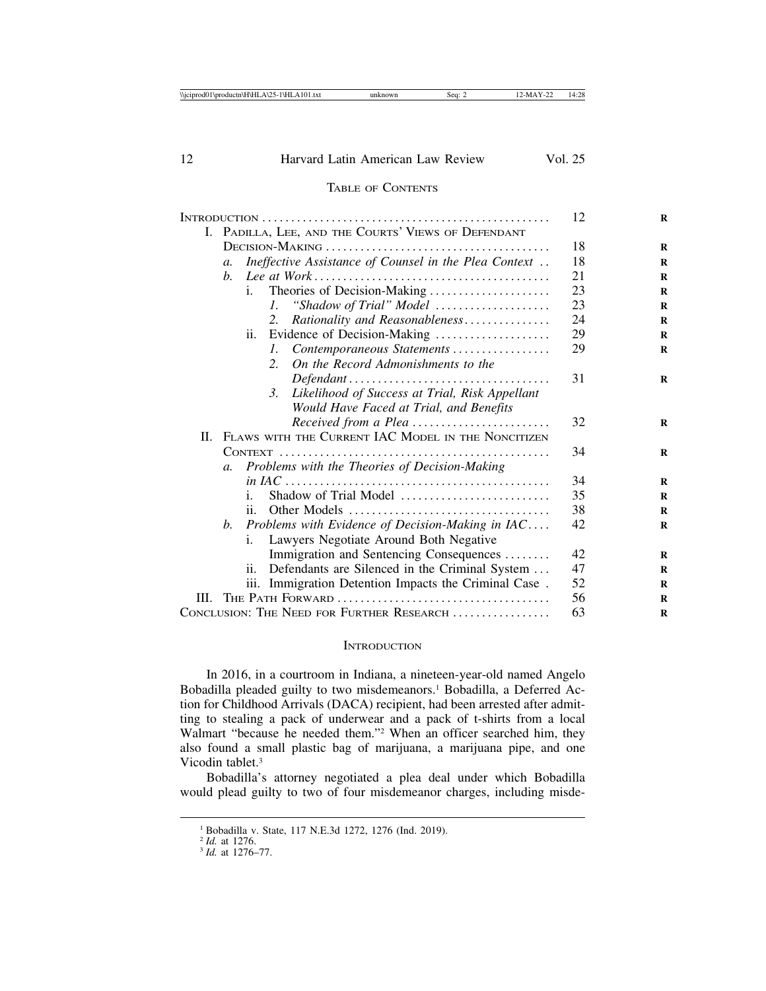# TABLE OF CONTENTS

|                                           |                                                        |                                                                                         | 12 |
|-------------------------------------------|--------------------------------------------------------|-----------------------------------------------------------------------------------------|----|
|                                           | I. PADILLA, LEE, AND THE COURTS' VIEWS OF DEFENDANT    |                                                                                         |    |
|                                           |                                                        |                                                                                         | 18 |
|                                           | $a$ .                                                  | Ineffective Assistance of Counsel in the Plea Context                                   | 18 |
|                                           | $h_{-}$                                                |                                                                                         | 21 |
|                                           |                                                        | Theories of Decision-Making<br>i.                                                       | 23 |
|                                           |                                                        | "Shadow of Trial" Model<br>$\mathcal{L}$                                                | 23 |
|                                           |                                                        | Rationality and Reasonableness<br>2.                                                    | 24 |
|                                           |                                                        | Evidence of Decision-Making<br>ii.                                                      | 29 |
|                                           |                                                        | Contemporaneous Statements<br>$\mathcal{L}$                                             | 29 |
|                                           |                                                        | On the Record Admonishments to the<br>2.                                                |    |
|                                           |                                                        |                                                                                         | 31 |
|                                           |                                                        | Likelihood of Success at Trial, Risk Appellant<br>3.                                    |    |
|                                           |                                                        | Would Have Faced at Trial, and Benefits                                                 |    |
|                                           |                                                        | Received from a Plea                                                                    | 32 |
|                                           | II. FLAWS WITH THE CURRENT IAC MODEL IN THE NONCITIZEN |                                                                                         |    |
|                                           |                                                        |                                                                                         | 34 |
|                                           | $a_{\cdot}$                                            | Problems with the Theories of Decision-Making                                           |    |
|                                           |                                                        |                                                                                         | 34 |
|                                           |                                                        | Shadow of Trial Model<br>i.                                                             | 35 |
|                                           |                                                        | Other Models $\dots \dots \dots \dots \dots \dots \dots \dots \dots \dots \dots$<br>ii. | 38 |
|                                           | b.                                                     | Problems with Evidence of Decision-Making in $IAC$                                      | 42 |
|                                           |                                                        | Lawyers Negotiate Around Both Negative<br>i.                                            |    |
|                                           |                                                        | Immigration and Sentencing Consequences                                                 | 42 |
|                                           |                                                        | Defendants are Silenced in the Criminal System<br>ii.                                   | 47 |
|                                           |                                                        | iii. Immigration Detention Impacts the Criminal Case.                                   | 52 |
| III.                                      |                                                        |                                                                                         | 56 |
| CONCLUSION: THE NEED FOR FURTHER RESEARCH |                                                        |                                                                                         | 63 |
|                                           |                                                        |                                                                                         |    |

#### **INTRODUCTION**

In 2016, in a courtroom in Indiana, a nineteen-year-old named Angelo Bobadilla pleaded guilty to two misdemeanors.<sup>1</sup> Bobadilla, a Deferred Action for Childhood Arrivals (DACA) recipient, had been arrested after admitting to stealing a pack of underwear and a pack of t-shirts from a local Walmart "because he needed them."2 When an officer searched him, they also found a small plastic bag of marijuana, a marijuana pipe, and one Vicodin tablet<sup>3</sup>

Bobadilla's attorney negotiated a plea deal under which Bobadilla would plead guilty to two of four misdemeanor charges, including misde-

<sup>&</sup>lt;sup>1</sup> Bobadilla v. State, 117 N.E.3d 1272, 1276 (Ind. 2019).<br><sup>2</sup> Id. at 1276.

<sup>2</sup> *Id.* at 1276. <sup>3</sup> *Id.* at 1276–77.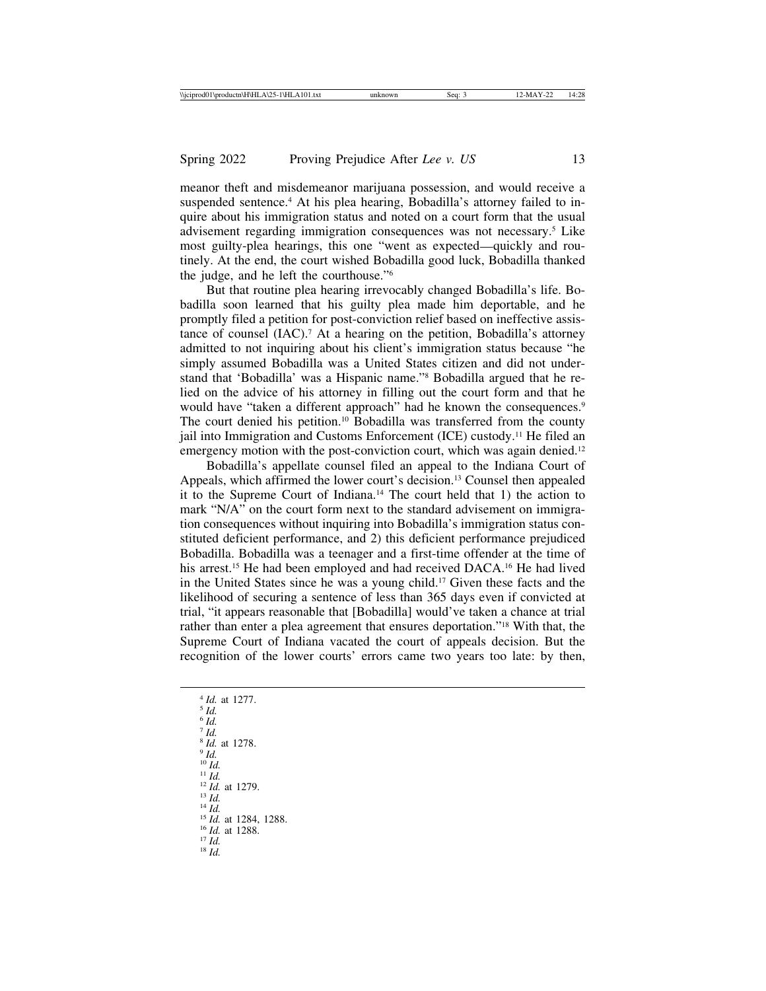meanor theft and misdemeanor marijuana possession, and would receive a suspended sentence.<sup>4</sup> At his plea hearing, Bobadilla's attorney failed to inquire about his immigration status and noted on a court form that the usual advisement regarding immigration consequences was not necessary.5 Like most guilty-plea hearings, this one "went as expected—quickly and routinely. At the end, the court wished Bobadilla good luck, Bobadilla thanked the judge, and he left the courthouse."6

But that routine plea hearing irrevocably changed Bobadilla's life. Bobadilla soon learned that his guilty plea made him deportable, and he promptly filed a petition for post-conviction relief based on ineffective assistance of counsel (IAC).<sup>7</sup> At a hearing on the petition, Bobadilla's attorney admitted to not inquiring about his client's immigration status because "he simply assumed Bobadilla was a United States citizen and did not understand that 'Bobadilla' was a Hispanic name."8 Bobadilla argued that he relied on the advice of his attorney in filling out the court form and that he would have "taken a different approach" had he known the consequences.<sup>9</sup> The court denied his petition.10 Bobadilla was transferred from the county jail into Immigration and Customs Enforcement (ICE) custody.11 He filed an emergency motion with the post-conviction court, which was again denied.<sup>12</sup>

Bobadilla's appellate counsel filed an appeal to the Indiana Court of Appeals, which affirmed the lower court's decision.13 Counsel then appealed it to the Supreme Court of Indiana.14 The court held that 1) the action to mark "N/A" on the court form next to the standard advisement on immigration consequences without inquiring into Bobadilla's immigration status constituted deficient performance, and 2) this deficient performance prejudiced Bobadilla. Bobadilla was a teenager and a first-time offender at the time of his arrest.<sup>15</sup> He had been employed and had received DACA.<sup>16</sup> He had lived in the United States since he was a young child.17 Given these facts and the likelihood of securing a sentence of less than 365 days even if convicted at trial, "it appears reasonable that [Bobadilla] would've taken a chance at trial rather than enter a plea agreement that ensures deportation."18 With that, the Supreme Court of Indiana vacated the court of appeals decision. But the recognition of the lower courts' errors came two years too late: by then,

<sup>4</sup> *Id.* at 1277. <sup>5</sup> *Id.* <sup>6</sup> *Id.*  $\overline{7}$   $\overline{1d}$ . <sup>8</sup> *Id.* at 1278.<br><sup>9</sup> *Id.* <sup>10</sup> *Id.* 11 *Id.* 12 *Id.* at 1279.<br>
<sup>13</sup> *Id.* 14 *Id.*<br>
<sup>14</sup> *Id.* at 1284, 1288.<br>
<sup>15</sup> *Id.* at 1288.<br>
<sup>17</sup> *Id.* 18 *Id.*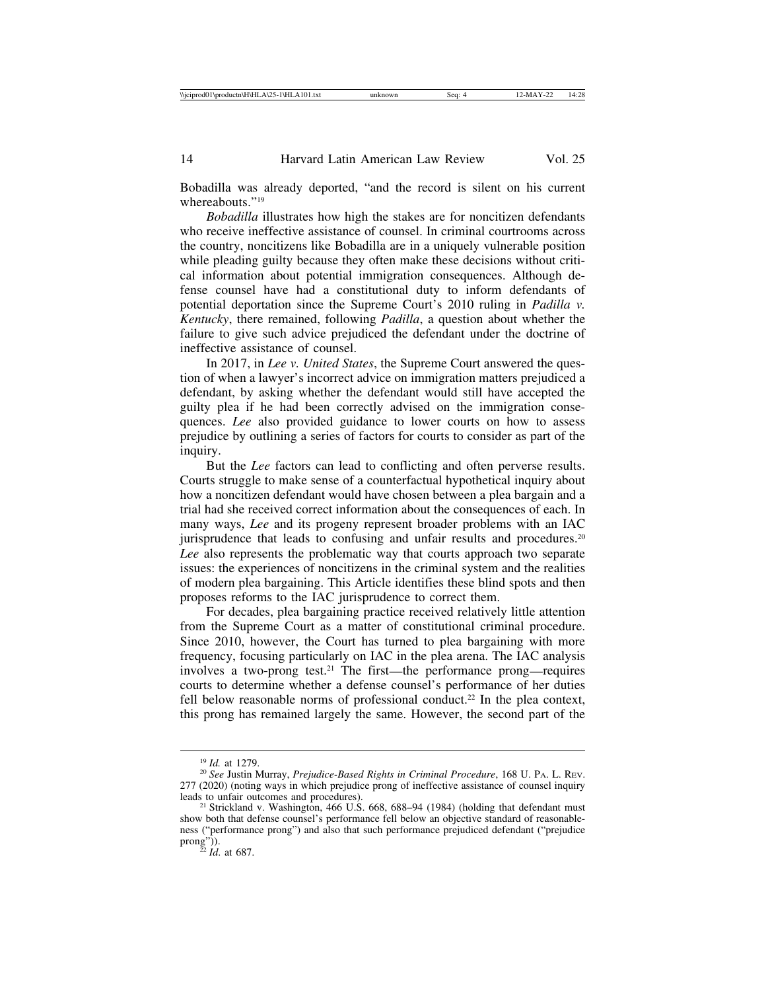Bobadilla was already deported, "and the record is silent on his current whereabouts."<sup>19</sup>

*Bobadilla* illustrates how high the stakes are for noncitizen defendants who receive ineffective assistance of counsel. In criminal courtrooms across the country, noncitizens like Bobadilla are in a uniquely vulnerable position while pleading guilty because they often make these decisions without critical information about potential immigration consequences. Although defense counsel have had a constitutional duty to inform defendants of potential deportation since the Supreme Court's 2010 ruling in *Padilla v. Kentucky*, there remained, following *Padilla*, a question about whether the failure to give such advice prejudiced the defendant under the doctrine of ineffective assistance of counsel.

In 2017, in *Lee v. United States*, the Supreme Court answered the question of when a lawyer's incorrect advice on immigration matters prejudiced a defendant, by asking whether the defendant would still have accepted the guilty plea if he had been correctly advised on the immigration consequences. *Lee* also provided guidance to lower courts on how to assess prejudice by outlining a series of factors for courts to consider as part of the inquiry.

But the *Lee* factors can lead to conflicting and often perverse results. Courts struggle to make sense of a counterfactual hypothetical inquiry about how a noncitizen defendant would have chosen between a plea bargain and a trial had she received correct information about the consequences of each. In many ways, *Lee* and its progeny represent broader problems with an IAC jurisprudence that leads to confusing and unfair results and procedures.<sup>20</sup> *Lee* also represents the problematic way that courts approach two separate issues: the experiences of noncitizens in the criminal system and the realities of modern plea bargaining. This Article identifies these blind spots and then proposes reforms to the IAC jurisprudence to correct them.

For decades, plea bargaining practice received relatively little attention from the Supreme Court as a matter of constitutional criminal procedure. Since 2010, however, the Court has turned to plea bargaining with more frequency, focusing particularly on IAC in the plea arena. The IAC analysis involves a two-prong test.<sup>21</sup> The first—the performance prong—requires courts to determine whether a defense counsel's performance of her duties fell below reasonable norms of professional conduct.<sup>22</sup> In the plea context, this prong has remained largely the same. However, the second part of the

<sup>19</sup> *Id.* at 1279. <sup>20</sup> *See* Justin Murray, *Prejudice-Based Rights in Criminal Procedure*, 168 U. PA. L. REV. 277 (2020) (noting ways in which prejudice prong of ineffective assistance of counsel inquiry

<sup>&</sup>lt;sup>21</sup> Strickland v. Washington, 466 U.S. 668, 688–94 (1984) (holding that defendant must show both that defense counsel's performance fell below an objective standard of reasonableness ("performance prong") and also that such performance prejudiced defendant ("prejudice prong")).<br> $\frac{22}{22}$ *Id.* at 687.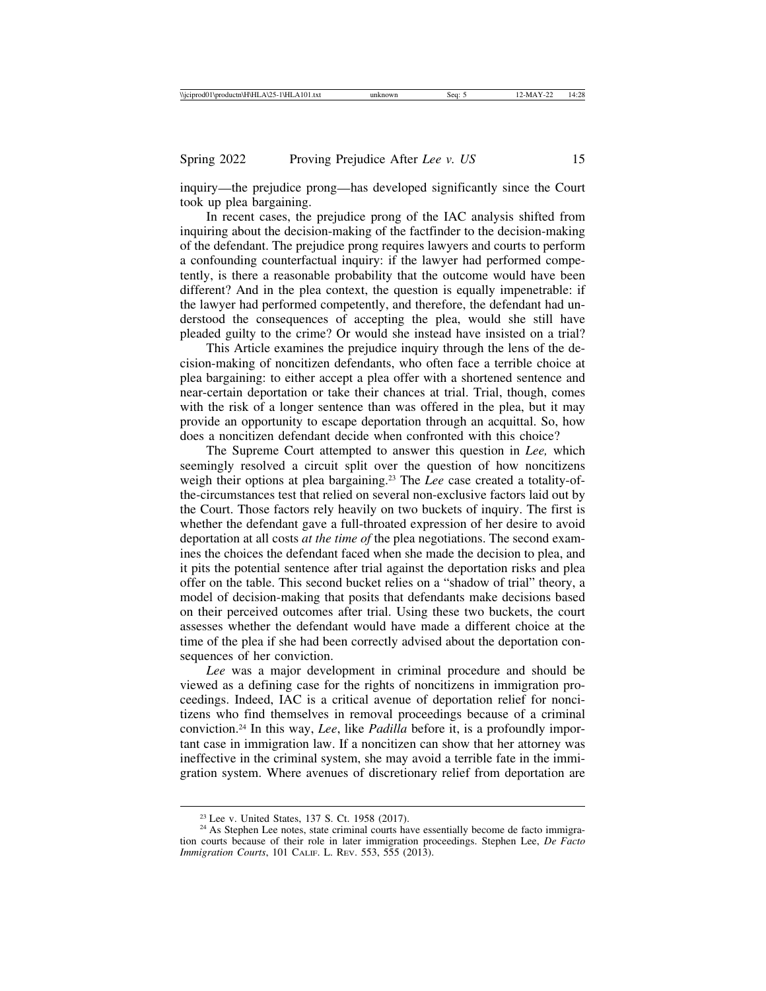inquiry—the prejudice prong—has developed significantly since the Court took up plea bargaining.

In recent cases, the prejudice prong of the IAC analysis shifted from inquiring about the decision-making of the factfinder to the decision-making of the defendant. The prejudice prong requires lawyers and courts to perform a confounding counterfactual inquiry: if the lawyer had performed competently, is there a reasonable probability that the outcome would have been different? And in the plea context, the question is equally impenetrable: if the lawyer had performed competently, and therefore, the defendant had understood the consequences of accepting the plea, would she still have pleaded guilty to the crime? Or would she instead have insisted on a trial?

This Article examines the prejudice inquiry through the lens of the decision-making of noncitizen defendants, who often face a terrible choice at plea bargaining: to either accept a plea offer with a shortened sentence and near-certain deportation or take their chances at trial. Trial, though, comes with the risk of a longer sentence than was offered in the plea, but it may provide an opportunity to escape deportation through an acquittal. So, how does a noncitizen defendant decide when confronted with this choice?

The Supreme Court attempted to answer this question in *Lee,* which seemingly resolved a circuit split over the question of how noncitizens weigh their options at plea bargaining.23 The *Lee* case created a totality-ofthe-circumstances test that relied on several non-exclusive factors laid out by the Court. Those factors rely heavily on two buckets of inquiry. The first is whether the defendant gave a full-throated expression of her desire to avoid deportation at all costs *at the time of* the plea negotiations. The second examines the choices the defendant faced when she made the decision to plea, and it pits the potential sentence after trial against the deportation risks and plea offer on the table. This second bucket relies on a "shadow of trial" theory, a model of decision-making that posits that defendants make decisions based on their perceived outcomes after trial. Using these two buckets, the court assesses whether the defendant would have made a different choice at the time of the plea if she had been correctly advised about the deportation consequences of her conviction.

*Lee* was a major development in criminal procedure and should be viewed as a defining case for the rights of noncitizens in immigration proceedings. Indeed, IAC is a critical avenue of deportation relief for noncitizens who find themselves in removal proceedings because of a criminal conviction.24 In this way, *Lee*, like *Padilla* before it, is a profoundly important case in immigration law. If a noncitizen can show that her attorney was ineffective in the criminal system, she may avoid a terrible fate in the immigration system. Where avenues of discretionary relief from deportation are

<sup>&</sup>lt;sup>23</sup> Lee v. United States, 137 S. Ct. 1958 (2017).<br><sup>24</sup> As Stephen Lee notes, state criminal courts have essentially become de facto immigration courts because of their role in later immigration proceedings. Stephen Lee, *De Facto Immigration Courts*, 101 CALIF. L. REV. 553, 555 (2013).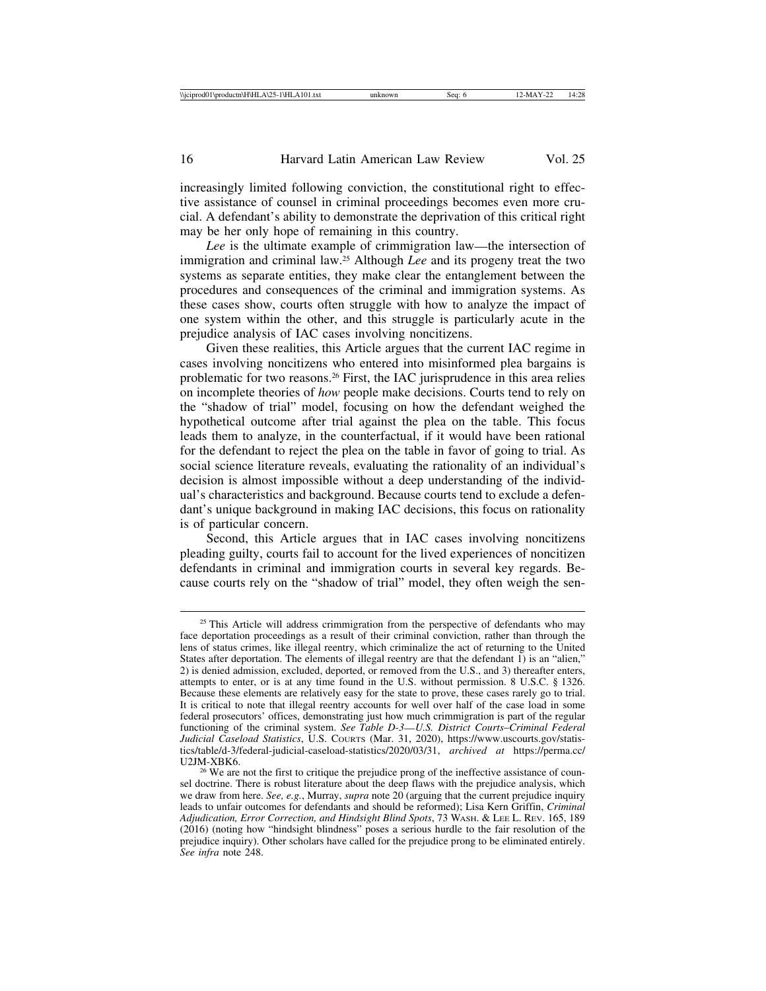increasingly limited following conviction, the constitutional right to effective assistance of counsel in criminal proceedings becomes even more crucial. A defendant's ability to demonstrate the deprivation of this critical right may be her only hope of remaining in this country.

*Lee* is the ultimate example of crimmigration law—the intersection of immigration and criminal law.25 Although *Lee* and its progeny treat the two systems as separate entities, they make clear the entanglement between the procedures and consequences of the criminal and immigration systems. As these cases show, courts often struggle with how to analyze the impact of one system within the other, and this struggle is particularly acute in the prejudice analysis of IAC cases involving noncitizens.

Given these realities, this Article argues that the current IAC regime in cases involving noncitizens who entered into misinformed plea bargains is problematic for two reasons.<sup>26</sup> First, the IAC jurisprudence in this area relies on incomplete theories of *how* people make decisions. Courts tend to rely on the "shadow of trial" model, focusing on how the defendant weighed the hypothetical outcome after trial against the plea on the table. This focus leads them to analyze, in the counterfactual, if it would have been rational for the defendant to reject the plea on the table in favor of going to trial. As social science literature reveals, evaluating the rationality of an individual's decision is almost impossible without a deep understanding of the individual's characteristics and background. Because courts tend to exclude a defendant's unique background in making IAC decisions, this focus on rationality is of particular concern.

Second, this Article argues that in IAC cases involving noncitizens pleading guilty, courts fail to account for the lived experiences of noncitizen defendants in criminal and immigration courts in several key regards. Because courts rely on the "shadow of trial" model, they often weigh the sen-

<sup>&</sup>lt;sup>25</sup> This Article will address crimmigration from the perspective of defendants who may face deportation proceedings as a result of their criminal conviction, rather than through the lens of status crimes, like illegal reentry, which criminalize the act of returning to the United States after deportation. The elements of illegal reentry are that the defendant 1) is an "alien," 2) is denied admission, excluded, deported, or removed from the U.S., and 3) thereafter enters, attempts to enter, or is at any time found in the U.S. without permission. 8 U.S.C. § 1326. Because these elements are relatively easy for the state to prove, these cases rarely go to trial. It is critical to note that illegal reentry accounts for well over half of the case load in some federal prosecutors' offices, demonstrating just how much crimmigration is part of the regular functioning of the criminal system. *See Table D-3*—*U.S. District Courts*–*Criminal Federal Judicial Caseload Statistics*, U.S. COURTS (Mar. 31, 2020), https://www.uscourts.gov/statistics/table/d-3/federal-judicial-caseload-statistics/2020/03/31, *archived at* https://perma.cc/

<sup>&</sup>lt;sup>26</sup> We are not the first to critique the prejudice prong of the ineffective assistance of counsel doctrine. There is robust literature about the deep flaws with the prejudice analysis, which we draw from here. *See, e.g.*, Murray, *supra* note 20 (arguing that the current prejudice inquiry leads to unfair outcomes for defendants and should be reformed); Lisa Kern Griffin, *Criminal Adjudication, Error Correction, and Hindsight Blind Spots*, 73 WASH. & LEE L. REV. 165, 189 (2016) (noting how "hindsight blindness" poses a serious hurdle to the fair resolution of the prejudice inquiry). Other scholars have called for the prejudice prong to be eliminated entirely. *See infra* note 248.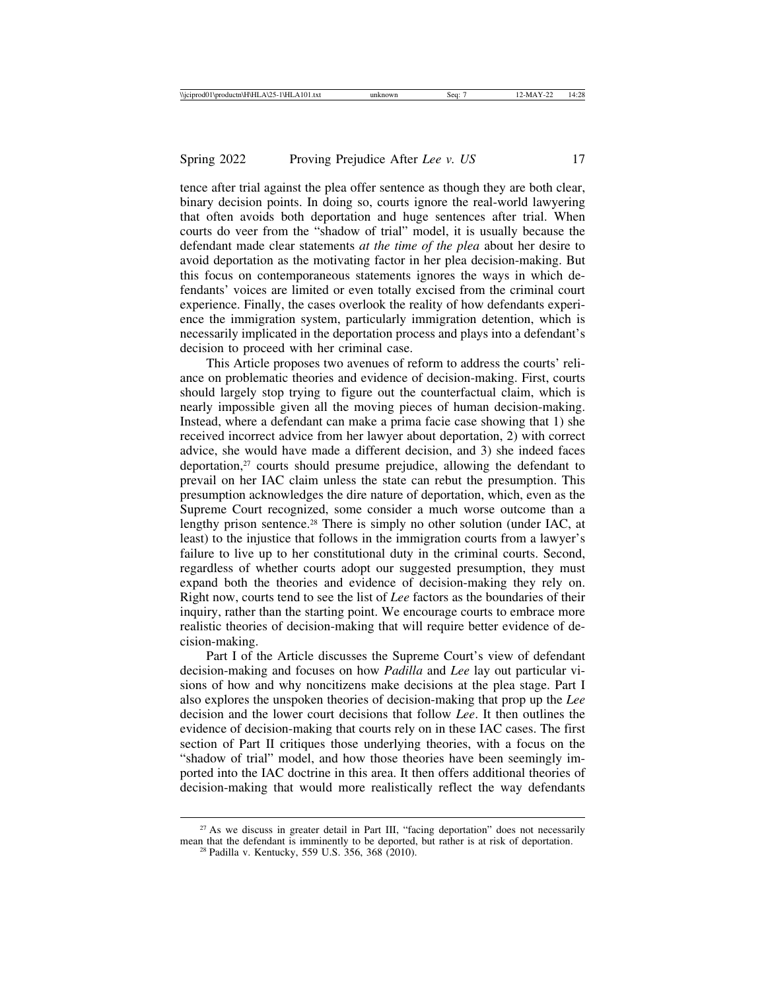tence after trial against the plea offer sentence as though they are both clear, binary decision points. In doing so, courts ignore the real-world lawyering that often avoids both deportation and huge sentences after trial. When courts do veer from the "shadow of trial" model, it is usually because the defendant made clear statements *at the time of the plea* about her desire to avoid deportation as the motivating factor in her plea decision-making. But this focus on contemporaneous statements ignores the ways in which defendants' voices are limited or even totally excised from the criminal court experience. Finally, the cases overlook the reality of how defendants experience the immigration system, particularly immigration detention, which is necessarily implicated in the deportation process and plays into a defendant's decision to proceed with her criminal case.

This Article proposes two avenues of reform to address the courts' reliance on problematic theories and evidence of decision-making. First, courts should largely stop trying to figure out the counterfactual claim, which is nearly impossible given all the moving pieces of human decision-making. Instead, where a defendant can make a prima facie case showing that 1) she received incorrect advice from her lawyer about deportation, 2) with correct advice, she would have made a different decision, and 3) she indeed faces deportation,27 courts should presume prejudice, allowing the defendant to prevail on her IAC claim unless the state can rebut the presumption. This presumption acknowledges the dire nature of deportation, which, even as the Supreme Court recognized, some consider a much worse outcome than a lengthy prison sentence.<sup>28</sup> There is simply no other solution (under IAC, at least) to the injustice that follows in the immigration courts from a lawyer's failure to live up to her constitutional duty in the criminal courts. Second, regardless of whether courts adopt our suggested presumption, they must expand both the theories and evidence of decision-making they rely on. Right now, courts tend to see the list of *Lee* factors as the boundaries of their inquiry, rather than the starting point. We encourage courts to embrace more realistic theories of decision-making that will require better evidence of decision-making.

Part I of the Article discusses the Supreme Court's view of defendant decision-making and focuses on how *Padilla* and *Lee* lay out particular visions of how and why noncitizens make decisions at the plea stage. Part I also explores the unspoken theories of decision-making that prop up the *Lee* decision and the lower court decisions that follow *Lee*. It then outlines the evidence of decision-making that courts rely on in these IAC cases. The first section of Part II critiques those underlying theories, with a focus on the "shadow of trial" model, and how those theories have been seemingly imported into the IAC doctrine in this area. It then offers additional theories of decision-making that would more realistically reflect the way defendants

 $27$  As we discuss in greater detail in Part III, "facing deportation" does not necessarily mean that the defendant is imminently to be deported, but rather is at risk of deportation. <sup>28</sup> Padilla v. Kentucky, 559 U.S. 356, 368 (2010).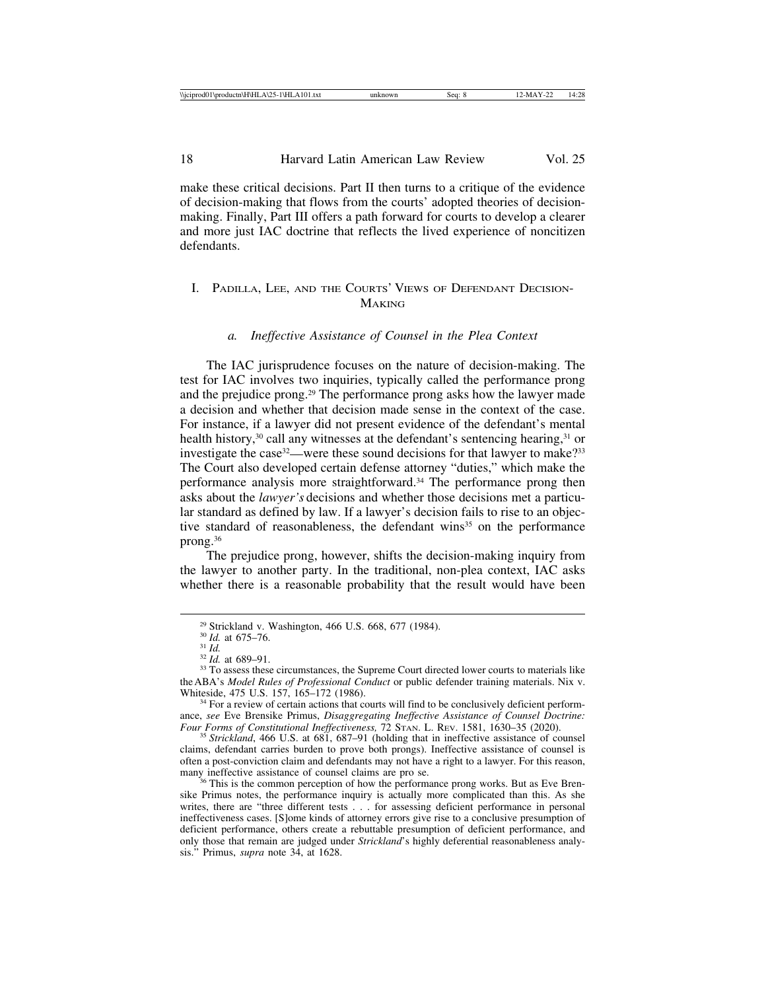make these critical decisions. Part II then turns to a critique of the evidence of decision-making that flows from the courts' adopted theories of decisionmaking. Finally, Part III offers a path forward for courts to develop a clearer and more just IAC doctrine that reflects the lived experience of noncitizen defendants.

# I. PADILLA, LEE, AND THE COURTS' VIEWS OF DEFENDANT DECISION-**MAKING**

### *a. Ineffective Assistance of Counsel in the Plea Context*

The IAC jurisprudence focuses on the nature of decision-making. The test for IAC involves two inquiries, typically called the performance prong and the prejudice prong.29 The performance prong asks how the lawyer made a decision and whether that decision made sense in the context of the case. For instance, if a lawyer did not present evidence of the defendant's mental health history,<sup>30</sup> call any witnesses at the defendant's sentencing hearing,<sup>31</sup> or investigate the case<sup>32</sup>—were these sound decisions for that lawyer to make?<sup>33</sup> The Court also developed certain defense attorney "duties," which make the performance analysis more straightforward.34 The performance prong then asks about the *lawyer's* decisions and whether those decisions met a particular standard as defined by law. If a lawyer's decision fails to rise to an objective standard of reasonableness, the defendant wins<sup>35</sup> on the performance prong.36

The prejudice prong, however, shifts the decision-making inquiry from the lawyer to another party. In the traditional, non-plea context, IAC asks whether there is a reasonable probability that the result would have been

<sup>&</sup>lt;sup>29</sup> Strickland v. Washington, 466 U.S. 668, 677 (1984).<br><sup>30</sup> *Id.* at 675–76.<br><sup>31</sup> *Id.* 32 *Id.* at 689–91.<br><sup>33</sup> To assess these circumstances, the Supreme Court directed lower courts to materials like the ABA's *Model Rules of Professional Conduct* or public defender training materials. Nix v.

<sup>&</sup>lt;sup>34</sup> For a review of certain actions that courts will find to be conclusively deficient performance, *see* Eve Brensike Primus, *Disaggregating Ineffective Assistance of Counsel Doctrine: Four Forms of Constitutional Ineffectiveness,* 72 STAN. L. REV. 1581, 1630–35 (2020). <sup>35</sup> *Strickland*, 466 U.S. at 681, 687–91 (holding that in ineffective assistance of counsel

claims, defendant carries burden to prove both prongs). Ineffective assistance of counsel is often a post-conviction claim and defendants may not have a right to a lawyer. For this reason, many ineffective assistance of counsel claims are pro se.

<sup>&</sup>lt;sup>36</sup> This is the common perception of how the performance prong works. But as Eve Brensike Primus notes, the performance inquiry is actually more complicated than this. As she writes, there are "three different tests . . . for assessing deficient performance in personal ineffectiveness cases. [S]ome kinds of attorney errors give rise to a conclusive presumption of deficient performance, others create a rebuttable presumption of deficient performance, and only those that remain are judged under *Strickland*'s highly deferential reasonableness analysis." Primus, *supra* note 34, at 1628.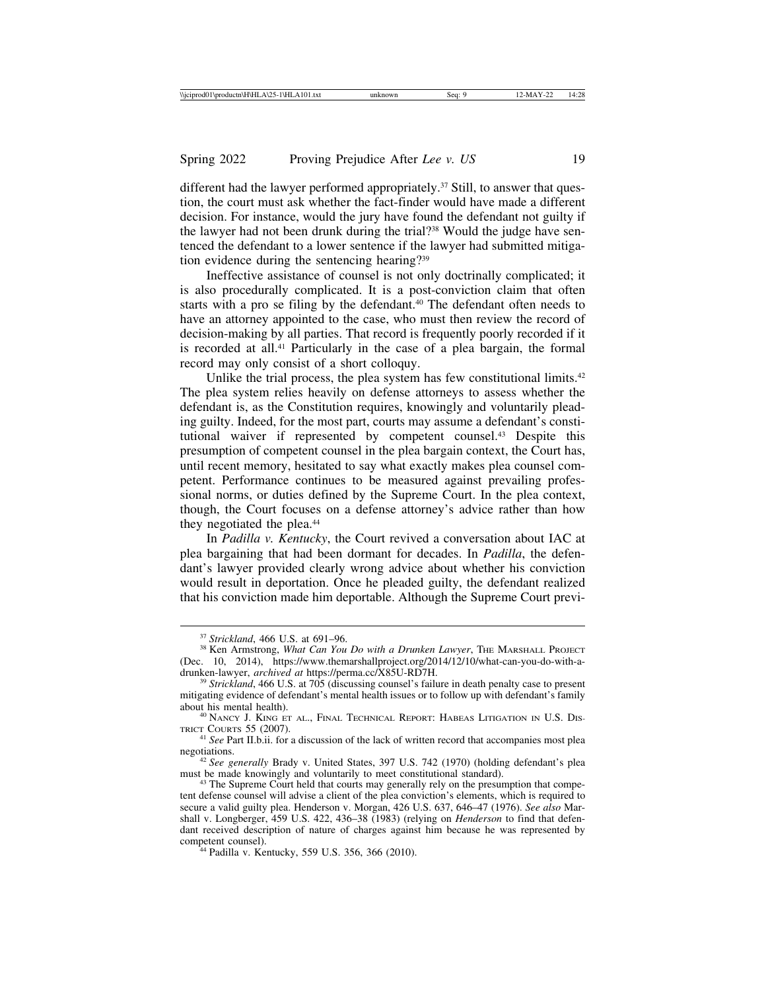different had the lawyer performed appropriately.37 Still, to answer that question, the court must ask whether the fact-finder would have made a different decision. For instance, would the jury have found the defendant not guilty if the lawyer had not been drunk during the trial?38 Would the judge have sentenced the defendant to a lower sentence if the lawyer had submitted mitigation evidence during the sentencing hearing?39

Ineffective assistance of counsel is not only doctrinally complicated; it is also procedurally complicated. It is a post-conviction claim that often starts with a pro se filing by the defendant.<sup>40</sup> The defendant often needs to have an attorney appointed to the case, who must then review the record of decision-making by all parties. That record is frequently poorly recorded if it is recorded at all.41 Particularly in the case of a plea bargain, the formal record may only consist of a short colloquy.

Unlike the trial process, the plea system has few constitutional limits.<sup>42</sup> The plea system relies heavily on defense attorneys to assess whether the defendant is, as the Constitution requires, knowingly and voluntarily pleading guilty. Indeed, for the most part, courts may assume a defendant's constitutional waiver if represented by competent counsel.43 Despite this presumption of competent counsel in the plea bargain context, the Court has, until recent memory, hesitated to say what exactly makes plea counsel competent. Performance continues to be measured against prevailing professional norms, or duties defined by the Supreme Court. In the plea context, though, the Court focuses on a defense attorney's advice rather than how they negotiated the plea.<sup>44</sup>

In *Padilla v. Kentucky*, the Court revived a conversation about IAC at plea bargaining that had been dormant for decades. In *Padilla*, the defendant's lawyer provided clearly wrong advice about whether his conviction would result in deportation. Once he pleaded guilty, the defendant realized that his conviction made him deportable. Although the Supreme Court previ-

<sup>&</sup>lt;sup>37</sup> *Strickland*, 466 U.S. at 691–96.<br><sup>38</sup> Ken Armstrong, *What Can You Do with a Drunken Lawyer*, THE MARSHALL PROJECT (Dec. 10, 2014), https://www.themarshallproject.org/2014/12/10/what-can-you-do-with-a-<br>drunken-lawyer, *archived at* https://perma.cc/X85U-RD7H.

<sup>&</sup>lt;sup>39</sup> Strickland, 466 U.S. at 705 (discussing counsel's failure in death penalty case to present mitigating evidence of defendant's mental health issues or to follow up with defendant's family

 $^{40}\,$  NANCY J. KING ET AL., FINAL TECHNICAL REPORT: HABEAS LITIGATION IN U.S. DISTRICT COURTS 55 (2007).

<sup>&</sup>lt;sup>41</sup> *See* Part II.b.ii. for a discussion of the lack of written record that accompanies most plea negotiations.

<sup>&</sup>lt;sup>42</sup> *See generally* Brady v. United States, 397 U.S. 742 (1970) (holding defendant's plea must be made knowingly and voluntarily to meet constitutional standard).

<sup>&</sup>lt;sup>43</sup> The Supreme Court held that courts may generally rely on the presumption that competent defense counsel will advise a client of the plea conviction's elements, which is required to secure a valid guilty plea. Henderson v. Morgan, 426 U.S. 637, 646–47 (1976). *See also* Marshall v. Longberger, 459 U.S. 422, 436–38 (1983) (relying on *Henderson* to find that defendant received description of nature of charges against him because he was represented by

<sup>&</sup>lt;sup>44</sup> Padilla v. Kentucky, 559 U.S. 356, 366 (2010).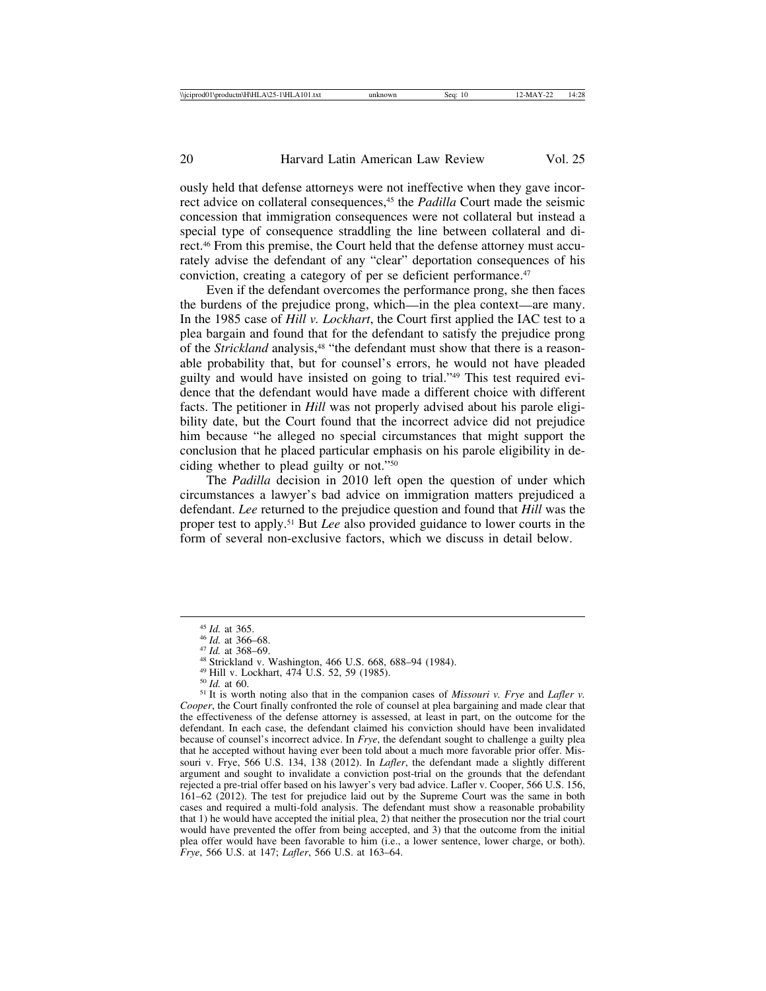ously held that defense attorneys were not ineffective when they gave incorrect advice on collateral consequences,<sup>45</sup> the *Padilla* Court made the seismic concession that immigration consequences were not collateral but instead a special type of consequence straddling the line between collateral and direct.46 From this premise, the Court held that the defense attorney must accurately advise the defendant of any "clear" deportation consequences of his conviction, creating a category of per se deficient performance.47

Even if the defendant overcomes the performance prong, she then faces the burdens of the prejudice prong, which—in the plea context—are many. In the 1985 case of *Hill v. Lockhart*, the Court first applied the IAC test to a plea bargain and found that for the defendant to satisfy the prejudice prong of the *Strickland* analysis,<sup>48</sup> "the defendant must show that there is a reasonable probability that, but for counsel's errors, he would not have pleaded guilty and would have insisted on going to trial."49 This test required evidence that the defendant would have made a different choice with different facts. The petitioner in *Hill* was not properly advised about his parole eligibility date, but the Court found that the incorrect advice did not prejudice him because "he alleged no special circumstances that might support the conclusion that he placed particular emphasis on his parole eligibility in deciding whether to plead guilty or not."50

The *Padilla* decision in 2010 left open the question of under which circumstances a lawyer's bad advice on immigration matters prejudiced a defendant. *Lee* returned to the prejudice question and found that *Hill* was the proper test to apply.51 But *Lee* also provided guidance to lower courts in the form of several non-exclusive factors, which we discuss in detail below.

<sup>&</sup>lt;sup>45</sup> *Id.* at 365.<br><sup>46</sup> *Id.* at 366–68.<br><sup>47</sup> *Id.* at 368–69.<br><sup>48</sup> Strickland v. Washington, 466 U.S. 668, 688–94 (1984).<br><sup>49</sup> Hill v. Lockhart, 474 U.S. 52, 59 (1985).<br><sup>50</sup> *Id.* at 60.<br><sup>51</sup> It is worth noting also that *Cooper*, the Court finally confronted the role of counsel at plea bargaining and made clear that the effectiveness of the defense attorney is assessed, at least in part, on the outcome for the defendant. In each case, the defendant claimed his conviction should have been invalidated because of counsel's incorrect advice. In *Frye*, the defendant sought to challenge a guilty plea that he accepted without having ever been told about a much more favorable prior offer. Missouri v. Frye, 566 U.S. 134, 138 (2012). In *Lafler*, the defendant made a slightly different argument and sought to invalidate a conviction post-trial on the grounds that the defendant rejected a pre-trial offer based on his lawyer's very bad advice. Lafler v. Cooper, 566 U.S. 156, 161–62 (2012). The test for prejudice laid out by the Supreme Court was the same in both cases and required a multi-fold analysis. The defendant must show a reasonable probability that 1) he would have accepted the initial plea, 2) that neither the prosecution nor the trial court would have prevented the offer from being accepted, and 3) that the outcome from the initial plea offer would have been favorable to him (i.e., a lower sentence, lower charge, or both). *Frye*, 566 U.S. at 147; *Lafler*, 566 U.S. at 163–64.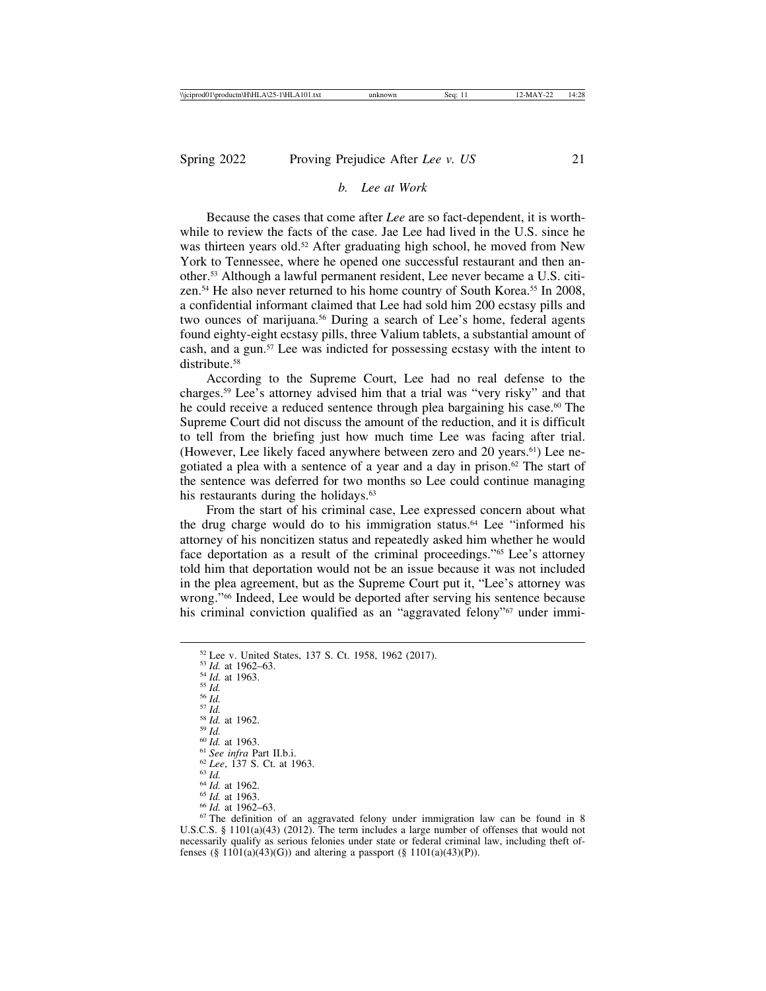## *b. Lee at Work*

Because the cases that come after *Lee* are so fact-dependent, it is worthwhile to review the facts of the case. Jae Lee had lived in the U.S. since he was thirteen years old.<sup>52</sup> After graduating high school, he moved from New York to Tennessee, where he opened one successful restaurant and then another.53 Although a lawful permanent resident, Lee never became a U.S. citizen.54 He also never returned to his home country of South Korea.55 In 2008, a confidential informant claimed that Lee had sold him 200 ecstasy pills and two ounces of marijuana.<sup>56</sup> During a search of Lee's home, federal agents found eighty-eight ecstasy pills, three Valium tablets, a substantial amount of cash, and a gun.57 Lee was indicted for possessing ecstasy with the intent to distribute.<sup>58</sup>

According to the Supreme Court, Lee had no real defense to the charges.59 Lee's attorney advised him that a trial was "very risky" and that he could receive a reduced sentence through plea bargaining his case.<sup>60</sup> The Supreme Court did not discuss the amount of the reduction, and it is difficult to tell from the briefing just how much time Lee was facing after trial. (However, Lee likely faced anywhere between zero and 20 years.<sup>61</sup>) Lee negotiated a plea with a sentence of a year and a day in prison. $62$  The start of the sentence was deferred for two months so Lee could continue managing his restaurants during the holidays.<sup>63</sup>

From the start of his criminal case, Lee expressed concern about what the drug charge would do to his immigration status.64 Lee "informed his attorney of his noncitizen status and repeatedly asked him whether he would face deportation as a result of the criminal proceedings."65 Lee's attorney told him that deportation would not be an issue because it was not included in the plea agreement, but as the Supreme Court put it, "Lee's attorney was wrong."66 Indeed, Lee would be deported after serving his sentence because his criminal conviction qualified as an "aggravated felony"<sup>67</sup> under immi-

<sup>52</sup> Lee v. United States, 137 S. Ct. 1958, 1962 (2017).<br>
<sup>53</sup> Id. at 1962–63.<br>
<sup>55</sup> Id. at 1963.<br>
<sup>55</sup> Id.<br>
<sup>55</sup> Id.<br>
<sup>55</sup> Id.<br>
<sup>63</sup> Id.<br>
<sup>63</sup> Id.<br>
<sup>63</sup> Id.<br>
<sup>60</sup> Id. at 1963.<br>
<sup>61</sup> *See infra* Part II.b.i.<br>
<sup>62</sup> Lee, 13

U.S.C.S. § 1101(a)(43) (2012). The term includes a large number of offenses that would not necessarily qualify as serious felonies under state or federal criminal law, including theft offenses (§ 1101(a)(43)(G)) and altering a passport (§ 1101(a)(43)(P)).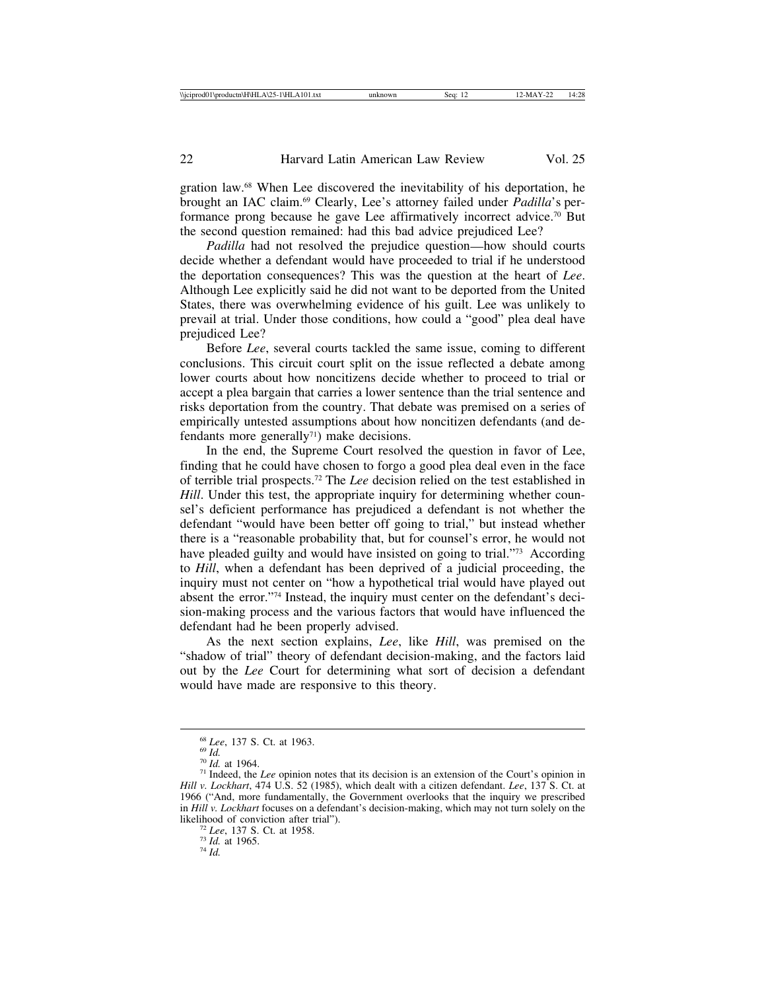gration law.68 When Lee discovered the inevitability of his deportation, he brought an IAC claim.69 Clearly, Lee's attorney failed under *Padilla*'s performance prong because he gave Lee affirmatively incorrect advice.70 But the second question remained: had this bad advice prejudiced Lee?

*Padilla* had not resolved the prejudice question—how should courts decide whether a defendant would have proceeded to trial if he understood the deportation consequences? This was the question at the heart of *Lee*. Although Lee explicitly said he did not want to be deported from the United States, there was overwhelming evidence of his guilt. Lee was unlikely to prevail at trial. Under those conditions, how could a "good" plea deal have prejudiced Lee?

Before *Lee*, several courts tackled the same issue, coming to different conclusions. This circuit court split on the issue reflected a debate among lower courts about how noncitizens decide whether to proceed to trial or accept a plea bargain that carries a lower sentence than the trial sentence and risks deportation from the country. That debate was premised on a series of empirically untested assumptions about how noncitizen defendants (and defendants more generally<sup> $71$ </sup>) make decisions.

In the end, the Supreme Court resolved the question in favor of Lee, finding that he could have chosen to forgo a good plea deal even in the face of terrible trial prospects.72 The *Lee* decision relied on the test established in *Hill*. Under this test, the appropriate inquiry for determining whether counsel's deficient performance has prejudiced a defendant is not whether the defendant "would have been better off going to trial," but instead whether there is a "reasonable probability that, but for counsel's error, he would not have pleaded guilty and would have insisted on going to trial."<sup>73</sup> According to *Hill*, when a defendant has been deprived of a judicial proceeding, the inquiry must not center on "how a hypothetical trial would have played out absent the error."74 Instead, the inquiry must center on the defendant's decision-making process and the various factors that would have influenced the defendant had he been properly advised.

As the next section explains, *Lee*, like *Hill*, was premised on the "shadow of trial" theory of defendant decision-making, and the factors laid out by the *Lee* Court for determining what sort of decision a defendant would have made are responsive to this theory.

<sup>&</sup>lt;sup>68</sup> *Lee*, 137 S. Ct. at 1963.<br><sup>69</sup> *Id.*  $^{70}$  *Id.* at 1964.<br><sup>71</sup> Indeed, the *Lee* opinion notes that its decision is an extension of the Court's opinion in  $^{71}$ *Hill v. Lockhart*, 474 U.S. 52 (1985), which dealt with a citizen defendant. *Lee*, 137 S. Ct. at 1966 ("And, more fundamentally, the Government overlooks that the inquiry we prescribed in *Hill v. Lockhart* focuses on a defendant's decision-making, which may not turn solely on the likelihood of conviction after trial").<br><sup>72</sup> *Lee*, 137 S. Ct. at 1958.<br><sup>73</sup> *Id.* at 1965.<br><sup>74</sup> *Id.*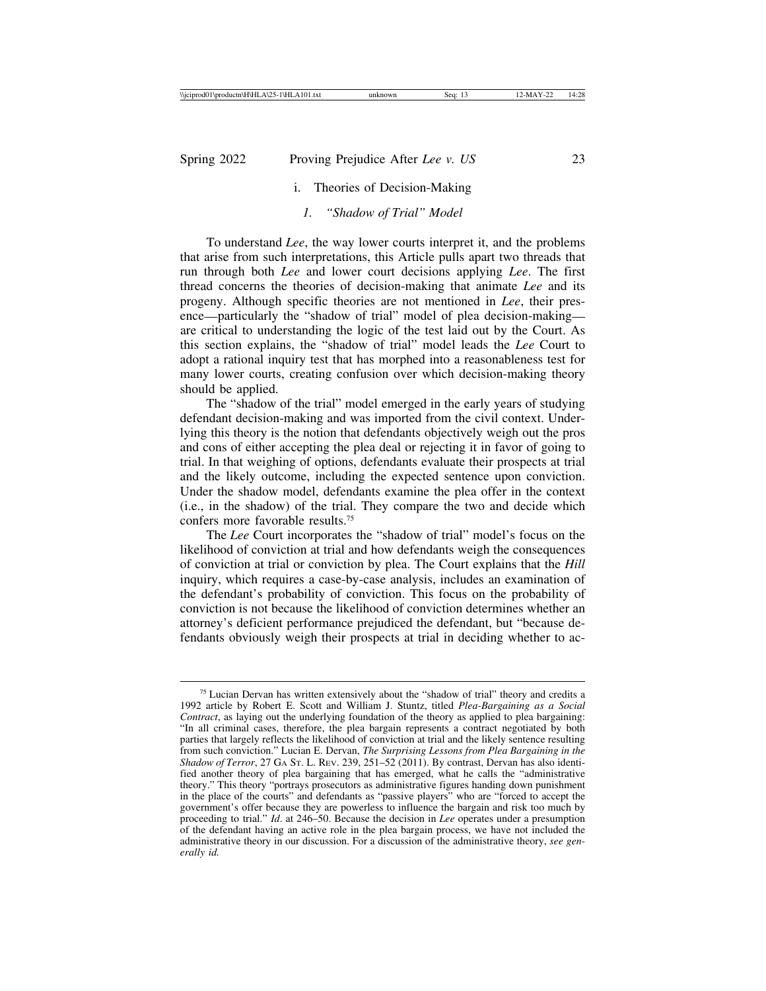# i. Theories of Decision-Making

## *1. "Shadow of Trial" Model*

To understand *Lee*, the way lower courts interpret it, and the problems that arise from such interpretations, this Article pulls apart two threads that run through both *Lee* and lower court decisions applying *Lee*. The first thread concerns the theories of decision-making that animate *Lee* and its progeny. Although specific theories are not mentioned in *Lee*, their presence—particularly the "shadow of trial" model of plea decision-making are critical to understanding the logic of the test laid out by the Court. As this section explains, the "shadow of trial" model leads the *Lee* Court to adopt a rational inquiry test that has morphed into a reasonableness test for many lower courts, creating confusion over which decision-making theory should be applied.

The "shadow of the trial" model emerged in the early years of studying defendant decision-making and was imported from the civil context. Underlying this theory is the notion that defendants objectively weigh out the pros and cons of either accepting the plea deal or rejecting it in favor of going to trial. In that weighing of options, defendants evaluate their prospects at trial and the likely outcome, including the expected sentence upon conviction. Under the shadow model, defendants examine the plea offer in the context (i.e., in the shadow) of the trial. They compare the two and decide which confers more favorable results.75

The *Lee* Court incorporates the "shadow of trial" model's focus on the likelihood of conviction at trial and how defendants weigh the consequences of conviction at trial or conviction by plea. The Court explains that the *Hill* inquiry, which requires a case-by-case analysis, includes an examination of the defendant's probability of conviction. This focus on the probability of conviction is not because the likelihood of conviction determines whether an attorney's deficient performance prejudiced the defendant, but "because defendants obviously weigh their prospects at trial in deciding whether to ac-

<sup>75</sup> Lucian Dervan has written extensively about the "shadow of trial" theory and credits a 1992 article by Robert E. Scott and William J. Stuntz, titled *Plea-Bargaining as a Social Contract*, as laying out the underlying foundation of the theory as applied to plea bargaining: "In all criminal cases, therefore, the plea bargain represents a contract negotiated by both parties that largely reflects the likelihood of conviction at trial and the likely sentence resulting from such conviction." Lucian E. Dervan, *The Surprising Lessons from Plea Bargaining in the Shadow of Terror*, 27 GA ST. L. REV. 239, 251–52 (2011). By contrast, Dervan has also identified another theory of plea bargaining that has emerged, what he calls the "administrative theory." This theory "portrays prosecutors as administrative figures handing down punishment in the place of the courts" and defendants as "passive players" who are "forced to accept the government's offer because they are powerless to influence the bargain and risk too much by proceeding to trial." *Id*. at 246–50. Because the decision in *Lee* operates under a presumption of the defendant having an active role in the plea bargain process, we have not included the administrative theory in our discussion. For a discussion of the administrative theory, *see generally id.*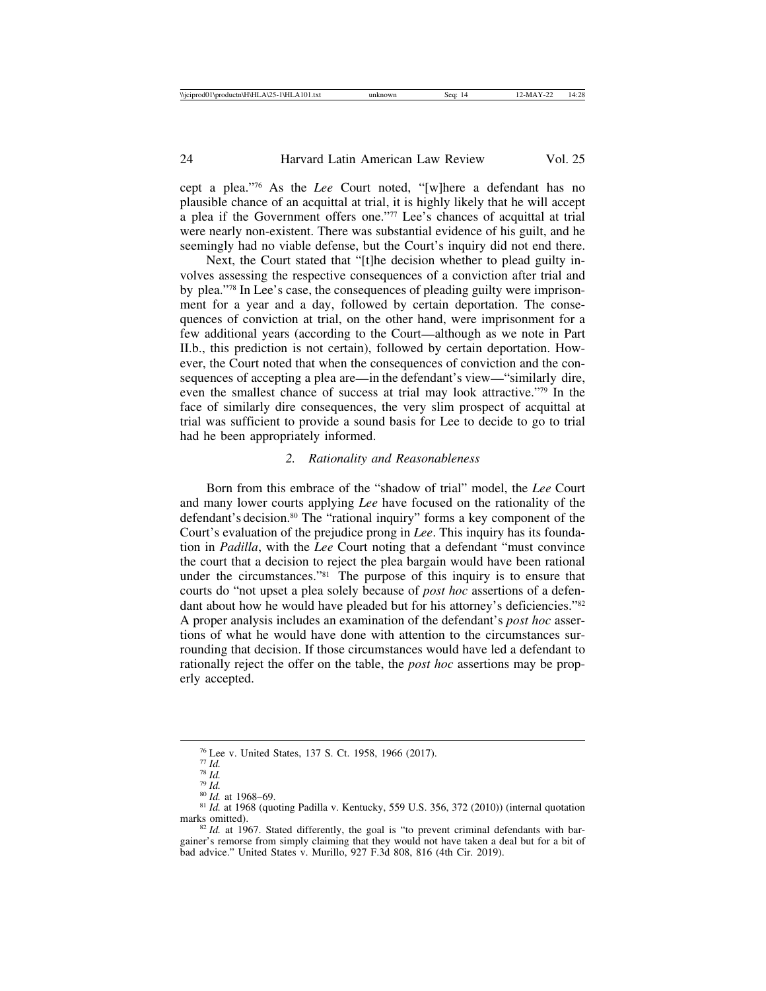cept a plea."76 As the *Lee* Court noted, "[w]here a defendant has no plausible chance of an acquittal at trial, it is highly likely that he will accept a plea if the Government offers one."77 Lee's chances of acquittal at trial were nearly non-existent. There was substantial evidence of his guilt, and he seemingly had no viable defense, but the Court's inquiry did not end there.

Next, the Court stated that "[t]he decision whether to plead guilty involves assessing the respective consequences of a conviction after trial and by plea."78 In Lee's case, the consequences of pleading guilty were imprisonment for a year and a day, followed by certain deportation. The consequences of conviction at trial, on the other hand, were imprisonment for a few additional years (according to the Court—although as we note in Part II.b., this prediction is not certain), followed by certain deportation. However, the Court noted that when the consequences of conviction and the consequences of accepting a plea are—in the defendant's view—"similarly dire, even the smallest chance of success at trial may look attractive."79 In the face of similarly dire consequences, the very slim prospect of acquittal at trial was sufficient to provide a sound basis for Lee to decide to go to trial had he been appropriately informed.

#### *2. Rationality and Reasonableness*

Born from this embrace of the "shadow of trial" model, the *Lee* Court and many lower courts applying *Lee* have focused on the rationality of the defendant's decision.<sup>80</sup> The "rational inquiry" forms a key component of the Court's evaluation of the prejudice prong in *Lee*. This inquiry has its foundation in *Padilla*, with the *Lee* Court noting that a defendant "must convince the court that a decision to reject the plea bargain would have been rational under the circumstances."81 The purpose of this inquiry is to ensure that courts do "not upset a plea solely because of *post hoc* assertions of a defendant about how he would have pleaded but for his attorney's deficiencies."<sup>82</sup> A proper analysis includes an examination of the defendant's *post hoc* assertions of what he would have done with attention to the circumstances surrounding that decision. If those circumstances would have led a defendant to rationally reject the offer on the table, the *post hoc* assertions may be properly accepted.

<sup>&</sup>lt;sup>76</sup> Lee v. United States, 137 S. Ct. 1958, 1966 (2017).<br>
<sup>77</sup> *Id.*<br>
<sup>78</sup> *Id.*<br>
<sup>81</sup> *Id.* at 1968–69.<br>
<sup>81</sup> *Id.* at 1968–69.<br>
<sup>81</sup> *Id.* at 1968 (quoting Padilla v. Kentucky, 559 U.S. 356, 372 (2010)) (internal quotati

 $82$  *Id.* at 1967. Stated differently, the goal is "to prevent criminal defendants with bargainer's remorse from simply claiming that they would not have taken a deal but for a bit of bad advice." United States v. Murillo, 927 F.3d 808, 816 (4th Cir. 2019).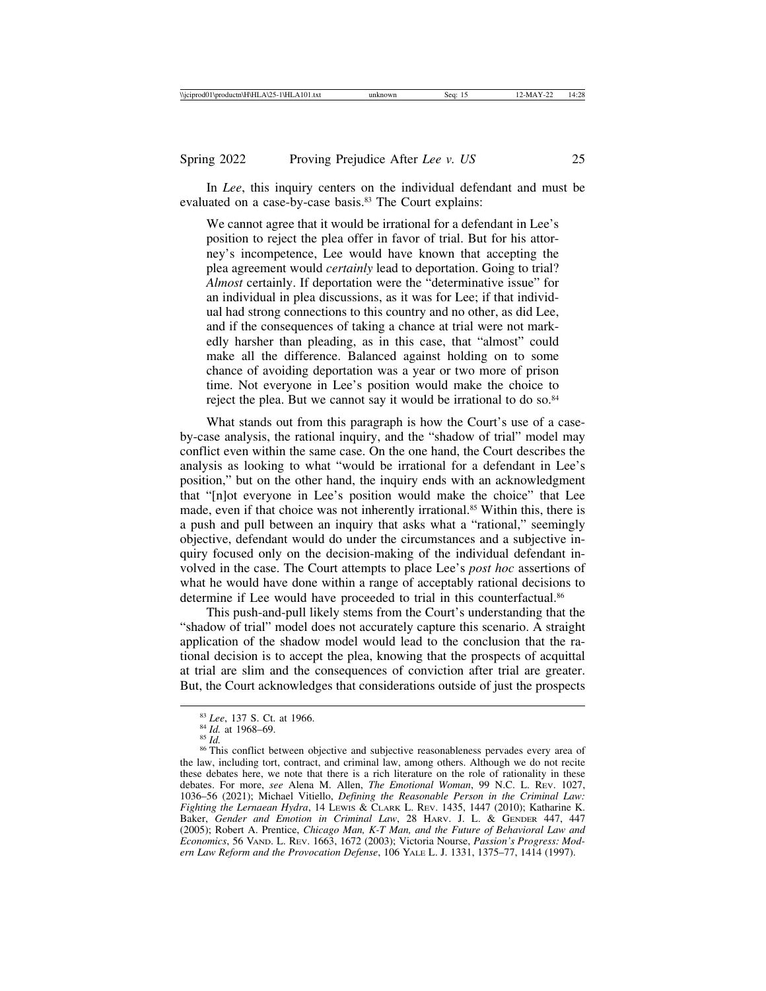In *Lee*, this inquiry centers on the individual defendant and must be evaluated on a case-by-case basis.<sup>83</sup> The Court explains:

We cannot agree that it would be irrational for a defendant in Lee's position to reject the plea offer in favor of trial. But for his attorney's incompetence, Lee would have known that accepting the plea agreement would *certainly* lead to deportation. Going to trial? *Almost* certainly. If deportation were the "determinative issue" for an individual in plea discussions, as it was for Lee; if that individual had strong connections to this country and no other, as did Lee, and if the consequences of taking a chance at trial were not markedly harsher than pleading, as in this case, that "almost" could make all the difference. Balanced against holding on to some chance of avoiding deportation was a year or two more of prison time. Not everyone in Lee's position would make the choice to reject the plea. But we cannot say it would be irrational to do so.<sup>84</sup>

What stands out from this paragraph is how the Court's use of a caseby-case analysis, the rational inquiry, and the "shadow of trial" model may conflict even within the same case. On the one hand, the Court describes the analysis as looking to what "would be irrational for a defendant in Lee's position," but on the other hand, the inquiry ends with an acknowledgment that "[n]ot everyone in Lee's position would make the choice" that Lee made, even if that choice was not inherently irrational.<sup>85</sup> Within this, there is a push and pull between an inquiry that asks what a "rational," seemingly objective, defendant would do under the circumstances and a subjective inquiry focused only on the decision-making of the individual defendant involved in the case. The Court attempts to place Lee's *post hoc* assertions of what he would have done within a range of acceptably rational decisions to determine if Lee would have proceeded to trial in this counterfactual.<sup>86</sup>

This push-and-pull likely stems from the Court's understanding that the "shadow of trial" model does not accurately capture this scenario. A straight application of the shadow model would lead to the conclusion that the rational decision is to accept the plea, knowing that the prospects of acquittal at trial are slim and the consequences of conviction after trial are greater. But, the Court acknowledges that considerations outside of just the prospects

<sup>&</sup>lt;sup>83</sup> *Lee*, 137 S. Ct. at 1966.<br><sup>84</sup> *Id.* at 1968–69.<br><sup>85</sup> *Id.* 86 This conflict between objective and subjective reasonableness pervades every area of the law, including tort, contract, and criminal law, among others. Although we do not recite these debates here, we note that there is a rich literature on the role of rationality in these debates. For more, *see* Alena M. Allen, *The Emotional Woman*, 99 N.C. L. REV. 1027, 1036–56 (2021); Michael Vitiello, *Defining the Reasonable Person in the Criminal Law: Fighting the Lernaean Hydra*, 14 LEWIS & CLARK L. REV. 1435, 1447 (2010); Katharine K. Baker, *Gender and Emotion in Criminal Law*, 28 HARV. J. L. & GENDER 447, 447 (2005); Robert A. Prentice, *Chicago Man, K-T Man, and the Future of Behavioral Law and Economics*, 56 VAND. L. REV. 1663, 1672 (2003); Victoria Nourse, *Passion's Progress: Modern Law Reform and the Provocation Defense*, 106 YALE L. J. 1331, 1375–77, 1414 (1997).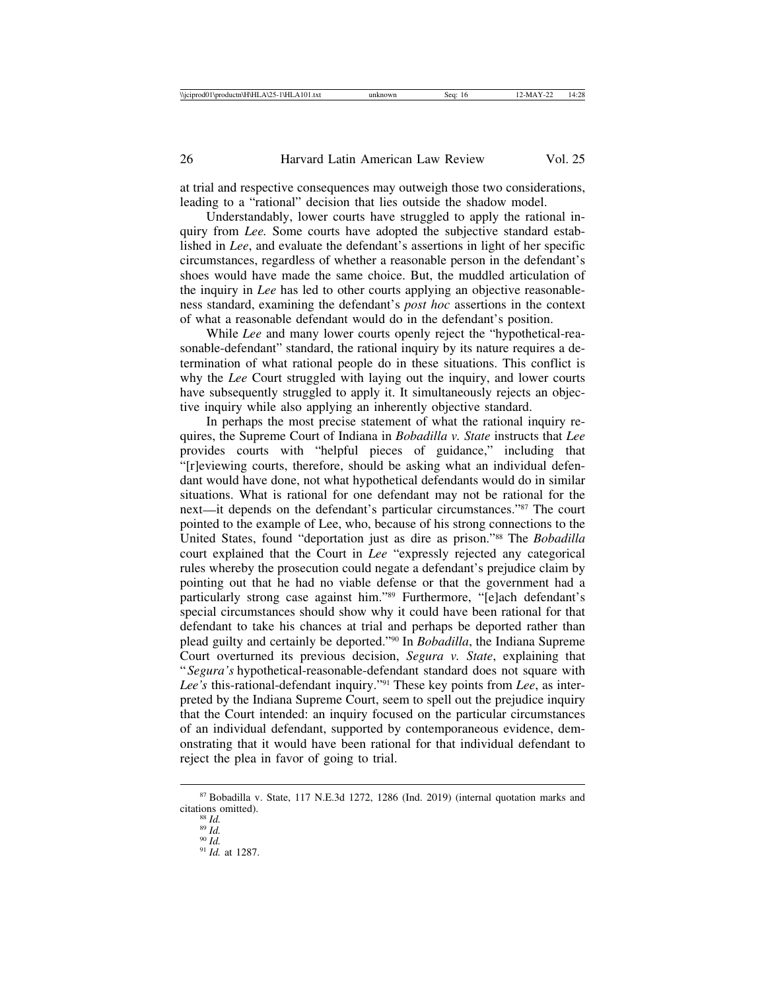at trial and respective consequences may outweigh those two considerations, leading to a "rational" decision that lies outside the shadow model.

Understandably, lower courts have struggled to apply the rational inquiry from *Lee.* Some courts have adopted the subjective standard established in *Lee*, and evaluate the defendant's assertions in light of her specific circumstances, regardless of whether a reasonable person in the defendant's shoes would have made the same choice. But, the muddled articulation of the inquiry in *Lee* has led to other courts applying an objective reasonableness standard, examining the defendant's *post hoc* assertions in the context of what a reasonable defendant would do in the defendant's position.

While *Lee* and many lower courts openly reject the "hypothetical-reasonable-defendant" standard, the rational inquiry by its nature requires a determination of what rational people do in these situations. This conflict is why the *Lee* Court struggled with laying out the inquiry, and lower courts have subsequently struggled to apply it. It simultaneously rejects an objective inquiry while also applying an inherently objective standard.

In perhaps the most precise statement of what the rational inquiry requires, the Supreme Court of Indiana in *Bobadilla v. State* instructs that *Lee* provides courts with "helpful pieces of guidance," including that "[r]eviewing courts, therefore, should be asking what an individual defendant would have done, not what hypothetical defendants would do in similar situations. What is rational for one defendant may not be rational for the next—it depends on the defendant's particular circumstances."87 The court pointed to the example of Lee, who, because of his strong connections to the United States, found "deportation just as dire as prison."88 The *Bobadilla* court explained that the Court in *Lee* "expressly rejected any categorical rules whereby the prosecution could negate a defendant's prejudice claim by pointing out that he had no viable defense or that the government had a particularly strong case against him."89 Furthermore, "[e]ach defendant's special circumstances should show why it could have been rational for that defendant to take his chances at trial and perhaps be deported rather than plead guilty and certainly be deported."90 In *Bobadilla*, the Indiana Supreme Court overturned its previous decision, *Segura v. State*, explaining that "*Segura's* hypothetical-reasonable-defendant standard does not square with *Lee's* this-rational-defendant inquiry."91 These key points from *Lee*, as interpreted by the Indiana Supreme Court, seem to spell out the prejudice inquiry that the Court intended: an inquiry focused on the particular circumstances of an individual defendant, supported by contemporaneous evidence, demonstrating that it would have been rational for that individual defendant to reject the plea in favor of going to trial.

<sup>87</sup> Bobadilla v. State, 117 N.E.3d 1272, 1286 (Ind. 2019) (internal quotation marks and

<sup>&</sup>lt;sup>88</sup> *Id.* <sup>99</sup> *Id. Po Id. 91 Id.* at 1287.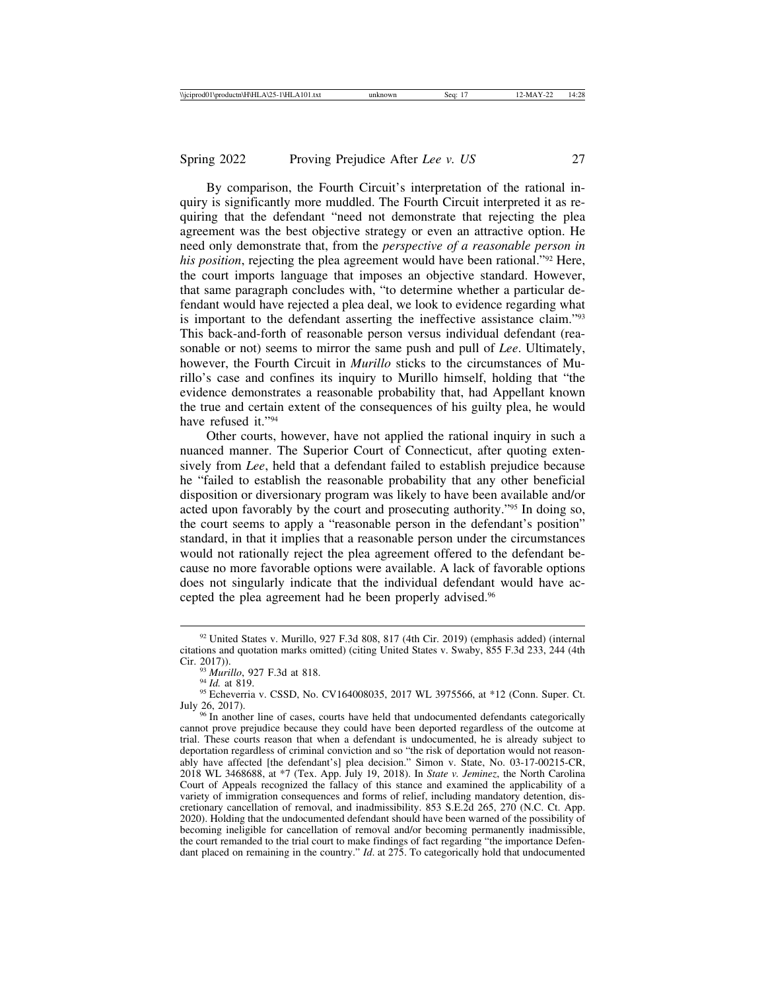By comparison, the Fourth Circuit's interpretation of the rational inquiry is significantly more muddled. The Fourth Circuit interpreted it as requiring that the defendant "need not demonstrate that rejecting the plea agreement was the best objective strategy or even an attractive option. He need only demonstrate that, from the *perspective of a reasonable person in his position*, rejecting the plea agreement would have been rational."92 Here, the court imports language that imposes an objective standard. However, that same paragraph concludes with, "to determine whether a particular defendant would have rejected a plea deal, we look to evidence regarding what is important to the defendant asserting the ineffective assistance claim."93 This back-and-forth of reasonable person versus individual defendant (reasonable or not) seems to mirror the same push and pull of *Lee*. Ultimately, however, the Fourth Circuit in *Murillo* sticks to the circumstances of Murillo's case and confines its inquiry to Murillo himself, holding that "the evidence demonstrates a reasonable probability that, had Appellant known the true and certain extent of the consequences of his guilty plea, he would have refused it."94

Other courts, however, have not applied the rational inquiry in such a nuanced manner. The Superior Court of Connecticut, after quoting extensively from *Lee*, held that a defendant failed to establish prejudice because he "failed to establish the reasonable probability that any other beneficial disposition or diversionary program was likely to have been available and/or acted upon favorably by the court and prosecuting authority."95 In doing so, the court seems to apply a "reasonable person in the defendant's position" standard, in that it implies that a reasonable person under the circumstances would not rationally reject the plea agreement offered to the defendant because no more favorable options were available. A lack of favorable options does not singularly indicate that the individual defendant would have accepted the plea agreement had he been properly advised.96

<sup>92</sup> United States v. Murillo, 927 F.3d 808, 817 (4th Cir. 2019) (emphasis added) (internal citations and quotation marks omitted) (citing United States v. Swaby, 855 F.3d 233, 244 (4th Cir. 2017)).<br><sup>93</sup> *Murillo*, 927 F.3d at 818.<br><sup>94</sup> *Id.* at 819.<br><sup>95</sup> Echeverria v. CSSD, No. CV164008035, 2017 WL 3975566, at \*12 (Conn. Super. Ct.

July 26, 2017).<br><sup>96</sup> In another line of cases, courts have held that undocumented defendants categorically

cannot prove prejudice because they could have been deported regardless of the outcome at trial. These courts reason that when a defendant is undocumented, he is already subject to deportation regardless of criminal conviction and so "the risk of deportation would not reasonably have affected [the defendant's] plea decision." Simon v. State, No. 03-17-00215-CR, 2018 WL 3468688, at \*7 (Tex. App. July 19, 2018). In *State v. Jeminez*, the North Carolina Court of Appeals recognized the fallacy of this stance and examined the applicability of a variety of immigration consequences and forms of relief, including mandatory detention, discretionary cancellation of removal, and inadmissibility. 853 S.E.2d 265, 270 (N.C. Ct. App. 2020). Holding that the undocumented defendant should have been warned of the possibility of becoming ineligible for cancellation of removal and/or becoming permanently inadmissible, the court remanded to the trial court to make findings of fact regarding "the importance Defendant placed on remaining in the country." *Id*. at 275. To categorically hold that undocumented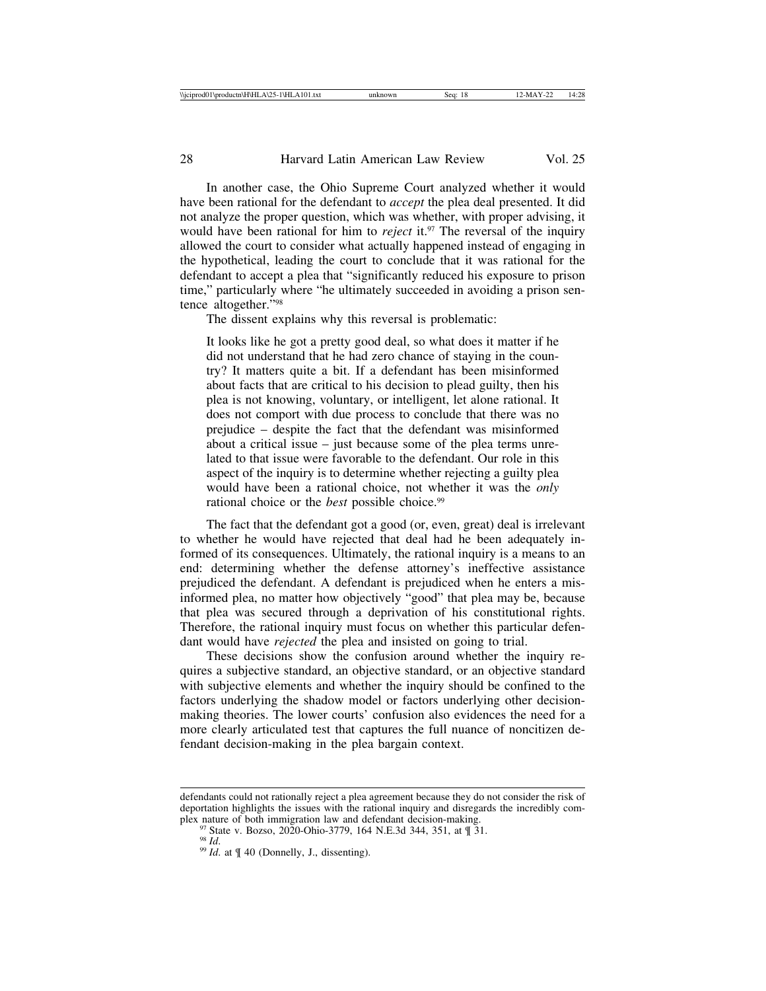In another case, the Ohio Supreme Court analyzed whether it would have been rational for the defendant to *accept* the plea deal presented. It did not analyze the proper question, which was whether, with proper advising, it would have been rational for him to *reject* it.<sup>97</sup> The reversal of the inquiry allowed the court to consider what actually happened instead of engaging in the hypothetical, leading the court to conclude that it was rational for the defendant to accept a plea that "significantly reduced his exposure to prison time," particularly where "he ultimately succeeded in avoiding a prison sentence altogether."98

The dissent explains why this reversal is problematic:

It looks like he got a pretty good deal, so what does it matter if he did not understand that he had zero chance of staying in the country? It matters quite a bit. If a defendant has been misinformed about facts that are critical to his decision to plead guilty, then his plea is not knowing, voluntary, or intelligent, let alone rational. It does not comport with due process to conclude that there was no prejudice – despite the fact that the defendant was misinformed about a critical issue – just because some of the plea terms unrelated to that issue were favorable to the defendant. Our role in this aspect of the inquiry is to determine whether rejecting a guilty plea would have been a rational choice, not whether it was the *only* rational choice or the *best* possible choice.<sup>99</sup>

The fact that the defendant got a good (or, even, great) deal is irrelevant to whether he would have rejected that deal had he been adequately informed of its consequences. Ultimately, the rational inquiry is a means to an end: determining whether the defense attorney's ineffective assistance prejudiced the defendant. A defendant is prejudiced when he enters a misinformed plea, no matter how objectively "good" that plea may be, because that plea was secured through a deprivation of his constitutional rights. Therefore, the rational inquiry must focus on whether this particular defendant would have *rejected* the plea and insisted on going to trial.

These decisions show the confusion around whether the inquiry requires a subjective standard, an objective standard, or an objective standard with subjective elements and whether the inquiry should be confined to the factors underlying the shadow model or factors underlying other decisionmaking theories. The lower courts' confusion also evidences the need for a more clearly articulated test that captures the full nuance of noncitizen defendant decision-making in the plea bargain context.

defendants could not rationally reject a plea agreement because they do not consider the risk of deportation highlights the issues with the rational inquiry and disregards the incredibly com-<br>plex nature of both immigration law and defendant decision-making.

<sup>&</sup>lt;sup>97</sup> State v. Bozso, 2020-Ohio-3779, 164 N.E.3d 344, 351, at  $\frac{9}{1}$  31.<br><sup>98</sup> *Id.* at  $\frac{9}{1}$  40 (Donnelly, J., dissenting).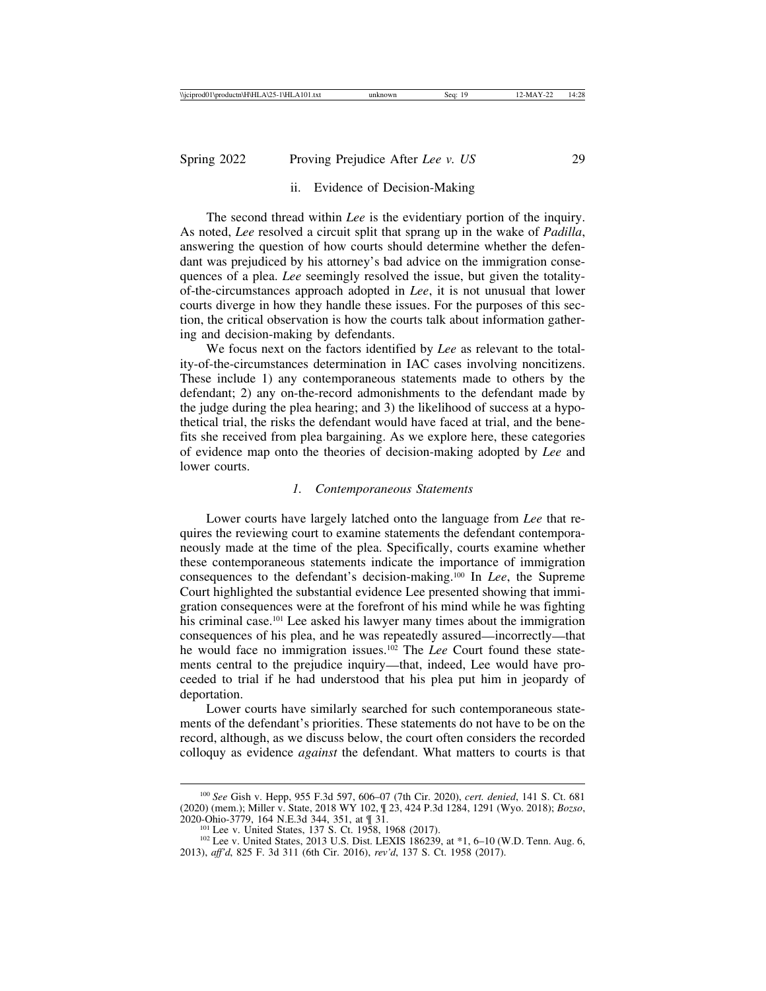# ii. Evidence of Decision-Making

The second thread within *Lee* is the evidentiary portion of the inquiry. As noted, *Lee* resolved a circuit split that sprang up in the wake of *Padilla*, answering the question of how courts should determine whether the defendant was prejudiced by his attorney's bad advice on the immigration consequences of a plea. *Lee* seemingly resolved the issue, but given the totalityof-the-circumstances approach adopted in *Lee*, it is not unusual that lower courts diverge in how they handle these issues. For the purposes of this section, the critical observation is how the courts talk about information gathering and decision-making by defendants.

We focus next on the factors identified by *Lee* as relevant to the totality-of-the-circumstances determination in IAC cases involving noncitizens. These include 1) any contemporaneous statements made to others by the defendant; 2) any on-the-record admonishments to the defendant made by the judge during the plea hearing; and 3) the likelihood of success at a hypothetical trial, the risks the defendant would have faced at trial, and the benefits she received from plea bargaining. As we explore here, these categories of evidence map onto the theories of decision-making adopted by *Lee* and lower courts.

#### *1. Contemporaneous Statements*

Lower courts have largely latched onto the language from *Lee* that requires the reviewing court to examine statements the defendant contemporaneously made at the time of the plea. Specifically, courts examine whether these contemporaneous statements indicate the importance of immigration consequences to the defendant's decision-making.100 In *Lee*, the Supreme Court highlighted the substantial evidence Lee presented showing that immigration consequences were at the forefront of his mind while he was fighting his criminal case.<sup>101</sup> Lee asked his lawyer many times about the immigration consequences of his plea, and he was repeatedly assured—incorrectly—that he would face no immigration issues.102 The *Lee* Court found these statements central to the prejudice inquiry—that, indeed, Lee would have proceeded to trial if he had understood that his plea put him in jeopardy of deportation.

Lower courts have similarly searched for such contemporaneous statements of the defendant's priorities. These statements do not have to be on the record, although, as we discuss below, the court often considers the recorded colloquy as evidence *against* the defendant. What matters to courts is that

<sup>100</sup> *See* Gish v. Hepp, 955 F.3d 597, 606–07 (7th Cir. 2020), *cert. denied*, 141 S. Ct. 681 (2020) (mem.); Miller v. State, 2018 WY 102, ¶ 23, 424 P.3d 1284, 1291 (Wyo. 2018); *Bozso*,

<sup>&</sup>lt;sup>101</sup> Lee v. United States, 137<sup>'</sup> S. Ct. 1958, 1968 (2017).<br><sup>102</sup> Lee v. United States, 2013 U.S. Dist. LEXIS 186239, at \*1, 6–10 (W.D. Tenn. Aug. 6, 2013), *aff'd*, 825 F. 3d 311 (6th Cir. 2016), *rev'd*, 137 S. Ct. 1958 (2017).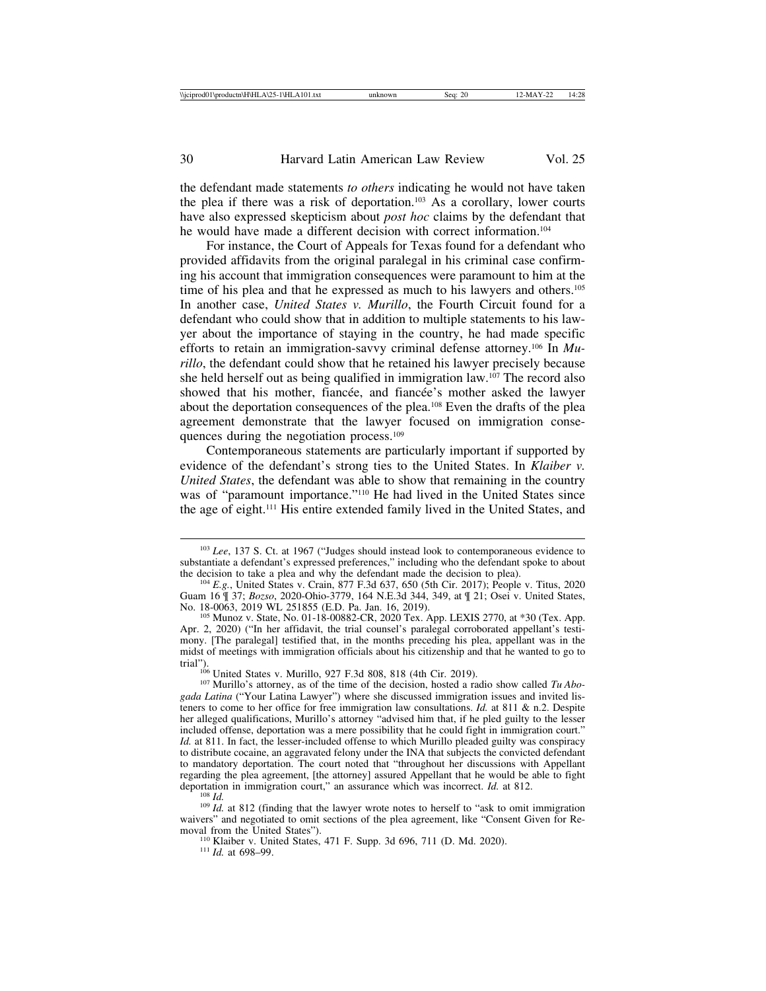the defendant made statements *to others* indicating he would not have taken the plea if there was a risk of deportation.103 As a corollary, lower courts have also expressed skepticism about *post hoc* claims by the defendant that he would have made a different decision with correct information.<sup>104</sup>

For instance, the Court of Appeals for Texas found for a defendant who provided affidavits from the original paralegal in his criminal case confirming his account that immigration consequences were paramount to him at the time of his plea and that he expressed as much to his lawyers and others.<sup>105</sup> In another case, *United States v. Murillo*, the Fourth Circuit found for a defendant who could show that in addition to multiple statements to his lawyer about the importance of staying in the country, he had made specific efforts to retain an immigration-savvy criminal defense attorney.106 In *Murillo*, the defendant could show that he retained his lawyer precisely because she held herself out as being qualified in immigration law.107 The record also showed that his mother, fiancée, and fiancée's mother asked the lawyer about the deportation consequences of the plea.108 Even the drafts of the plea agreement demonstrate that the lawyer focused on immigration consequences during the negotiation process.109

Contemporaneous statements are particularly important if supported by evidence of the defendant's strong ties to the United States. In *Klaiber v. United States*, the defendant was able to show that remaining in the country was of "paramount importance."<sup>110</sup> He had lived in the United States since the age of eight.111 His entire extended family lived in the United States, and

<sup>110</sup> Klaiber v. United States, 471 F. Supp. 3d 696, 711 (D. Md. 2020). <sup>111</sup> *Id.* at 698–99.

<sup>103</sup> *Lee*, 137 S. Ct. at 1967 ("Judges should instead look to contemporaneous evidence to substantiate a defendant's expressed preferences," including who the defendant spoke to about the decision to take a plea and why the defendant made the decision to plea).

 $t^{104}$  *E.g.*, United States v. Crain, 877 F.3d 637, 650 (5th Cir. 2017); People v. Titus, 2020 Guam 16  $\frac{9}{1}$  37; *Bozso*, 2020-Ohio-3779, 164 N.E.3d 344, 349, at  $\frac{9}{1}$  21; Osei v. United States, No. 18-0063, 2019 WL 251855 (E.D. Pa. Jan. 16, 2019).

<sup>&</sup>lt;sup>105</sup> Munoz v. State, No. 01-18-00882-CR, 2020 Tex. App. LEXIS 2770, at \*30 (Tex. App. Apr. 2, 2020) ("In her affidavit, the trial counsel's paralegal corroborated appellant's testimony. [The paralegal] testified that, in the months preceding his plea, appellant was in the midst of meetings with immigration officials about his citizenship and that he wanted to go to

<sup>&</sup>lt;sup>106</sup> United States v. Murillo, 927 F.3d 808, 818 (4th Cir. 2019).<br><sup>107</sup> Murillo's attorney, as of the time of the decision, hosted a radio show called *Tu Abogada Latina* ("Your Latina Lawyer") where she discussed immigration issues and invited listeners to come to her office for free immigration law consultations. *Id.* at 811 & n.2. Despite her alleged qualifications, Murillo's attorney "advised him that, if he pled guilty to the lesser included offense, deportation was a mere possibility that he could fight in immigration court." *Id.* at 811. In fact, the lesser-included offense to which Murillo pleaded guilty was conspiracy to distribute cocaine, an aggravated felony under the INA that subjects the convicted defendant to mandatory deportation. The court noted that "throughout her discussions with Appellant regarding the plea agreement, [the attorney] assured Appellant that he would be able to fight deportation in immigration court," an assurance which was incorrect. *Id.* at 812.

<sup>&</sup>lt;sup>108</sup> *Id. Id.* 109 *Id.* at 812 (finding that the lawyer wrote notes to herself to "ask to omit immigration" waivers" and negotiated to omit sections of the plea agreement, like "Consent Given for Re-<br>moval from the United States").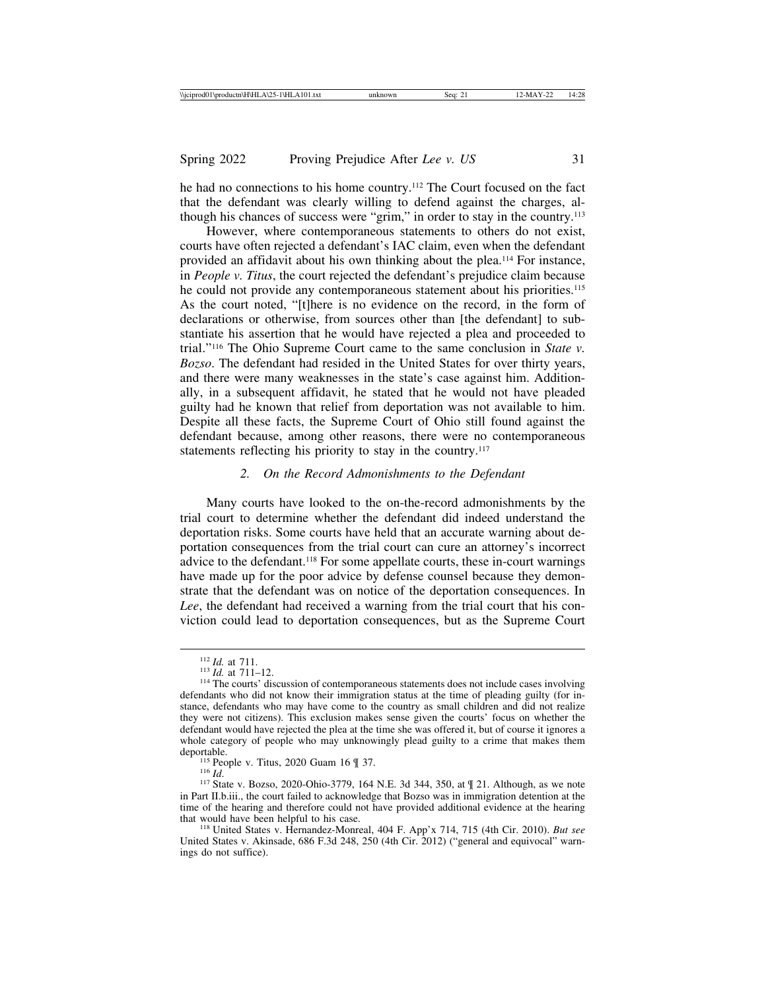he had no connections to his home country.112 The Court focused on the fact that the defendant was clearly willing to defend against the charges, although his chances of success were "grim," in order to stay in the country.113

However, where contemporaneous statements to others do not exist, courts have often rejected a defendant's IAC claim, even when the defendant provided an affidavit about his own thinking about the plea.114 For instance, in *People v. Titus*, the court rejected the defendant's prejudice claim because he could not provide any contemporaneous statement about his priorities.115 As the court noted, "[t]here is no evidence on the record, in the form of declarations or otherwise, from sources other than [the defendant] to substantiate his assertion that he would have rejected a plea and proceeded to trial."116 The Ohio Supreme Court came to the same conclusion in *State v. Bozso*. The defendant had resided in the United States for over thirty years, and there were many weaknesses in the state's case against him. Additionally, in a subsequent affidavit, he stated that he would not have pleaded guilty had he known that relief from deportation was not available to him. Despite all these facts, the Supreme Court of Ohio still found against the defendant because, among other reasons, there were no contemporaneous statements reflecting his priority to stay in the country.<sup>117</sup>

#### *2. On the Record Admonishments to the Defendant*

Many courts have looked to the on-the-record admonishments by the trial court to determine whether the defendant did indeed understand the deportation risks. Some courts have held that an accurate warning about deportation consequences from the trial court can cure an attorney's incorrect advice to the defendant.<sup>118</sup> For some appellate courts, these in-court warnings have made up for the poor advice by defense counsel because they demonstrate that the defendant was on notice of the deportation consequences. In *Lee*, the defendant had received a warning from the trial court that his conviction could lead to deportation consequences, but as the Supreme Court

<sup>&</sup>lt;sup>112</sup> *Id.* at 711.<br><sup>113</sup> *Id.* at 711–12.<br><sup>114</sup> The courts' discussion of contemporaneous statements does not include cases involving defendants who did not know their immigration status at the time of pleading guilty (for instance, defendants who may have come to the country as small children and did not realize they were not citizens). This exclusion makes sense given the courts' focus on whether the defendant would have rejected the plea at the time she was offered it, but of course it ignores a whole category of people who may unknowingly plead guilty to a crime that makes them

<sup>&</sup>lt;sup>115</sup> People v. Titus, 2020 Guam 16 ¶ 37.<br><sup>116</sup> *Id.* 117 State v. Bozso, 2020-Ohio-3779, 164 N.E. 3d 344, 350, at ¶ 21. Although, as we note in Part II.b.iii., the court failed to acknowledge that Bozso was in immigration detention at the time of the hearing and therefore could not have provided additional evidence at the hearing that would have been helpful to his case.

<sup>&</sup>lt;sup>118</sup> United States v. Hernandez-Monreal, 404 F. App'x 714, 715 (4th Cir. 2010). *But see* United States v. Akinsade, 686 F.3d 248, 250 (4th Cir. 2012) ("general and equivocal" warnings do not suffice).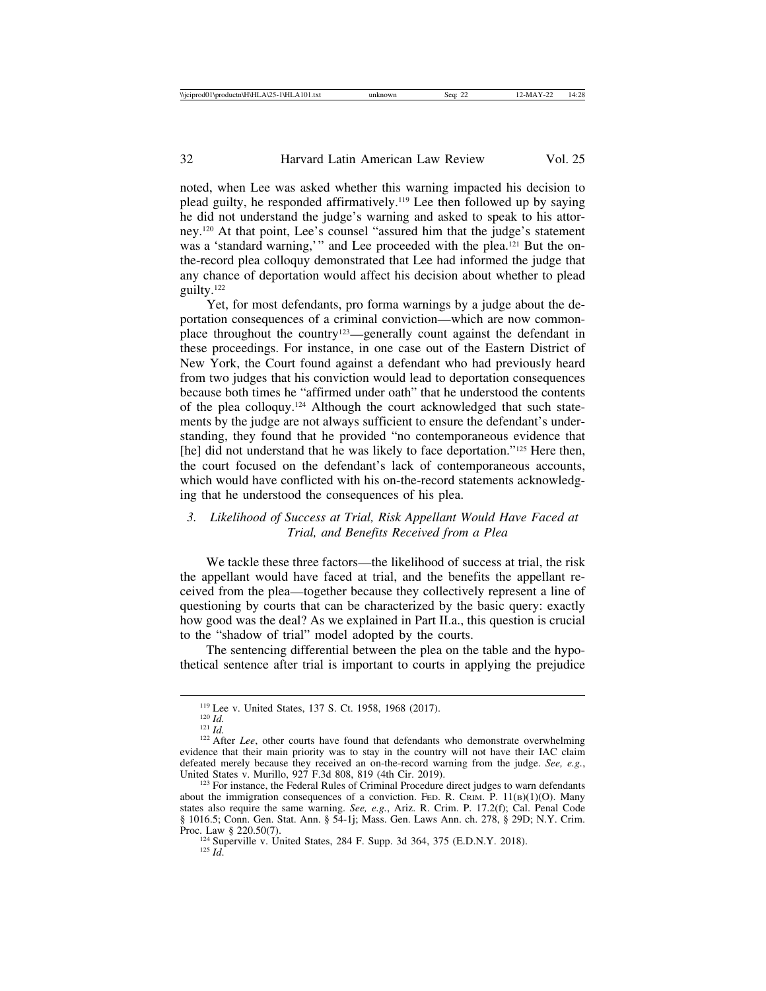noted, when Lee was asked whether this warning impacted his decision to plead guilty, he responded affirmatively.119 Lee then followed up by saying he did not understand the judge's warning and asked to speak to his attorney.120 At that point, Lee's counsel "assured him that the judge's statement was a 'standard warning,'" and Lee proceeded with the plea.<sup>121</sup> But the onthe-record plea colloquy demonstrated that Lee had informed the judge that any chance of deportation would affect his decision about whether to plead guilty.122

Yet, for most defendants, pro forma warnings by a judge about the deportation consequences of a criminal conviction—which are now commonplace throughout the country<sup>123</sup>—generally count against the defendant in these proceedings. For instance, in one case out of the Eastern District of New York, the Court found against a defendant who had previously heard from two judges that his conviction would lead to deportation consequences because both times he "affirmed under oath" that he understood the contents of the plea colloquy.124 Although the court acknowledged that such statements by the judge are not always sufficient to ensure the defendant's understanding, they found that he provided "no contemporaneous evidence that [he] did not understand that he was likely to face deportation."<sup>125</sup> Here then, the court focused on the defendant's lack of contemporaneous accounts, which would have conflicted with his on-the-record statements acknowledging that he understood the consequences of his plea.

# *3. Likelihood of Success at Trial, Risk Appellant Would Have Faced at Trial, and Benefits Received from a Plea*

We tackle these three factors—the likelihood of success at trial, the risk the appellant would have faced at trial, and the benefits the appellant received from the plea—together because they collectively represent a line of questioning by courts that can be characterized by the basic query: exactly how good was the deal? As we explained in Part II.a., this question is crucial to the "shadow of trial" model adopted by the courts.

The sentencing differential between the plea on the table and the hypothetical sentence after trial is important to courts in applying the prejudice

<sup>119</sup> Lee v. United States, 137 S. Ct. 1958, 1968 (2017).<br><sup>120</sup> *Id.* <sup>121</sup> *Id.* 121 *Id.* 122 After *Lee*, other courts have found that defendants who demonstrate overwhelming evidence that their main priority was to stay in the country will not have their IAC claim defeated merely because they received an on-the-record warning from the judge. *See, e.g.*, United States v. Murillo, 927 F.3d 808, 819 (4th Cir. 2019).

 $123$  For instance, the Federal Rules of Criminal Procedure direct judges to warn defendants about the immigration consequences of a conviction. FED. R. CRIM. P.  $11(B)(1)(O)$ . Many states also require the same warning. *See, e.g.*, Ariz. R. Crim. P. 17.2(f); Cal. Penal Code § 1016.5; Conn. Gen. Stat. Ann. § 54-1j; Mass. Gen. Laws Ann. ch. 278, § 29D; N.Y. Crim.

Proc. Law § 220.50(7).<br>
<sup>124</sup> Superville v. United States, 284 F. Supp. 3d 364, 375 (E.D.N.Y. 2018).<br>
<sup>125</sup> *Id*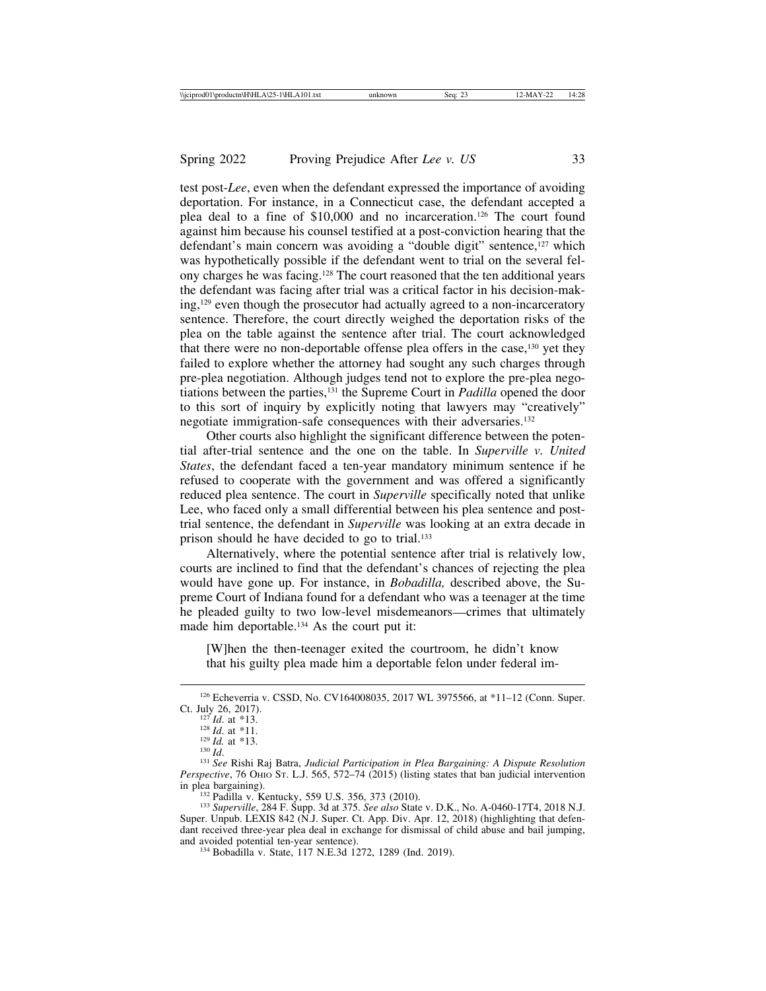test post-*Lee*, even when the defendant expressed the importance of avoiding deportation. For instance, in a Connecticut case, the defendant accepted a plea deal to a fine of \$10,000 and no incarceration.126 The court found against him because his counsel testified at a post-conviction hearing that the defendant's main concern was avoiding a "double digit" sentence,<sup>127</sup> which was hypothetically possible if the defendant went to trial on the several felony charges he was facing.128 The court reasoned that the ten additional years the defendant was facing after trial was a critical factor in his decision-making,129 even though the prosecutor had actually agreed to a non-incarceratory sentence. Therefore, the court directly weighed the deportation risks of the plea on the table against the sentence after trial. The court acknowledged that there were no non-deportable offense plea offers in the case,130 yet they failed to explore whether the attorney had sought any such charges through pre-plea negotiation. Although judges tend not to explore the pre-plea negotiations between the parties,131 the Supreme Court in *Padilla* opened the door to this sort of inquiry by explicitly noting that lawyers may "creatively" negotiate immigration-safe consequences with their adversaries.<sup>132</sup>

Other courts also highlight the significant difference between the potential after-trial sentence and the one on the table. In *Superville v. United States*, the defendant faced a ten-year mandatory minimum sentence if he refused to cooperate with the government and was offered a significantly reduced plea sentence. The court in *Superville* specifically noted that unlike Lee, who faced only a small differential between his plea sentence and posttrial sentence, the defendant in *Superville* was looking at an extra decade in prison should he have decided to go to trial.133

Alternatively, where the potential sentence after trial is relatively low, courts are inclined to find that the defendant's chances of rejecting the plea would have gone up. For instance, in *Bobadilla,* described above, the Supreme Court of Indiana found for a defendant who was a teenager at the time he pleaded guilty to two low-level misdemeanors—crimes that ultimately made him deportable.<sup>134</sup> As the court put it:

[W]hen the then-teenager exited the courtroom, he didn't know that his guilty plea made him a deportable felon under federal im-

<sup>&</sup>lt;sup>126</sup> Echeverria v. CSSD, No. CV164008035, 2017 WL 3975566, at \*11–12 (Conn. Super. Ct. July 26, 2017).

<sup>&</sup>lt;sup>127</sup> *Id.* at \*13.<br><sup>128</sup> *Id.* at \*11.<br><sup>129</sup> *Id.* at \*13.<br><sup>130</sup> *Id.* <sup>131</sup> *See* Rishi Raj Batra, *Judicial Participation in Plea Bargaining: A Dispute Resolution Perspective*, 76 OHIO ST. L.J. 565, 572–74 (2015) (listing states that ban judicial intervention in plea bargaining).

<sup>&</sup>lt;sup>132</sup> Padilla v. Kentucky, 559 U.S. 356, 373 (2010).<br><sup>133</sup> *Superville*, 284 F. Supp. 3d at 375. *See also* State v. D.K., No. A-0460-17T4, 2018 N.J. Super. Unpub. LEXIS 842 (N.J. Super. Ct. App. Div. Apr. 12, 2018) (highlighting that defendant received three-year plea deal in exchange for dismissal of child abuse and bail jumping, and avoided potential ten-year sentence).

<sup>&</sup>lt;sup>134</sup> Bobadilla v. State, 117 N.E.3d 1272, 1289 (Ind. 2019).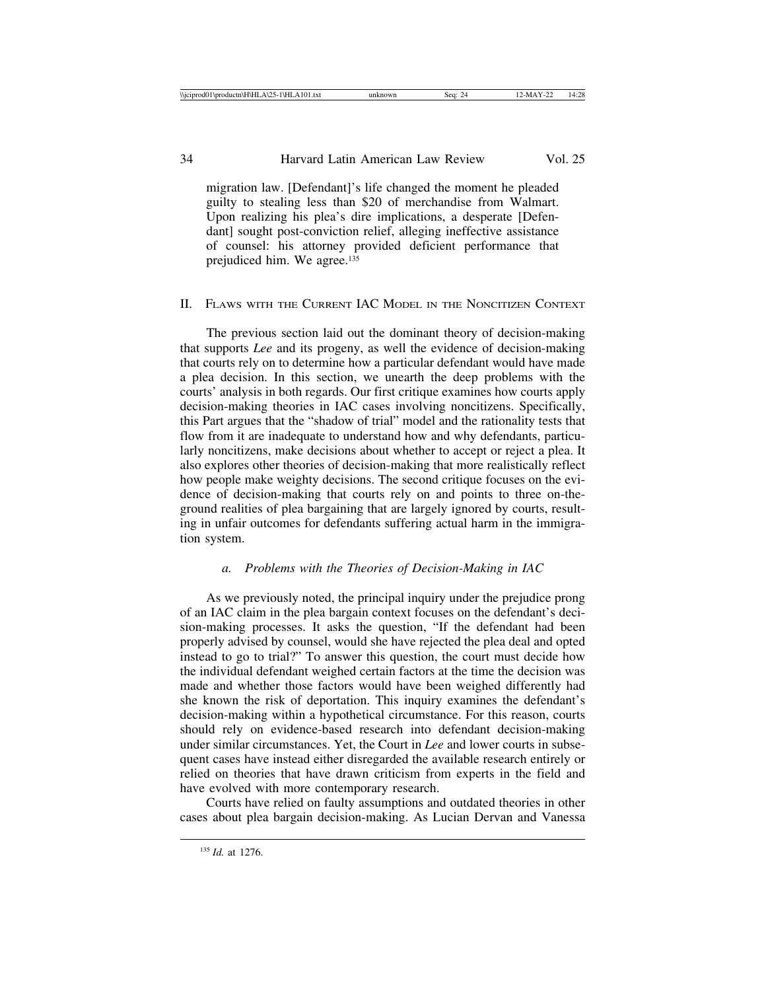migration law. [Defendant]'s life changed the moment he pleaded guilty to stealing less than \$20 of merchandise from Walmart. Upon realizing his plea's dire implications, a desperate [Defendant] sought post-conviction relief, alleging ineffective assistance of counsel: his attorney provided deficient performance that prejudiced him. We agree.<sup>135</sup>

# II. FLAWS WITH THE CURRENT IAC MODEL IN THE NONCITIZEN CONTEXT

The previous section laid out the dominant theory of decision-making that supports *Lee* and its progeny, as well the evidence of decision-making that courts rely on to determine how a particular defendant would have made a plea decision. In this section, we unearth the deep problems with the courts' analysis in both regards. Our first critique examines how courts apply decision-making theories in IAC cases involving noncitizens. Specifically, this Part argues that the "shadow of trial" model and the rationality tests that flow from it are inadequate to understand how and why defendants, particularly noncitizens, make decisions about whether to accept or reject a plea. It also explores other theories of decision-making that more realistically reflect how people make weighty decisions. The second critique focuses on the evidence of decision-making that courts rely on and points to three on-theground realities of plea bargaining that are largely ignored by courts, resulting in unfair outcomes for defendants suffering actual harm in the immigration system.

# *a. Problems with the Theories of Decision-Making in IAC*

As we previously noted, the principal inquiry under the prejudice prong of an IAC claim in the plea bargain context focuses on the defendant's decision-making processes. It asks the question, "If the defendant had been properly advised by counsel, would she have rejected the plea deal and opted instead to go to trial?" To answer this question, the court must decide how the individual defendant weighed certain factors at the time the decision was made and whether those factors would have been weighed differently had she known the risk of deportation. This inquiry examines the defendant's decision-making within a hypothetical circumstance. For this reason, courts should rely on evidence-based research into defendant decision-making under similar circumstances. Yet, the Court in *Lee* and lower courts in subsequent cases have instead either disregarded the available research entirely or relied on theories that have drawn criticism from experts in the field and have evolved with more contemporary research.

Courts have relied on faulty assumptions and outdated theories in other cases about plea bargain decision-making. As Lucian Dervan and Vanessa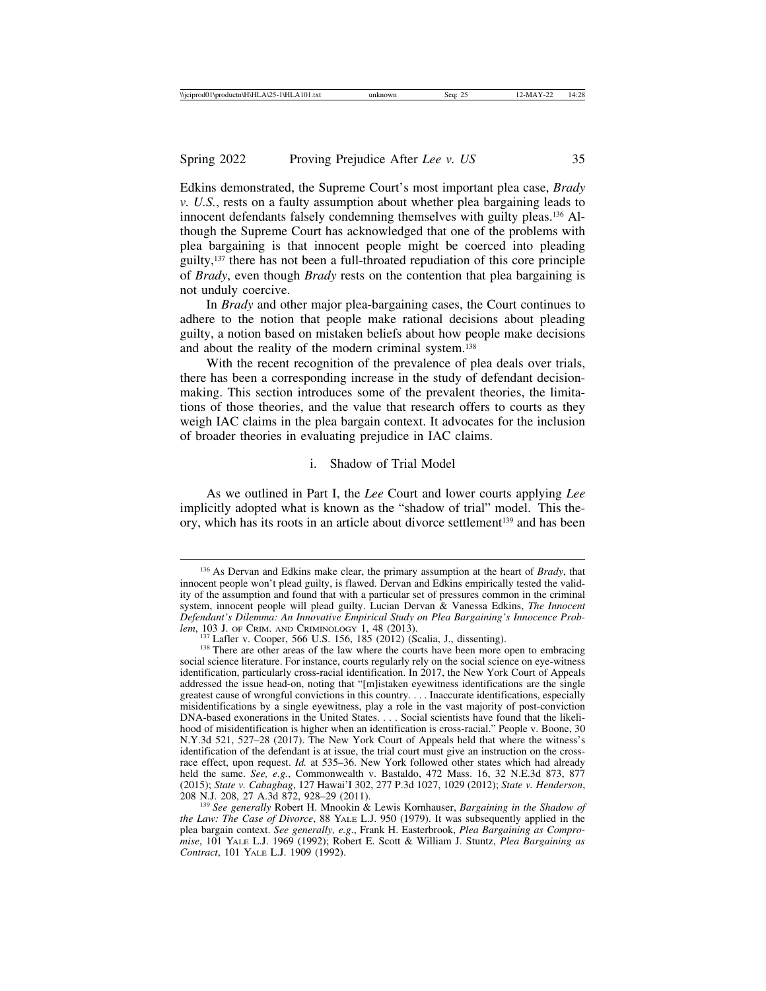Edkins demonstrated, the Supreme Court's most important plea case, *Brady v. U.S.*, rests on a faulty assumption about whether plea bargaining leads to innocent defendants falsely condemning themselves with guilty pleas.136 Although the Supreme Court has acknowledged that one of the problems with plea bargaining is that innocent people might be coerced into pleading guilty,137 there has not been a full-throated repudiation of this core principle of *Brady*, even though *Brady* rests on the contention that plea bargaining is not unduly coercive.

In *Brady* and other major plea-bargaining cases, the Court continues to adhere to the notion that people make rational decisions about pleading guilty, a notion based on mistaken beliefs about how people make decisions and about the reality of the modern criminal system.138

With the recent recognition of the prevalence of plea deals over trials, there has been a corresponding increase in the study of defendant decisionmaking. This section introduces some of the prevalent theories, the limitations of those theories, and the value that research offers to courts as they weigh IAC claims in the plea bargain context. It advocates for the inclusion of broader theories in evaluating prejudice in IAC claims.

# i. Shadow of Trial Model

As we outlined in Part I, the *Lee* Court and lower courts applying *Lee* implicitly adopted what is known as the "shadow of trial" model. This theory, which has its roots in an article about divorce settlement<sup>139</sup> and has been

<sup>136</sup> As Dervan and Edkins make clear, the primary assumption at the heart of *Brady*, that innocent people won't plead guilty, is flawed. Dervan and Edkins empirically tested the validity of the assumption and found that with a particular set of pressures common in the criminal system, innocent people will plead guilty. Lucian Dervan & Vanessa Edkins, *The Innocent Defendant's Dilemma: An Innovative Empirical Study on Plea Bargaining's Innocence Prob-*

<sup>&</sup>lt;sup>137</sup> Lafler v. Cooper, 566 U.S. 156, 185 (2012) (Scalia, J., dissenting). <sup>138</sup> There are other areas of the law where the courts have been more open to embracing social science literature. For instance, courts regularly rely on the social science on eye-witness identification, particularly cross-racial identification. In 2017, the New York Court of Appeals addressed the issue head-on, noting that "[m]istaken eyewitness identifications are the single greatest cause of wrongful convictions in this country. . . . Inaccurate identifications, especially misidentifications by a single eyewitness, play a role in the vast majority of post-conviction DNA-based exonerations in the United States. . . . Social scientists have found that the likelihood of misidentification is higher when an identification is cross-racial." People v. Boone, 30 N.Y.3d 521, 527–28 (2017). The New York Court of Appeals held that where the witness's identification of the defendant is at issue, the trial court must give an instruction on the crossrace effect, upon request. *Id.* at 535–36. New York followed other states which had already held the same. *See, e.g.*, Commonwealth v. Bastaldo, 472 Mass. 16, 32 N.E.3d 873, 877 (2015); *State v. Cabagbag*, 127 Hawai'I 302, 277 P.3d 1027, 1029 (2012); *State v. Henderson*,

<sup>&</sup>lt;sup>139</sup> See generally Robert H. Mnookin & Lewis Kornhauser, *Bargaining in the Shadow of the Law: The Case of Divorce*, 88 YALE L.J. 950 (1979). It was subsequently applied in the plea bargain context. *See generally, e.g*., Frank H. Easterbrook, *Plea Bargaining as Compromise*, 101 YALE L.J. 1969 (1992); Robert E. Scott & William J. Stuntz, *Plea Bargaining as Contract*, 101 YALE L.J. 1909 (1992).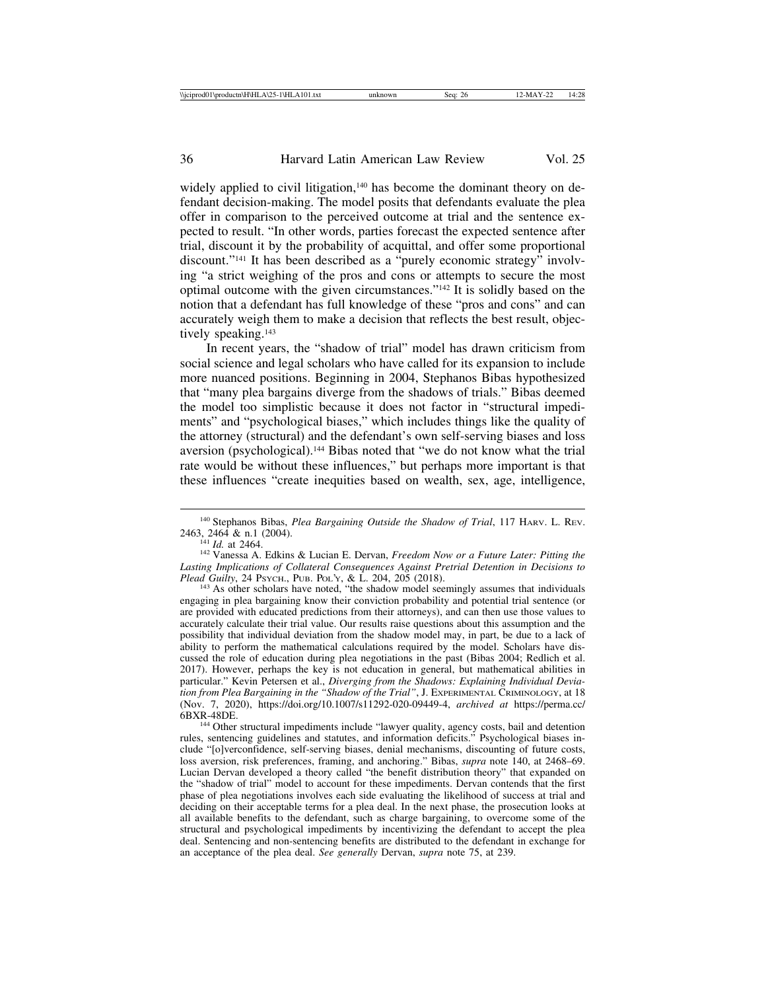widely applied to civil litigation,<sup>140</sup> has become the dominant theory on defendant decision-making. The model posits that defendants evaluate the plea offer in comparison to the perceived outcome at trial and the sentence expected to result. "In other words, parties forecast the expected sentence after trial, discount it by the probability of acquittal, and offer some proportional discount."141 It has been described as a "purely economic strategy" involving "a strict weighing of the pros and cons or attempts to secure the most optimal outcome with the given circumstances."142 It is solidly based on the notion that a defendant has full knowledge of these "pros and cons" and can accurately weigh them to make a decision that reflects the best result, objectively speaking.<sup>143</sup>

In recent years, the "shadow of trial" model has drawn criticism from social science and legal scholars who have called for its expansion to include more nuanced positions. Beginning in 2004, Stephanos Bibas hypothesized that "many plea bargains diverge from the shadows of trials." Bibas deemed the model too simplistic because it does not factor in "structural impediments" and "psychological biases," which includes things like the quality of the attorney (structural) and the defendant's own self-serving biases and loss aversion (psychological).144 Bibas noted that "we do not know what the trial rate would be without these influences," but perhaps more important is that these influences "create inequities based on wealth, sex, age, intelligence,

<sup>143</sup> As other scholars have noted, "the shadow model seemingly assumes that individuals engaging in plea bargaining know their conviction probability and potential trial sentence (or are provided with educated predictions from their attorneys), and can then use those values to accurately calculate their trial value. Our results raise questions about this assumption and the possibility that individual deviation from the shadow model may, in part, be due to a lack of ability to perform the mathematical calculations required by the model. Scholars have discussed the role of education during plea negotiations in the past (Bibas 2004; Redlich et al. 2017). However, perhaps the key is not education in general, but mathematical abilities in particular." Kevin Petersen et al., *Diverging from the Shadows: Explaining Individual Deviation from Plea Bargaining in the "Shadow of the Trial"*, J. EXPERIMENTAL CRIMINOLOGY, at 18 (Nov. 7, 2020), https://doi.org/10.1007/s11292-020-09449-4, *archived at* https://perma.cc/

<sup>144</sup> Other structural impediments include "lawyer quality, agency costs, bail and detention rules, sentencing guidelines and statutes, and information deficits." Psychological biases include "[o]verconfidence, self-serving biases, denial mechanisms, discounting of future costs, loss aversion, risk preferences, framing, and anchoring." Bibas, *supra* note 140, at 2468–69. Lucian Dervan developed a theory called "the benefit distribution theory" that expanded on the "shadow of trial" model to account for these impediments. Dervan contends that the first phase of plea negotiations involves each side evaluating the likelihood of success at trial and deciding on their acceptable terms for a plea deal. In the next phase, the prosecution looks at all available benefits to the defendant, such as charge bargaining, to overcome some of the structural and psychological impediments by incentivizing the defendant to accept the plea deal. Sentencing and non-sentencing benefits are distributed to the defendant in exchange for an acceptance of the plea deal. *See generally* Dervan, *supra* note 75, at 239.

<sup>&</sup>lt;sup>140</sup> Stephanos Bibas, *Plea Bargaining Outside the Shadow of Trial*, 117 HARV. L. REV. 2463, 2464 & n.1 (2004).

<sup>&</sup>lt;sup>244</sup> *Id.* at 2464.<br><sup>142</sup> Vanessa A. Edkins & Lucian E. Dervan, *Freedom Now or a Future Later: Pitting the* Lasting Implications of Collateral Consequences Against Pretrial Detention in Decisions to Plead Guilty, 24 Psych., Pub. Pol.'x, & L. 204, 205 (2018).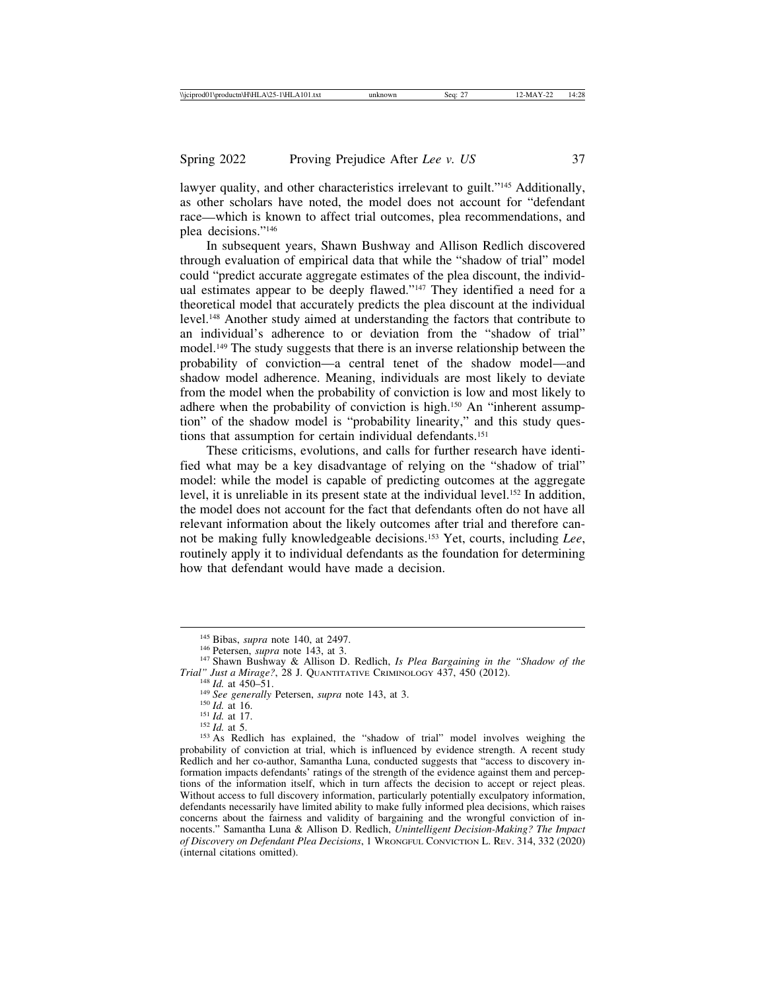lawyer quality, and other characteristics irrelevant to guilt."<sup>145</sup> Additionally, as other scholars have noted, the model does not account for "defendant race—which is known to affect trial outcomes, plea recommendations, and plea decisions."146

In subsequent years, Shawn Bushway and Allison Redlich discovered through evaluation of empirical data that while the "shadow of trial" model could "predict accurate aggregate estimates of the plea discount, the individual estimates appear to be deeply flawed."<sup>147</sup> They identified a need for a theoretical model that accurately predicts the plea discount at the individual level.148 Another study aimed at understanding the factors that contribute to an individual's adherence to or deviation from the "shadow of trial" model.149 The study suggests that there is an inverse relationship between the probability of conviction—a central tenet of the shadow model—and shadow model adherence. Meaning, individuals are most likely to deviate from the model when the probability of conviction is low and most likely to adhere when the probability of conviction is high.150 An "inherent assumption" of the shadow model is "probability linearity," and this study questions that assumption for certain individual defendants.151

These criticisms, evolutions, and calls for further research have identified what may be a key disadvantage of relying on the "shadow of trial" model: while the model is capable of predicting outcomes at the aggregate level, it is unreliable in its present state at the individual level.152 In addition, the model does not account for the fact that defendants often do not have all relevant information about the likely outcomes after trial and therefore cannot be making fully knowledgeable decisions.153 Yet, courts, including *Lee*, routinely apply it to individual defendants as the foundation for determining how that defendant would have made a decision.

<sup>&</sup>lt;sup>145</sup> Bibas, *supra* note 140, at 2497.<br><sup>146</sup> Petersen, *supra* note 143, at 3.<br><sup>147</sup> Shawn Bushway & Allison D. Redlich, *Is Plea Bargaining in the "Shadow of the*<br>*Trial" Just a Mirage?*, 28 J. QUANTITATIVE CRIMINOLOGY 4

<sup>&</sup>lt;sup>148</sup> *Id.* at 450–51.<br>
<sup>148</sup> *Id.* at 450–51.<br>
<sup>148</sup> *Id.* at 16.<br>
<sup>150</sup> *Id.* at 16.<br>
<sup>151</sup> *Id.* at 17.<br>
<sup>152</sup> *Id.* at 5.<br>
<sup>152</sup> *Id.* at 5.<br>
<sup>152</sup> *Id.* at 5.<br>
<sup>153</sup> As Redlich has explained, the "shadow of trial" mo probability of conviction at trial, which is influenced by evidence strength. A recent study Redlich and her co-author, Samantha Luna, conducted suggests that "access to discovery information impacts defendants' ratings of the strength of the evidence against them and perceptions of the information itself, which in turn affects the decision to accept or reject pleas. Without access to full discovery information, particularly potentially exculpatory information, defendants necessarily have limited ability to make fully informed plea decisions, which raises concerns about the fairness and validity of bargaining and the wrongful conviction of innocents." Samantha Luna & Allison D. Redlich, *Unintelligent Decision-Making? The Impact of Discovery on Defendant Plea Decisions*, 1 WRONGFUL CONVICTION L. REV. 314, 332 (2020) (internal citations omitted).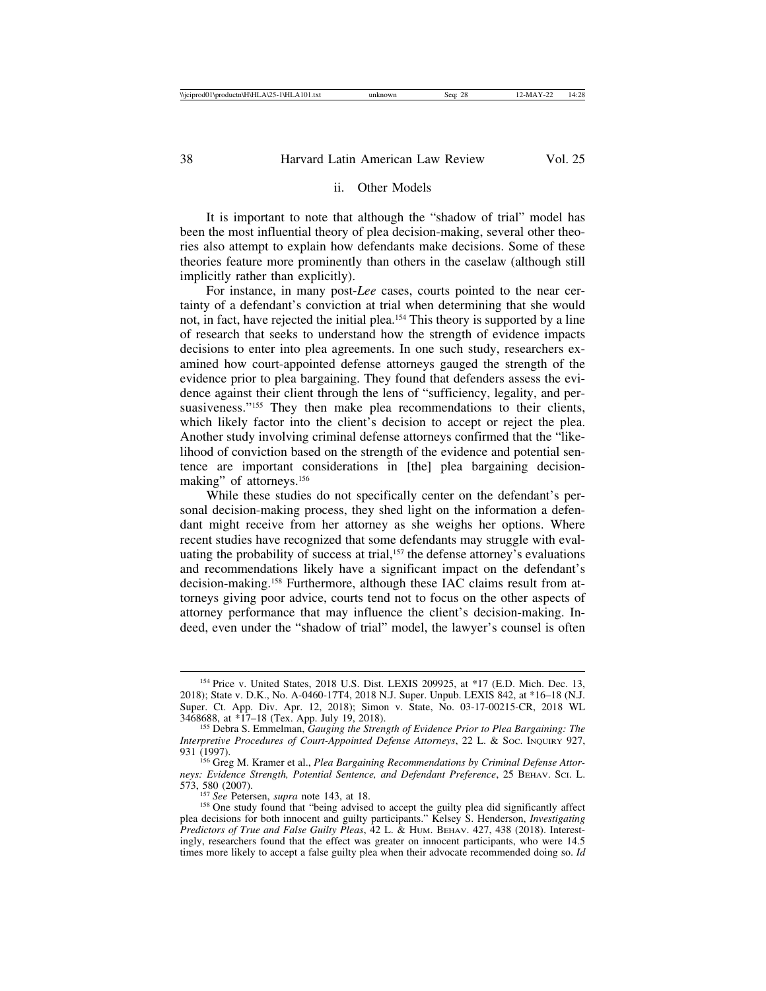# ii. Other Models

It is important to note that although the "shadow of trial" model has been the most influential theory of plea decision-making, several other theories also attempt to explain how defendants make decisions. Some of these theories feature more prominently than others in the caselaw (although still implicitly rather than explicitly).

For instance, in many post-*Lee* cases, courts pointed to the near certainty of a defendant's conviction at trial when determining that she would not, in fact, have rejected the initial plea.154 This theory is supported by a line of research that seeks to understand how the strength of evidence impacts decisions to enter into plea agreements. In one such study, researchers examined how court-appointed defense attorneys gauged the strength of the evidence prior to plea bargaining. They found that defenders assess the evidence against their client through the lens of "sufficiency, legality, and persuasiveness."<sup>155</sup> They then make plea recommendations to their clients, which likely factor into the client's decision to accept or reject the plea. Another study involving criminal defense attorneys confirmed that the "likelihood of conviction based on the strength of the evidence and potential sentence are important considerations in [the] plea bargaining decisionmaking" of attorneys.<sup>156</sup>

While these studies do not specifically center on the defendant's personal decision-making process, they shed light on the information a defendant might receive from her attorney as she weighs her options. Where recent studies have recognized that some defendants may struggle with evaluating the probability of success at trial,<sup>157</sup> the defense attorney's evaluations and recommendations likely have a significant impact on the defendant's decision-making.158 Furthermore, although these IAC claims result from attorneys giving poor advice, courts tend not to focus on the other aspects of attorney performance that may influence the client's decision-making. Indeed, even under the "shadow of trial" model, the lawyer's counsel is often

<sup>154</sup> Price v. United States, 2018 U.S. Dist. LEXIS 209925, at \*17 (E.D. Mich. Dec. 13, 2018); State v. D.K., No. A-0460-17T4, 2018 N.J. Super. Unpub. LEXIS 842, at \*16–18 (N.J. Super. Ct. App. Div. Apr. 12, 2018); Simon v. State, No. 03-17-00215-CR, 2018 WL 3468688, at \*17–18 (Tex. App. July 19, 2018).

<sup>&</sup>lt;sup>155</sup> Debra S. Emmelman, *Gauging the Strength of Evidence Prior to Plea Bargaining: The Interpretive Procedures of Court-Appointed Defense Attorneys*, 22 L. & Soc. INQUIRY 927, 931 (1997).

<sup>&</sup>lt;sup>156</sup> Greg M. Kramer et al., *Plea Bargaining Recommendations by Criminal Defense Attorneys: Evidence Strength, Potential Sentence, and Defendant Preference, 25 BEHAV. SCI. L.* 573, 580 (2007).<br><sup>157</sup> *See Petersen, supra note 143, at 18.* 

<sup>&</sup>lt;sup>158</sup> One study found that "being advised to accept the guilty plea did significantly affect plea decisions for both innocent and guilty participants." Kelsey S. Henderson, *Investigating Predictors of True and False Guilty Pleas*, 42 L. & HUM. BEHAV. 427, 438 (2018). Interestingly, researchers found that the effect was greater on innocent participants, who were 14.5 times more likely to accept a false guilty plea when their advocate recommended doing so. *Id*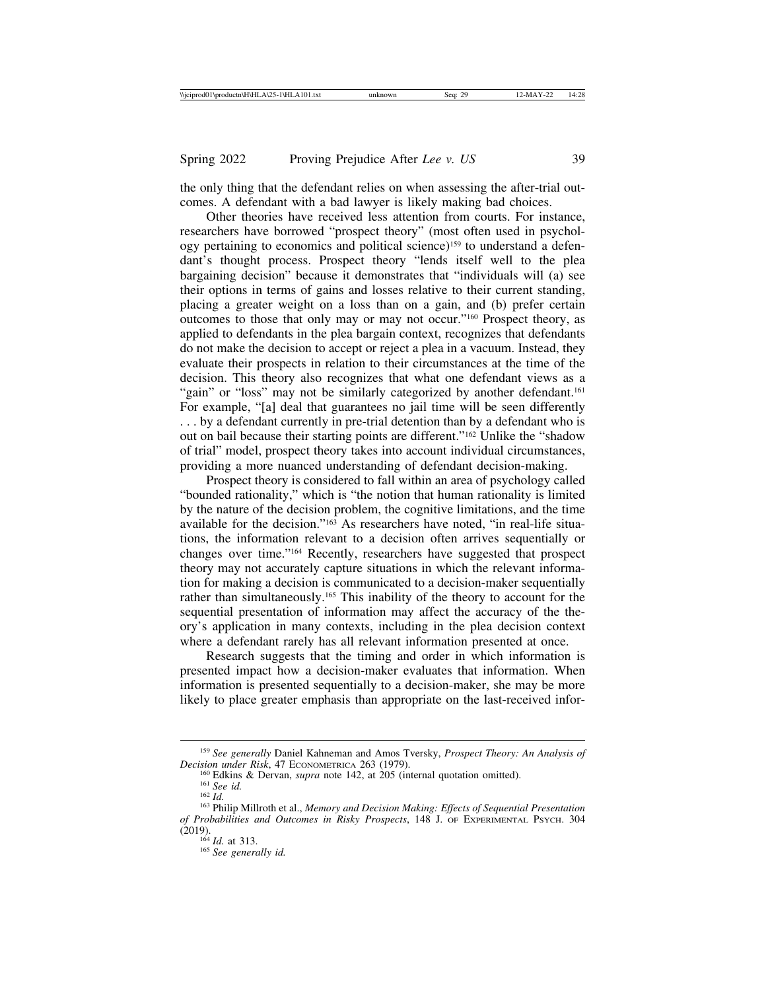the only thing that the defendant relies on when assessing the after-trial outcomes. A defendant with a bad lawyer is likely making bad choices.

Other theories have received less attention from courts. For instance, researchers have borrowed "prospect theory" (most often used in psychology pertaining to economics and political science)159 to understand a defendant's thought process. Prospect theory "lends itself well to the plea bargaining decision" because it demonstrates that "individuals will (a) see their options in terms of gains and losses relative to their current standing, placing a greater weight on a loss than on a gain, and (b) prefer certain outcomes to those that only may or may not occur."160 Prospect theory, as applied to defendants in the plea bargain context, recognizes that defendants do not make the decision to accept or reject a plea in a vacuum. Instead, they evaluate their prospects in relation to their circumstances at the time of the decision. This theory also recognizes that what one defendant views as a "gain" or "loss" may not be similarly categorized by another defendant.<sup>161</sup> For example, "[a] deal that guarantees no jail time will be seen differently . . . by a defendant currently in pre-trial detention than by a defendant who is out on bail because their starting points are different."162 Unlike the "shadow of trial" model, prospect theory takes into account individual circumstances, providing a more nuanced understanding of defendant decision-making.

Prospect theory is considered to fall within an area of psychology called "bounded rationality," which is "the notion that human rationality is limited by the nature of the decision problem, the cognitive limitations, and the time available for the decision."163 As researchers have noted, "in real-life situations, the information relevant to a decision often arrives sequentially or changes over time."164 Recently, researchers have suggested that prospect theory may not accurately capture situations in which the relevant information for making a decision is communicated to a decision-maker sequentially rather than simultaneously.165 This inability of the theory to account for the sequential presentation of information may affect the accuracy of the theory's application in many contexts, including in the plea decision context where a defendant rarely has all relevant information presented at once.

Research suggests that the timing and order in which information is presented impact how a decision-maker evaluates that information. When information is presented sequentially to a decision-maker, she may be more likely to place greater emphasis than appropriate on the last-received infor-

<sup>159</sup> *See generally* Daniel Kahneman and Amos Tversky, *Prospect Theory: An Analysis of*

<sup>&</sup>lt;sup>160</sup> Edkins & Dervan, *supra* note 142, at 205 (internal quotation omitted).<br><sup>161</sup> *See id.*<br><sup>162</sup> *Id.*<br><sup>162</sup> *Id.*<br><sup>162</sup> Philip Millroth et al., *Memory and Decision Making: Effects of Sequential Presentation* 

*of Probabilities and Outcomes in Risky Prospects*, 148 J. OF EXPERIMENTAL PSYCH. 304 (2019). <sup>164</sup> *Id.* at 313. <sup>165</sup> *See generally id.*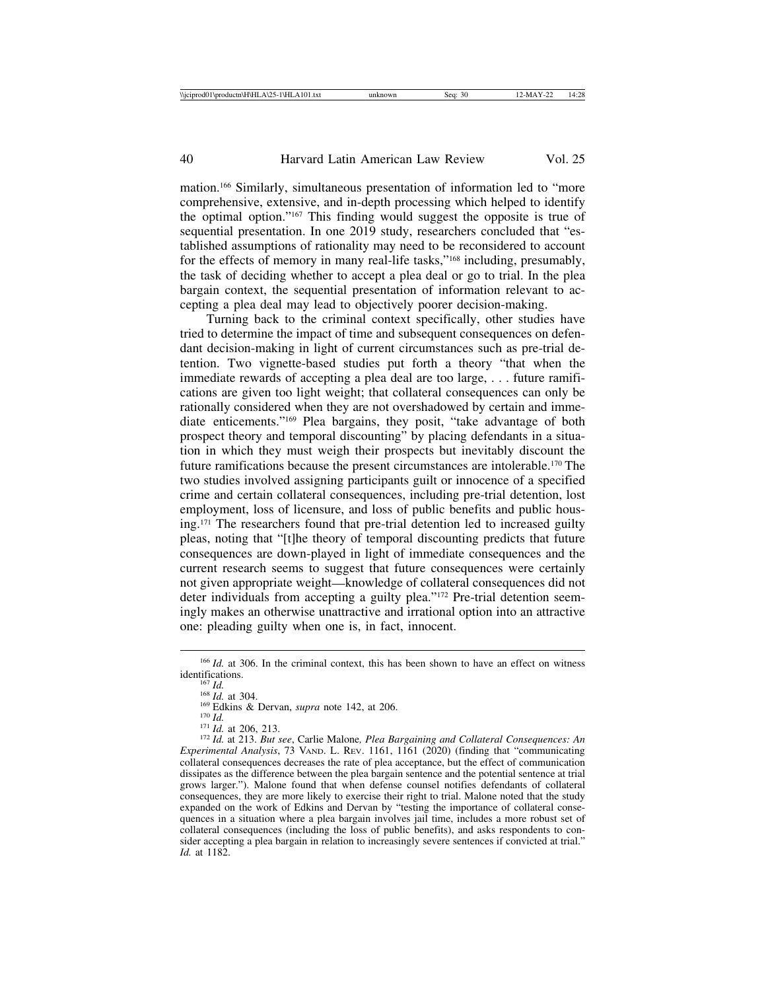mation.166 Similarly, simultaneous presentation of information led to "more comprehensive, extensive, and in-depth processing which helped to identify the optimal option."167 This finding would suggest the opposite is true of sequential presentation. In one 2019 study, researchers concluded that "established assumptions of rationality may need to be reconsidered to account for the effects of memory in many real-life tasks,"168 including, presumably, the task of deciding whether to accept a plea deal or go to trial. In the plea bargain context, the sequential presentation of information relevant to accepting a plea deal may lead to objectively poorer decision-making.

Turning back to the criminal context specifically, other studies have tried to determine the impact of time and subsequent consequences on defendant decision-making in light of current circumstances such as pre-trial detention. Two vignette-based studies put forth a theory "that when the immediate rewards of accepting a plea deal are too large, . . . future ramifications are given too light weight; that collateral consequences can only be rationally considered when they are not overshadowed by certain and immediate enticements."169 Plea bargains, they posit, "take advantage of both prospect theory and temporal discounting" by placing defendants in a situation in which they must weigh their prospects but inevitably discount the future ramifications because the present circumstances are intolerable.170 The two studies involved assigning participants guilt or innocence of a specified crime and certain collateral consequences, including pre-trial detention, lost employment, loss of licensure, and loss of public benefits and public housing.171 The researchers found that pre-trial detention led to increased guilty pleas, noting that "[t]he theory of temporal discounting predicts that future consequences are down-played in light of immediate consequences and the current research seems to suggest that future consequences were certainly not given appropriate weight—knowledge of collateral consequences did not deter individuals from accepting a guilty plea."172 Pre-trial detention seemingly makes an otherwise unattractive and irrational option into an attractive one: pleading guilty when one is, in fact, innocent.

<sup>&</sup>lt;sup>166</sup> *Id.* at 306. In the criminal context, this has been shown to have an effect on witness identifications.

<sup>&</sup>lt;sup>167</sup> *Id.*<br><sup>168</sup> *Id.* at 304.<br><sup>169</sup> Edkins & Dervan, *supra* note 142, at 206.<br><sup>170</sup> *Id.*<br><sup>171</sup> *Id.* at 206, 213.<br><sup>172</sup> *Id.* at 213. *But see*, Carlie Malone, *Plea Bargaining and Collateral Consequences: An Experimental Analysis*, 73 VAND. L. REV. 1161, 1161 (2020) (finding that "communicating collateral consequences decreases the rate of plea acceptance, but the effect of communication dissipates as the difference between the plea bargain sentence and the potential sentence at trial grows larger."). Malone found that when defense counsel notifies defendants of collateral consequences, they are more likely to exercise their right to trial. Malone noted that the study expanded on the work of Edkins and Dervan by "testing the importance of collateral consequences in a situation where a plea bargain involves jail time, includes a more robust set of collateral consequences (including the loss of public benefits), and asks respondents to consider accepting a plea bargain in relation to increasingly severe sentences if convicted at trial." *Id.* at 1182.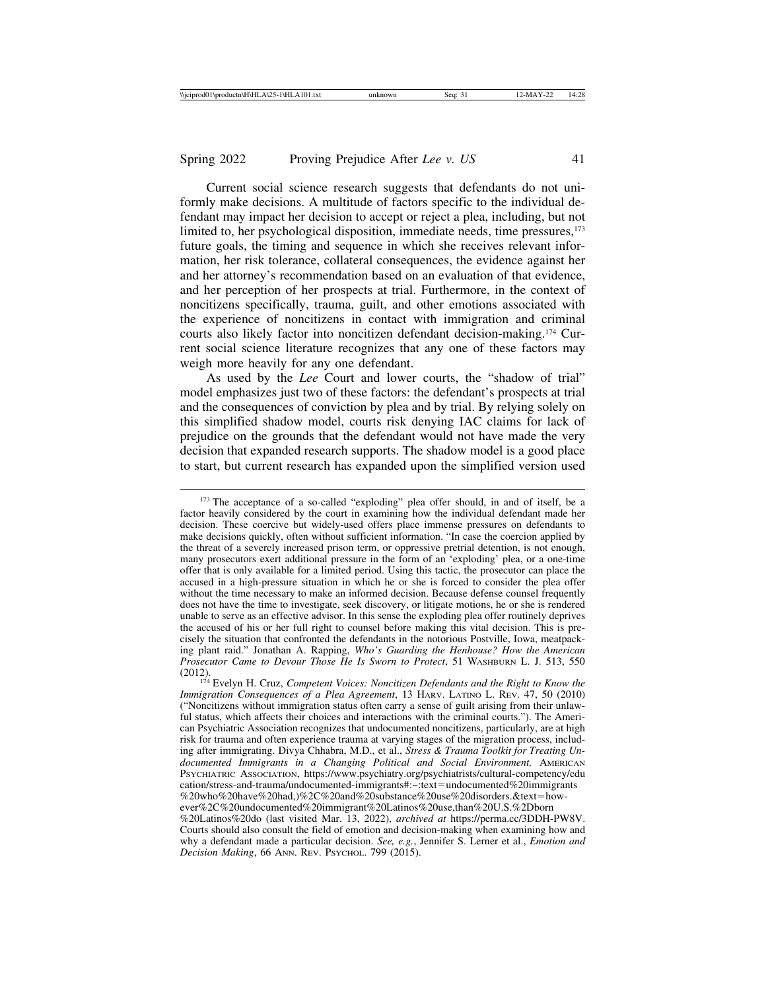Current social science research suggests that defendants do not uniformly make decisions. A multitude of factors specific to the individual defendant may impact her decision to accept or reject a plea, including, but not limited to, her psychological disposition, immediate needs, time pressures,<sup>173</sup> future goals, the timing and sequence in which she receives relevant information, her risk tolerance, collateral consequences, the evidence against her and her attorney's recommendation based on an evaluation of that evidence, and her perception of her prospects at trial. Furthermore, in the context of noncitizens specifically, trauma, guilt, and other emotions associated with the experience of noncitizens in contact with immigration and criminal courts also likely factor into noncitizen defendant decision-making.174 Current social science literature recognizes that any one of these factors may weigh more heavily for any one defendant.

As used by the *Lee* Court and lower courts, the "shadow of trial" model emphasizes just two of these factors: the defendant's prospects at trial and the consequences of conviction by plea and by trial. By relying solely on this simplified shadow model, courts risk denying IAC claims for lack of prejudice on the grounds that the defendant would not have made the very decision that expanded research supports. The shadow model is a good place to start, but current research has expanded upon the simplified version used

<sup>&</sup>lt;sup>173</sup> The acceptance of a so-called "exploding" plea offer should, in and of itself, be a factor heavily considered by the court in examining how the individual defendant made her decision. These coercive but widely-used offers place immense pressures on defendants to make decisions quickly, often without sufficient information. "In case the coercion applied by the threat of a severely increased prison term, or oppressive pretrial detention, is not enough, many prosecutors exert additional pressure in the form of an 'exploding' plea, or a one-time offer that is only available for a limited period. Using this tactic, the prosecutor can place the accused in a high-pressure situation in which he or she is forced to consider the plea offer without the time necessary to make an informed decision. Because defense counsel frequently does not have the time to investigate, seek discovery, or litigate motions, he or she is rendered unable to serve as an effective advisor. In this sense the exploding plea offer routinely deprives the accused of his or her full right to counsel before making this vital decision. This is precisely the situation that confronted the defendants in the notorious Postville, Iowa, meatpacking plant raid." Jonathan A. Rapping, *Who's Guarding the Henhouse? How the American Prosecutor Came to Devour Those He Is Sworn to Protect*, 51 WASHBURN L. J. 513, 550 (2012).

<sup>&</sup>lt;sup>174</sup> Evelyn H. Cruz, *Competent Voices: Noncitizen Defendants and the Right to Know the Immigration Consequences of a Plea Agreement*, 13 HARV. LATINO L. REV. 47, 50 (2010) ("Noncitizens without immigration status often carry a sense of guilt arising from their unlawful status, which affects their choices and interactions with the criminal courts."). The American Psychiatric Association recognizes that undocumented noncitizens, particularly, are at high risk for trauma and often experience trauma at varying stages of the migration process, including after immigrating. Divya Chhabra, M.D., et al., *Stress & Trauma Toolkit for Treating Undocumented Immigrants in a Changing Political and Social Environment,* AMERICAN PSYCHIATRIC ASSOCIATION, https://www.psychiatry.org/psychiatrists/cultural-competency/edu cation/stress-and-trauma/undocumented-immigrants#:~:text=undocumented%20immigrants %20who%20have%20had,)%2C%20and%20substance%20use%20disorders.&text=however%2C%20undocumented%20immigrant%20Latinos%20use,than%20U.S.%2Dborn %20Latinos%20do (last visited Mar. 13, 2022), *archived at* https://perma.cc/3DDH-PW8V. Courts should also consult the field of emotion and decision-making when examining how and why a defendant made a particular decision. *See, e.g.*, Jennifer S. Lerner et al., *Emotion and Decision Making*, 66 ANN. REV. PSYCHOL. 799 (2015).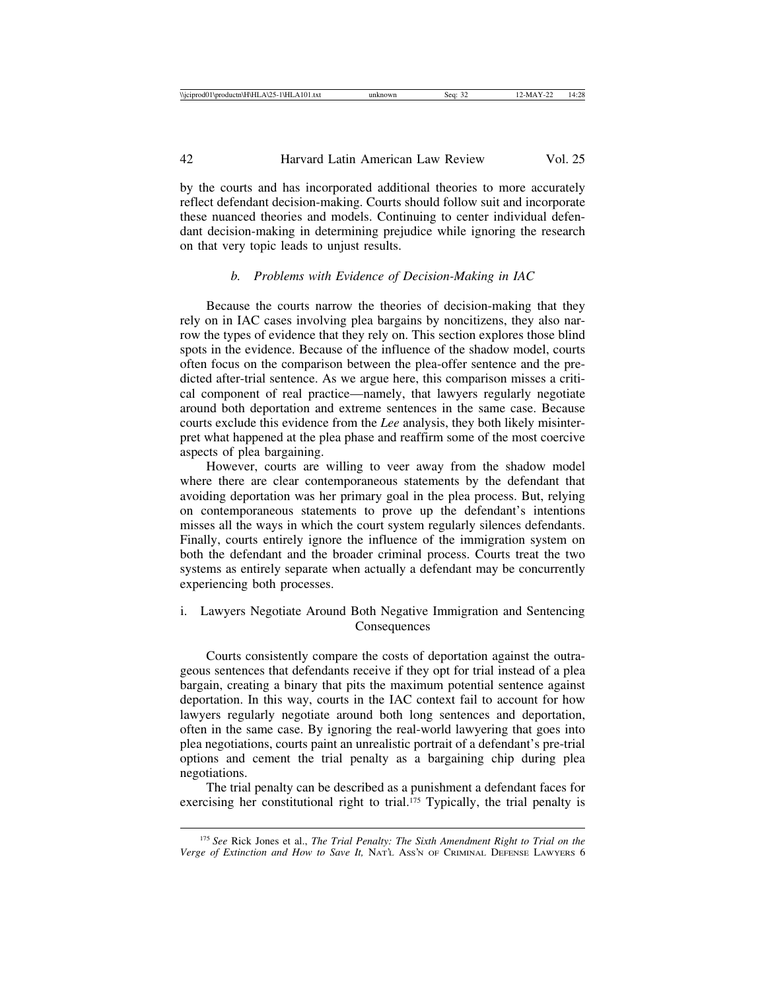by the courts and has incorporated additional theories to more accurately reflect defendant decision-making. Courts should follow suit and incorporate these nuanced theories and models. Continuing to center individual defendant decision-making in determining prejudice while ignoring the research on that very topic leads to unjust results.

#### *b. Problems with Evidence of Decision-Making in IAC*

Because the courts narrow the theories of decision-making that they rely on in IAC cases involving plea bargains by noncitizens, they also narrow the types of evidence that they rely on. This section explores those blind spots in the evidence. Because of the influence of the shadow model, courts often focus on the comparison between the plea-offer sentence and the predicted after-trial sentence. As we argue here, this comparison misses a critical component of real practice—namely, that lawyers regularly negotiate around both deportation and extreme sentences in the same case. Because courts exclude this evidence from the *Lee* analysis, they both likely misinterpret what happened at the plea phase and reaffirm some of the most coercive aspects of plea bargaining.

However, courts are willing to veer away from the shadow model where there are clear contemporaneous statements by the defendant that avoiding deportation was her primary goal in the plea process. But, relying on contemporaneous statements to prove up the defendant's intentions misses all the ways in which the court system regularly silences defendants. Finally, courts entirely ignore the influence of the immigration system on both the defendant and the broader criminal process. Courts treat the two systems as entirely separate when actually a defendant may be concurrently experiencing both processes.

i. Lawyers Negotiate Around Both Negative Immigration and Sentencing Consequences

Courts consistently compare the costs of deportation against the outrageous sentences that defendants receive if they opt for trial instead of a plea bargain, creating a binary that pits the maximum potential sentence against deportation. In this way, courts in the IAC context fail to account for how lawyers regularly negotiate around both long sentences and deportation, often in the same case. By ignoring the real-world lawyering that goes into plea negotiations, courts paint an unrealistic portrait of a defendant's pre-trial options and cement the trial penalty as a bargaining chip during plea negotiations.

The trial penalty can be described as a punishment a defendant faces for exercising her constitutional right to trial.<sup>175</sup> Typically, the trial penalty is

<sup>175</sup> *See* Rick Jones et al., *The Trial Penalty: The Sixth Amendment Right to Trial on the Verge of Extinction and How to Save It,* NAT'L ASS'N OF CRIMINAL DEFENSE LAWYERS 6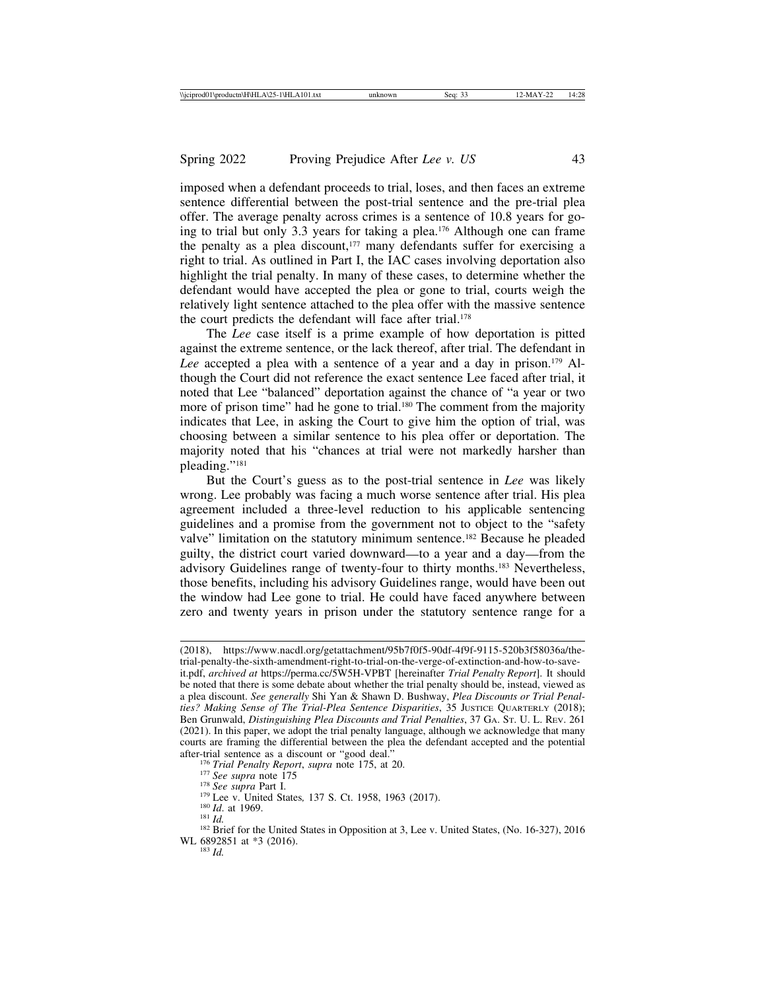imposed when a defendant proceeds to trial, loses, and then faces an extreme sentence differential between the post-trial sentence and the pre-trial plea offer. The average penalty across crimes is a sentence of 10.8 years for going to trial but only 3.3 years for taking a plea.176 Although one can frame the penalty as a plea discount, $177$  many defendants suffer for exercising a right to trial. As outlined in Part I, the IAC cases involving deportation also highlight the trial penalty. In many of these cases, to determine whether the defendant would have accepted the plea or gone to trial, courts weigh the relatively light sentence attached to the plea offer with the massive sentence the court predicts the defendant will face after trial.178

The *Lee* case itself is a prime example of how deportation is pitted against the extreme sentence, or the lack thereof, after trial. The defendant in Lee accepted a plea with a sentence of a year and a day in prison.<sup>179</sup> Although the Court did not reference the exact sentence Lee faced after trial, it noted that Lee "balanced" deportation against the chance of "a year or two more of prison time" had he gone to trial.<sup>180</sup> The comment from the majority indicates that Lee, in asking the Court to give him the option of trial, was choosing between a similar sentence to his plea offer or deportation. The majority noted that his "chances at trial were not markedly harsher than pleading."181

But the Court's guess as to the post-trial sentence in *Lee* was likely wrong. Lee probably was facing a much worse sentence after trial. His plea agreement included a three-level reduction to his applicable sentencing guidelines and a promise from the government not to object to the "safety valve" limitation on the statutory minimum sentence.<sup>182</sup> Because he pleaded guilty, the district court varied downward—to a year and a day—from the advisory Guidelines range of twenty-four to thirty months.183 Nevertheless, those benefits, including his advisory Guidelines range, would have been out the window had Lee gone to trial. He could have faced anywhere between zero and twenty years in prison under the statutory sentence range for a

<sup>(2018),</sup> https://www.nacdl.org/getattachment/95b7f0f5-90df-4f9f-9115-520b3f58036a/thetrial-penalty-the-sixth-amendment-right-to-trial-on-the-verge-of-extinction-and-how-to-saveit.pdf, *archived at* https://perma.cc/5W5H-VPBT [hereinafter *Trial Penalty Report*]. It should be noted that there is some debate about whether the trial penalty should be, instead, viewed as a plea discount. *See generally* Shi Yan & Shawn D. Bushway, *Plea Discounts or Trial Penalties? Making Sense of The Trial-Plea Sentence Disparities*, 35 JUSTICE QUARTERLY (2018); Ben Grunwald, *Distinguishing Plea Discounts and Trial Penalties*, 37 GA. ST. U. L. REV. 261 (2021). In this paper, we adopt the trial penalty language, although we acknowledge that many courts are framing the differential between the plea the defendant accepted and the potential

<sup>&</sup>lt;sup>176</sup> Trial Penalty Report, supra note 175, at 20.<br><sup>177</sup> See supra note 175<br><sup>178</sup> See supra Part I.<br><sup>179</sup> Lee v. United States, 137 S. Ct. 1958, 1963 (2017).<br><sup>180</sup> Id. at 1969.<br><sup>180</sup> Id. at 1969.<br><sup>181</sup> Id. WL 6892851 at \*3 (2016).<br><sup>183</sup> *Id.*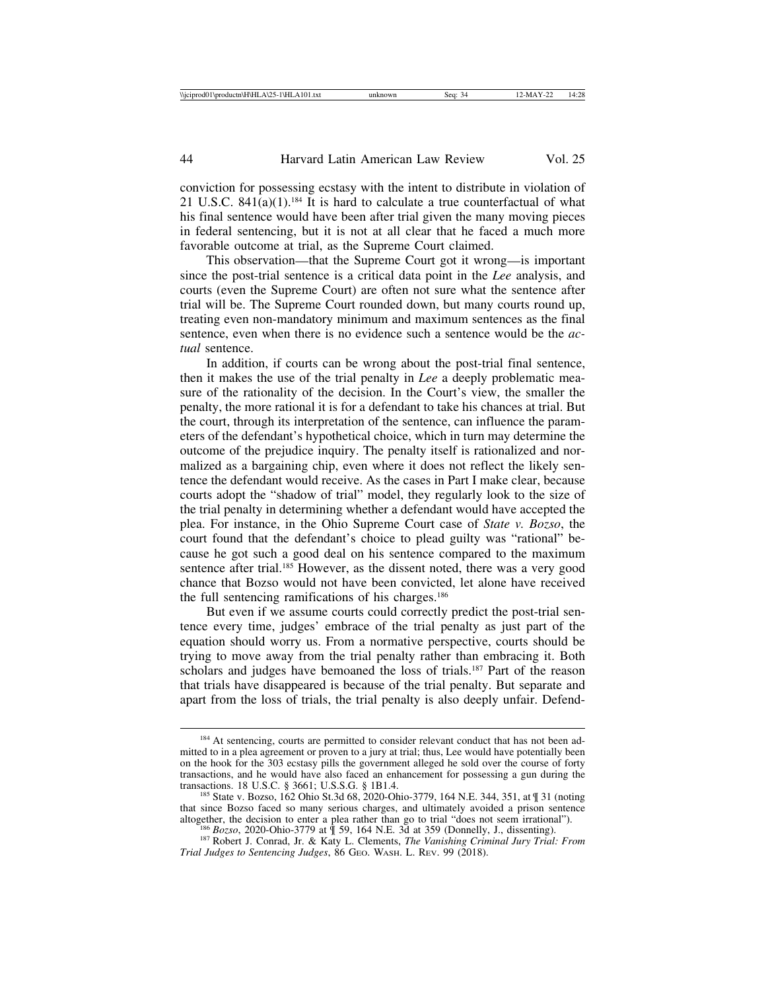conviction for possessing ecstasy with the intent to distribute in violation of 21 U.S.C.  $841(a)(1)$ <sup>184</sup> It is hard to calculate a true counterfactual of what his final sentence would have been after trial given the many moving pieces in federal sentencing, but it is not at all clear that he faced a much more favorable outcome at trial, as the Supreme Court claimed.

This observation—that the Supreme Court got it wrong—is important since the post-trial sentence is a critical data point in the *Lee* analysis, and courts (even the Supreme Court) are often not sure what the sentence after trial will be. The Supreme Court rounded down, but many courts round up, treating even non-mandatory minimum and maximum sentences as the final sentence, even when there is no evidence such a sentence would be the *actual* sentence.

In addition, if courts can be wrong about the post-trial final sentence, then it makes the use of the trial penalty in *Lee* a deeply problematic measure of the rationality of the decision. In the Court's view, the smaller the penalty, the more rational it is for a defendant to take his chances at trial. But the court, through its interpretation of the sentence, can influence the parameters of the defendant's hypothetical choice, which in turn may determine the outcome of the prejudice inquiry. The penalty itself is rationalized and normalized as a bargaining chip, even where it does not reflect the likely sentence the defendant would receive. As the cases in Part I make clear, because courts adopt the "shadow of trial" model, they regularly look to the size of the trial penalty in determining whether a defendant would have accepted the plea. For instance, in the Ohio Supreme Court case of *State v. Bozso*, the court found that the defendant's choice to plead guilty was "rational" because he got such a good deal on his sentence compared to the maximum sentence after trial.<sup>185</sup> However, as the dissent noted, there was a very good chance that Bozso would not have been convicted, let alone have received the full sentencing ramifications of his charges.186

But even if we assume courts could correctly predict the post-trial sentence every time, judges' embrace of the trial penalty as just part of the equation should worry us. From a normative perspective, courts should be trying to move away from the trial penalty rather than embracing it. Both scholars and judges have bemoaned the loss of trials.187 Part of the reason that trials have disappeared is because of the trial penalty. But separate and apart from the loss of trials, the trial penalty is also deeply unfair. Defend-

*Trial Judges to Sentencing Judges*, 86 GEO. WASH. L. REV. 99 (2018).

<sup>&</sup>lt;sup>184</sup> At sentencing, courts are permitted to consider relevant conduct that has not been admitted to in a plea agreement or proven to a jury at trial; thus, Lee would have potentially been on the hook for the 303 ecstasy pills the government alleged he sold over the course of forty transactions, and he would have also faced an enhancement for possessing a gun during the transactions. 18 U.S.C. § 3661; U.S.S.G. § 1B1.4.

<sup>&</sup>lt;sup>185</sup> State v. Bozso, 162 Ohio St.3d 68, 2020-Ohio-3779, 164 N.E. 344, 351, at ¶ 31 (noting that since Bozso faced so many serious charges, and ultimately avoided a prison sentence altogether, the decision to enter a plea rather than go to trial "does not seem irrational").<br><sup>186</sup> Bozso, 2020-Ohio-3779 at ¶ 59, 164 N.E. 3d at 359 (Donnelly, J., dissenting).<br><sup>187</sup> Robert J. Conrad, Jr. & Katy L. Clemen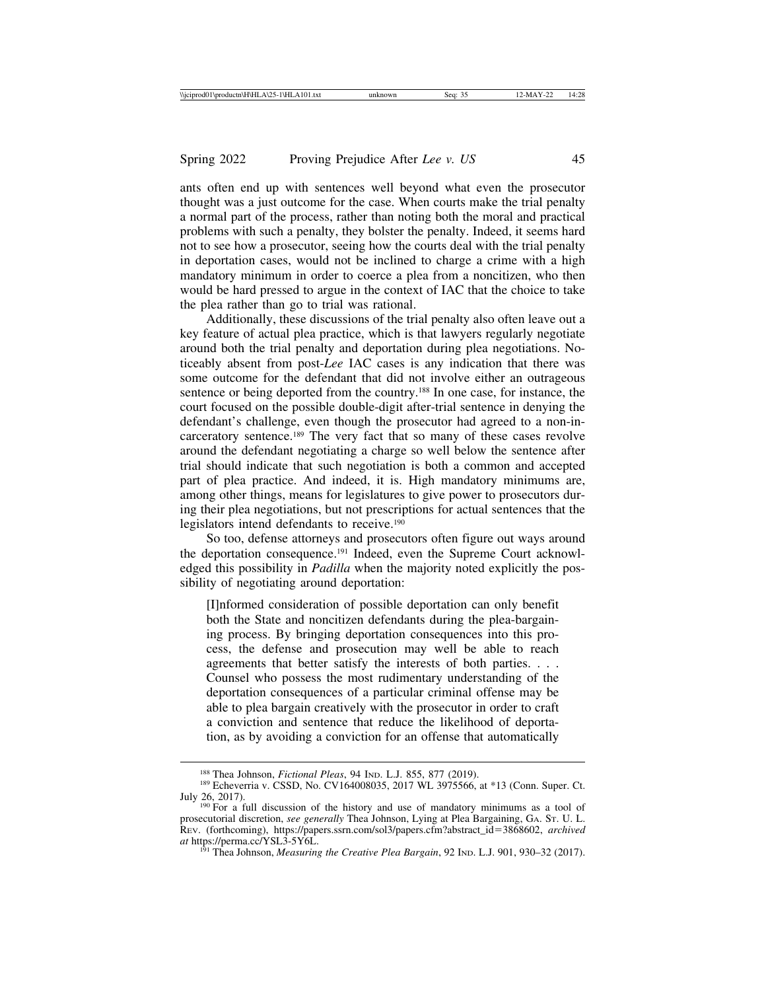ants often end up with sentences well beyond what even the prosecutor thought was a just outcome for the case. When courts make the trial penalty a normal part of the process, rather than noting both the moral and practical problems with such a penalty, they bolster the penalty. Indeed, it seems hard not to see how a prosecutor, seeing how the courts deal with the trial penalty in deportation cases, would not be inclined to charge a crime with a high mandatory minimum in order to coerce a plea from a noncitizen, who then would be hard pressed to argue in the context of IAC that the choice to take the plea rather than go to trial was rational.

Additionally, these discussions of the trial penalty also often leave out a key feature of actual plea practice, which is that lawyers regularly negotiate around both the trial penalty and deportation during plea negotiations. Noticeably absent from post-*Lee* IAC cases is any indication that there was some outcome for the defendant that did not involve either an outrageous sentence or being deported from the country.188 In one case, for instance, the court focused on the possible double-digit after-trial sentence in denying the defendant's challenge, even though the prosecutor had agreed to a non-incarceratory sentence.189 The very fact that so many of these cases revolve around the defendant negotiating a charge so well below the sentence after trial should indicate that such negotiation is both a common and accepted part of plea practice. And indeed, it is. High mandatory minimums are, among other things, means for legislatures to give power to prosecutors during their plea negotiations, but not prescriptions for actual sentences that the legislators intend defendants to receive.<sup>190</sup>

So too, defense attorneys and prosecutors often figure out ways around the deportation consequence.191 Indeed, even the Supreme Court acknowledged this possibility in *Padilla* when the majority noted explicitly the possibility of negotiating around deportation:

[I]nformed consideration of possible deportation can only benefit both the State and noncitizen defendants during the plea-bargaining process. By bringing deportation consequences into this process, the defense and prosecution may well be able to reach agreements that better satisfy the interests of both parties. . . . Counsel who possess the most rudimentary understanding of the deportation consequences of a particular criminal offense may be able to plea bargain creatively with the prosecutor in order to craft a conviction and sentence that reduce the likelihood of deportation, as by avoiding a conviction for an offense that automatically

<sup>&</sup>lt;sup>188</sup> Thea Johnson, *Fictional Pleas*, 94 IND. L.J. 855, 877 (2019).<br><sup>189</sup> Echeverria v. CSSD, No. CV164008035, 2017 WL 3975566, at \*13 (Conn. Super. Ct. July 26, 2017). <sup>190</sup> For a full discussion of the history and use of mandatory minimums as a tool of

prosecutorial discretion, *see generally* Thea Johnson, Lying at Plea Bargaining, GA. ST. U. L. REV. (forthcoming), https://papers.ssrn.com/sol3/papers.cfm?abstract\_id=3868602, *archived*

<sup>&</sup>lt;sup>191</sup> Thea Johnson, *Measuring the Creative Plea Bargain*, 92 IND. L.J. 901, 930–32 (2017).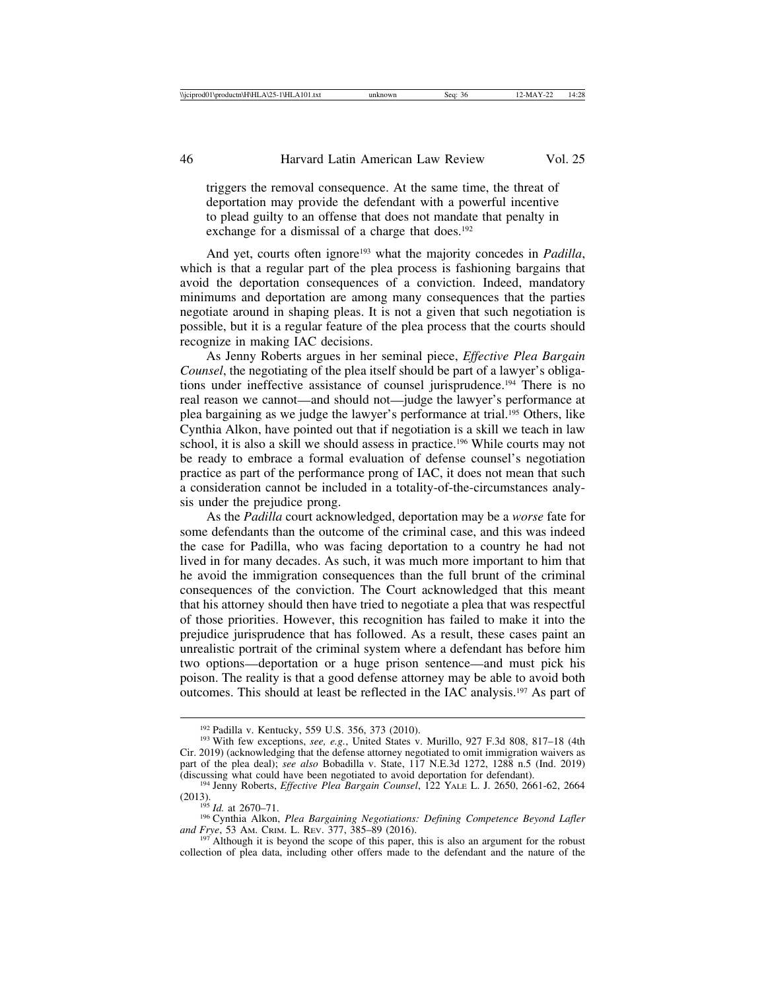triggers the removal consequence. At the same time, the threat of deportation may provide the defendant with a powerful incentive to plead guilty to an offense that does not mandate that penalty in exchange for a dismissal of a charge that does.<sup>192</sup>

And yet, courts often ignore<sup>193</sup> what the majority concedes in *Padilla*, which is that a regular part of the plea process is fashioning bargains that avoid the deportation consequences of a conviction. Indeed, mandatory minimums and deportation are among many consequences that the parties negotiate around in shaping pleas. It is not a given that such negotiation is possible, but it is a regular feature of the plea process that the courts should recognize in making IAC decisions.

As Jenny Roberts argues in her seminal piece, *Effective Plea Bargain Counsel*, the negotiating of the plea itself should be part of a lawyer's obligations under ineffective assistance of counsel jurisprudence.194 There is no real reason we cannot—and should not—judge the lawyer's performance at plea bargaining as we judge the lawyer's performance at trial.195 Others, like Cynthia Alkon, have pointed out that if negotiation is a skill we teach in law school, it is also a skill we should assess in practice.196 While courts may not be ready to embrace a formal evaluation of defense counsel's negotiation practice as part of the performance prong of IAC, it does not mean that such a consideration cannot be included in a totality-of-the-circumstances analysis under the prejudice prong.

As the *Padilla* court acknowledged, deportation may be a *worse* fate for some defendants than the outcome of the criminal case, and this was indeed the case for Padilla, who was facing deportation to a country he had not lived in for many decades. As such, it was much more important to him that he avoid the immigration consequences than the full brunt of the criminal consequences of the conviction. The Court acknowledged that this meant that his attorney should then have tried to negotiate a plea that was respectful of those priorities. However, this recognition has failed to make it into the prejudice jurisprudence that has followed. As a result, these cases paint an unrealistic portrait of the criminal system where a defendant has before him two options—deportation or a huge prison sentence—and must pick his poison. The reality is that a good defense attorney may be able to avoid both outcomes. This should at least be reflected in the IAC analysis.197 As part of

<sup>192</sup> Padilla v. Kentucky, 559 U.S. 356, 373 (2010). <sup>193</sup> With few exceptions, *see, e.g.*, United States v. Murillo, 927 F.3d 808, 817–18 (4th Cir. 2019) (acknowledging that the defense attorney negotiated to omit immigration waivers as part of the plea deal); *see also* Bobadilla v. State, 117 N.E.3d 1272, 1288 n.5 (Ind. 2019)

<sup>&</sup>lt;sup>194</sup> Jenny Roberts, *Effective Plea Bargain Counsel*, 122 YALE L. J. 2650, 2661-62, 2664

<sup>(2013).&</sup>lt;br><sup>195</sup> *Id.* at 2670–71.<br><sup>196</sup> Cynthia Alkon, *Plea Bargaining Negotiations: Defining Competence Beyond Lafler*<br>*and Frye*, 53 Am. CRIM. L. REV. 377, 385–89 (2016).

<sup>&</sup>lt;sup>197</sup> Although it is beyond the scope of this paper, this is also an argument for the robust collection of plea data, including other offers made to the defendant and the nature of the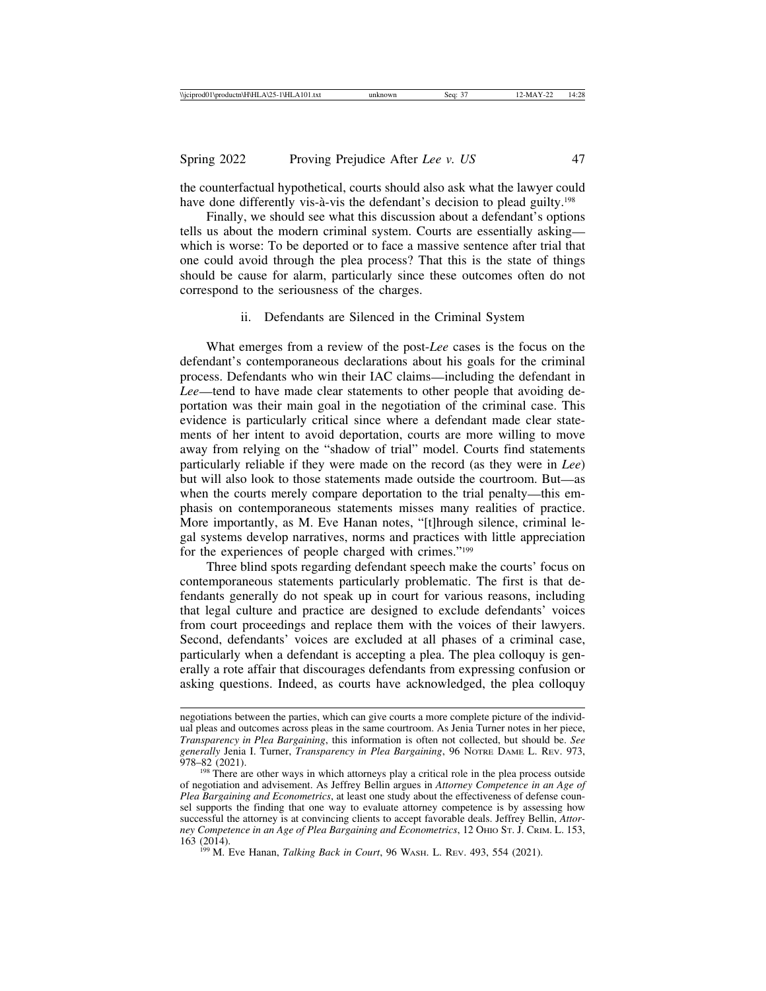the counterfactual hypothetical, courts should also ask what the lawyer could have done differently vis- $\hat{a}$ -vis the defendant's decision to plead guilty.<sup>198</sup>

Finally, we should see what this discussion about a defendant's options tells us about the modern criminal system. Courts are essentially asking which is worse: To be deported or to face a massive sentence after trial that one could avoid through the plea process? That this is the state of things should be cause for alarm, particularly since these outcomes often do not correspond to the seriousness of the charges.

#### ii. Defendants are Silenced in the Criminal System

What emerges from a review of the post-*Lee* cases is the focus on the defendant's contemporaneous declarations about his goals for the criminal process. Defendants who win their IAC claims—including the defendant in *Lee*—tend to have made clear statements to other people that avoiding deportation was their main goal in the negotiation of the criminal case. This evidence is particularly critical since where a defendant made clear statements of her intent to avoid deportation, courts are more willing to move away from relying on the "shadow of trial" model. Courts find statements particularly reliable if they were made on the record (as they were in *Lee*) but will also look to those statements made outside the courtroom. But—as when the courts merely compare deportation to the trial penalty—this emphasis on contemporaneous statements misses many realities of practice. More importantly, as M. Eve Hanan notes, "[t]hrough silence, criminal legal systems develop narratives, norms and practices with little appreciation for the experiences of people charged with crimes."199

Three blind spots regarding defendant speech make the courts' focus on contemporaneous statements particularly problematic. The first is that defendants generally do not speak up in court for various reasons, including that legal culture and practice are designed to exclude defendants' voices from court proceedings and replace them with the voices of their lawyers. Second, defendants' voices are excluded at all phases of a criminal case, particularly when a defendant is accepting a plea. The plea colloquy is generally a rote affair that discourages defendants from expressing confusion or asking questions. Indeed, as courts have acknowledged, the plea colloquy

negotiations between the parties, which can give courts a more complete picture of the individual pleas and outcomes across pleas in the same courtroom. As Jenia Turner notes in her piece, *Transparency in Plea Bargaining*, this information is often not collected, but should be. *See generally* Jenia I. Turner, *Transparency in Plea Bargaining*, 96 NOTRE DAME L. REV. 973, 978–82 (2021).

<sup>&</sup>lt;sup>198</sup> There are other ways in which attorneys play a critical role in the plea process outside of negotiation and advisement. As Jeffrey Bellin argues in *Attorney Competence in an Age of Plea Bargaining and Econometrics*, at least one study about the effectiveness of defense counsel supports the finding that one way to evaluate attorney competence is by assessing how successful the attorney is at convincing clients to accept favorable deals. Jeffrey Bellin, *Attorney Competence in an Age of Plea Bargaining and Econometrics*, 12 OHIO ST. J. CRIM. L. 153, 163 (2014).

<sup>&</sup>lt;sup>199</sup> M. Eve Hanan, *Talking Back in Court*, 96 WASH. L. REV. 493, 554 (2021).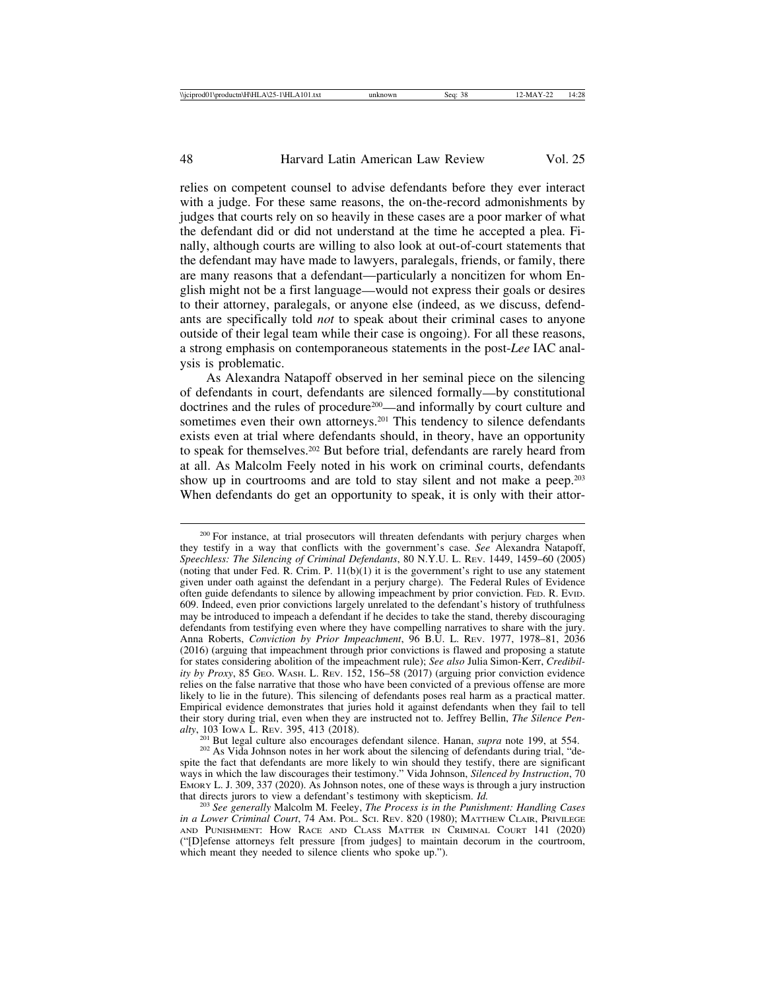relies on competent counsel to advise defendants before they ever interact with a judge. For these same reasons, the on-the-record admonishments by judges that courts rely on so heavily in these cases are a poor marker of what the defendant did or did not understand at the time he accepted a plea. Finally, although courts are willing to also look at out-of-court statements that the defendant may have made to lawyers, paralegals, friends, or family, there are many reasons that a defendant—particularly a noncitizen for whom English might not be a first language—would not express their goals or desires to their attorney, paralegals, or anyone else (indeed, as we discuss, defendants are specifically told *not* to speak about their criminal cases to anyone outside of their legal team while their case is ongoing). For all these reasons, a strong emphasis on contemporaneous statements in the post-*Lee* IAC analysis is problematic.

As Alexandra Natapoff observed in her seminal piece on the silencing of defendants in court, defendants are silenced formally—by constitutional doctrines and the rules of procedure200—and informally by court culture and sometimes even their own attorneys.<sup>201</sup> This tendency to silence defendants exists even at trial where defendants should, in theory, have an opportunity to speak for themselves.202 But before trial, defendants are rarely heard from at all. As Malcolm Feely noted in his work on criminal courts, defendants show up in courtrooms and are told to stay silent and not make a peep.<sup>203</sup> When defendants do get an opportunity to speak, it is only with their attor-

<sup>&</sup>lt;sup>200</sup> For instance, at trial prosecutors will threaten defendants with perjury charges when they testify in a way that conflicts with the government's case. *See* Alexandra Natapoff, *Speechless: The Silencing of Criminal Defendants*, 80 N.Y.U. L. REV. 1449, 1459–60 (2005) (noting that under Fed. R. Crim. P.  $11(b)(1)$  it is the government's right to use any statement given under oath against the defendant in a perjury charge). The Federal Rules of Evidence often guide defendants to silence by allowing impeachment by prior conviction. FED. R. EVID. 609. Indeed, even prior convictions largely unrelated to the defendant's history of truthfulness may be introduced to impeach a defendant if he decides to take the stand, thereby discouraging defendants from testifying even where they have compelling narratives to share with the jury. Anna Roberts, *Conviction by Prior Impeachment*, 96 B.U. L. REV. 1977, 1978–81, 2036 (2016) (arguing that impeachment through prior convictions is flawed and proposing a statute for states considering abolition of the impeachment rule); *See also* Julia Simon-Kerr, *Credibility by Proxy*, 85 GEO. WASH. L. REV. 152, 156–58 (2017) (arguing prior conviction evidence relies on the false narrative that those who have been convicted of a previous offense are more likely to lie in the future). This silencing of defendants poses real harm as a practical matter. Empirical evidence demonstrates that juries hold it against defendants when they fail to tell their story during trial, even when they are instructed not to. Jeffrey Bellin, *The Silence Pen-*

<sup>&</sup>lt;sup>201</sup> But legal culture also encourages defendant silence. Hanan, *supra* note 199, at 554.<br><sup>202</sup> As Vida Johnson notes in her work about the silencing of defendants during trial, "de-

spite the fact that defendants are more likely to win should they testify, there are significant ways in which the law discourages their testimony." Vida Johnson, *Silenced by Instruction*, 70 EMORY L. J. 309, 337 (2020). As Johnson notes, one of these ways is through a jury instruction that directs jurors to view a defendant's testimony with skepticism.  $Id$ .

<sup>&</sup>lt;sup>203</sup> See generally Malcolm M. Feeley, *The Process is in the Punishment: Handling Cases in a Lower Criminal Court*, 74 AM. POL. SCI. REV. 820 (1980); MATTHEW CLAIR, PRIVILEGE AND PUNISHMENT: HOW RACE AND CLASS MATTER IN CRIMINAL COURT 141 (2020) ("[D]efense attorneys felt pressure [from judges] to maintain decorum in the courtroom, which meant they needed to silence clients who spoke up.").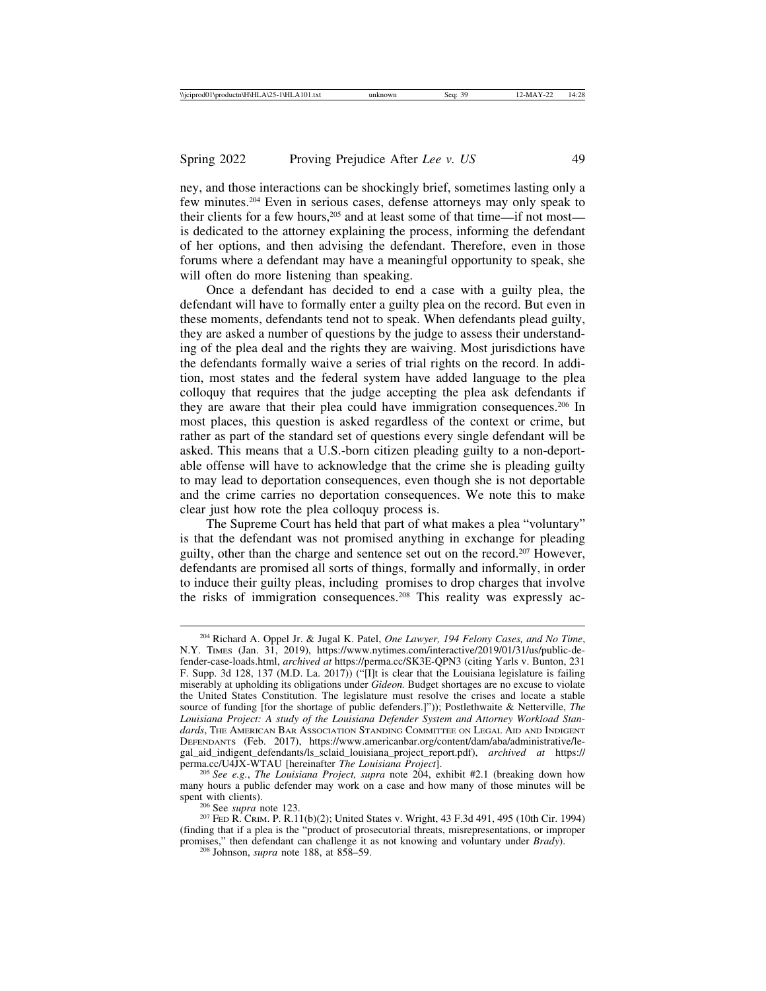ney, and those interactions can be shockingly brief, sometimes lasting only a few minutes.204 Even in serious cases, defense attorneys may only speak to their clients for a few hours,205 and at least some of that time—if not most is dedicated to the attorney explaining the process, informing the defendant of her options, and then advising the defendant. Therefore, even in those forums where a defendant may have a meaningful opportunity to speak, she will often do more listening than speaking.

Once a defendant has decided to end a case with a guilty plea, the defendant will have to formally enter a guilty plea on the record. But even in these moments, defendants tend not to speak. When defendants plead guilty, they are asked a number of questions by the judge to assess their understanding of the plea deal and the rights they are waiving. Most jurisdictions have the defendants formally waive a series of trial rights on the record. In addition, most states and the federal system have added language to the plea colloquy that requires that the judge accepting the plea ask defendants if they are aware that their plea could have immigration consequences.206 In most places, this question is asked regardless of the context or crime, but rather as part of the standard set of questions every single defendant will be asked. This means that a U.S.-born citizen pleading guilty to a non-deportable offense will have to acknowledge that the crime she is pleading guilty to may lead to deportation consequences, even though she is not deportable and the crime carries no deportation consequences. We note this to make clear just how rote the plea colloquy process is.

The Supreme Court has held that part of what makes a plea "voluntary" is that the defendant was not promised anything in exchange for pleading guilty, other than the charge and sentence set out on the record.207 However, defendants are promised all sorts of things, formally and informally, in order to induce their guilty pleas, including promises to drop charges that involve the risks of immigration consequences.208 This reality was expressly ac-

<sup>204</sup> Richard A. Oppel Jr. & Jugal K. Patel, *One Lawyer, 194 Felony Cases, and No Time*, N.Y. TIMES (Jan. 31, 2019), https://www.nytimes.com/interactive/2019/01/31/us/public-defender-case-loads.html, *archived at* https://perma.cc/SK3E-QPN3 (citing Yarls v. Bunton, 231 F. Supp. 3d 128, 137 (M.D. La. 2017)) ("[I]t is clear that the Louisiana legislature is failing miserably at upholding its obligations under *Gideon.* Budget shortages are no excuse to violate the United States Constitution. The legislature must resolve the crises and locate a stable source of funding [for the shortage of public defenders.]")); Postlethwaite & Netterville, *The Louisiana Project: A study of the Louisiana Defender System and Attorney Workload Standards*, THE AMERICAN BAR ASSOCIATION STANDING COMMITTEE ON LEGAL AID AND INDIGENT DEFENDANTS (Feb. 2017), https://www.americanbar.org/content/dam/aba/administrative/legal\_aid\_indigent\_defendants/ls\_sclaid\_louisiana\_project\_report.pdf), *archived at* https://

<sup>&</sup>lt;sup>205</sup> See e.g., The Louisiana Project, supra note 204, exhibit #2.1 (breaking down how many hours a public defender may work on a case and how many of those minutes will be

<sup>&</sup>lt;sup>206</sup> See *supra* note 123.<br><sup>207</sup> FED R. CRIM. P. R.11(b)(2); United States v. Wright, 43 F.3d 491, 495 (10th Cir. 1994) (finding that if a plea is the "product of prosecutorial threats, misrepresentations, or improper promises," then defendant can challenge it as not knowing and voluntary under *Brady*). <sup>208</sup> Johnson, *supra* note 188, at 858–59.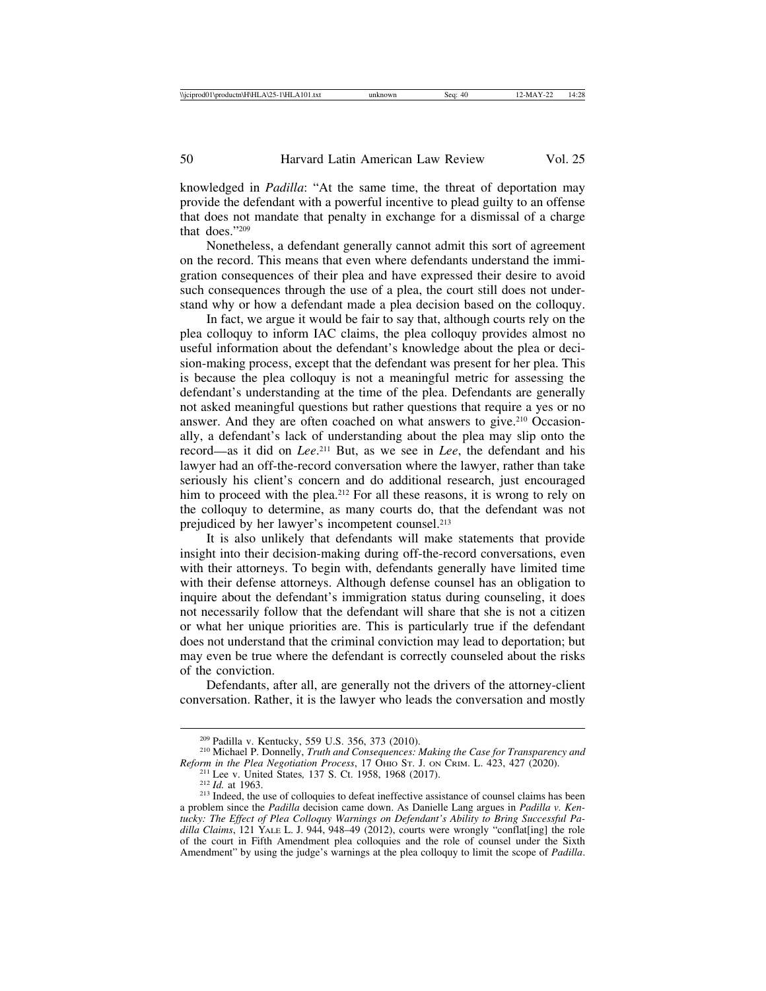knowledged in *Padilla*: "At the same time, the threat of deportation may provide the defendant with a powerful incentive to plead guilty to an offense that does not mandate that penalty in exchange for a dismissal of a charge that does."209

Nonetheless, a defendant generally cannot admit this sort of agreement on the record. This means that even where defendants understand the immigration consequences of their plea and have expressed their desire to avoid such consequences through the use of a plea, the court still does not understand why or how a defendant made a plea decision based on the colloquy.

In fact, we argue it would be fair to say that, although courts rely on the plea colloquy to inform IAC claims, the plea colloquy provides almost no useful information about the defendant's knowledge about the plea or decision-making process, except that the defendant was present for her plea. This is because the plea colloquy is not a meaningful metric for assessing the defendant's understanding at the time of the plea. Defendants are generally not asked meaningful questions but rather questions that require a yes or no answer. And they are often coached on what answers to give.210 Occasionally, a defendant's lack of understanding about the plea may slip onto the record—as it did on *Lee*. 211 But, as we see in *Lee*, the defendant and his lawyer had an off-the-record conversation where the lawyer, rather than take seriously his client's concern and do additional research, just encouraged him to proceed with the plea.<sup>212</sup> For all these reasons, it is wrong to rely on the colloquy to determine, as many courts do, that the defendant was not prejudiced by her lawyer's incompetent counsel.213

It is also unlikely that defendants will make statements that provide insight into their decision-making during off-the-record conversations, even with their attorneys. To begin with, defendants generally have limited time with their defense attorneys. Although defense counsel has an obligation to inquire about the defendant's immigration status during counseling, it does not necessarily follow that the defendant will share that she is not a citizen or what her unique priorities are. This is particularly true if the defendant does not understand that the criminal conviction may lead to deportation; but may even be true where the defendant is correctly counseled about the risks of the conviction.

Defendants, after all, are generally not the drivers of the attorney-client conversation. Rather, it is the lawyer who leads the conversation and mostly

<sup>&</sup>lt;sup>209</sup> Padilla v. Kentucky, 559 U.S. 356, 373 (2010).<br><sup>210</sup> Michael P. Donnelly, *Truth and Consequences: Making the Case for Transparency and Reform in the Plea Negotiation Process, 17 OHIO ST. J. ON CRIM. L. 423, 427 (202* 

<sup>&</sup>lt;sup>211</sup> Lee v. United States, 137 S. Ct. 1958, 1968 (2017).<br><sup>212</sup> *Id.* at 1963.<br><sup>213</sup> Indeed, the use of colloquies to defeat ineffective assistance of counsel claims has been a problem since the *Padilla* decision came down. As Danielle Lang argues in *Padilla v. Kentucky: The Effect of Plea Colloquy Warnings on Defendant's Ability to Bring Successful Padilla Claims*, 121 YALE L. J. 944, 948–49 (2012), courts were wrongly "conflat[ing] the role of the court in Fifth Amendment plea colloquies and the role of counsel under the Sixth Amendment" by using the judge's warnings at the plea colloquy to limit the scope of *Padilla*.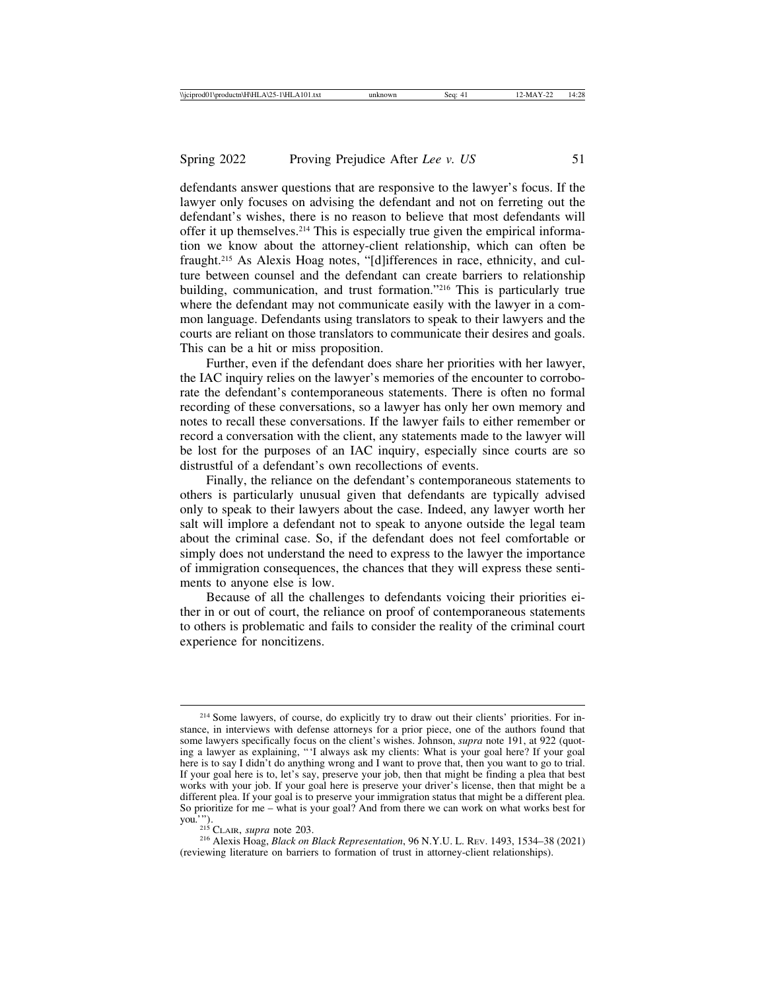defendants answer questions that are responsive to the lawyer's focus. If the lawyer only focuses on advising the defendant and not on ferreting out the defendant's wishes, there is no reason to believe that most defendants will offer it up themselves.214 This is especially true given the empirical information we know about the attorney-client relationship, which can often be fraught.215 As Alexis Hoag notes, "[d]ifferences in race, ethnicity, and culture between counsel and the defendant can create barriers to relationship building, communication, and trust formation."216 This is particularly true where the defendant may not communicate easily with the lawyer in a common language. Defendants using translators to speak to their lawyers and the courts are reliant on those translators to communicate their desires and goals. This can be a hit or miss proposition.

Further, even if the defendant does share her priorities with her lawyer, the IAC inquiry relies on the lawyer's memories of the encounter to corroborate the defendant's contemporaneous statements. There is often no formal recording of these conversations, so a lawyer has only her own memory and notes to recall these conversations. If the lawyer fails to either remember or record a conversation with the client, any statements made to the lawyer will be lost for the purposes of an IAC inquiry, especially since courts are so distrustful of a defendant's own recollections of events.

Finally, the reliance on the defendant's contemporaneous statements to others is particularly unusual given that defendants are typically advised only to speak to their lawyers about the case. Indeed, any lawyer worth her salt will implore a defendant not to speak to anyone outside the legal team about the criminal case. So, if the defendant does not feel comfortable or simply does not understand the need to express to the lawyer the importance of immigration consequences, the chances that they will express these sentiments to anyone else is low.

Because of all the challenges to defendants voicing their priorities either in or out of court, the reliance on proof of contemporaneous statements to others is problematic and fails to consider the reality of the criminal court experience for noncitizens.

<sup>216</sup> Alexis Hoag, *Black on Black Representation*, 96 N.Y.U. L. REV. 1493, 1534–38 (2021) (reviewing literature on barriers to formation of trust in attorney-client relationships).

<sup>&</sup>lt;sup>214</sup> Some lawyers, of course, do explicitly try to draw out their clients' priorities. For instance, in interviews with defense attorneys for a prior piece, one of the authors found that some lawyers specifically focus on the client's wishes. Johnson, *supra* note 191, at 922 (quoting a lawyer as explaining, "'I always ask my clients: What is your goal here? If your goal here is to say I didn't do anything wrong and I want to prove that, then you want to go to trial. If your goal here is to, let's say, preserve your job, then that might be finding a plea that best works with your job. If your goal here is preserve your driver's license, then that might be a different plea. If your goal is to preserve your immigration status that might be a different plea. So prioritize for me – what is your goal? And from there we can work on what works best for you.").<br>
<sup>215</sup> CLAIR, *supra* note 203.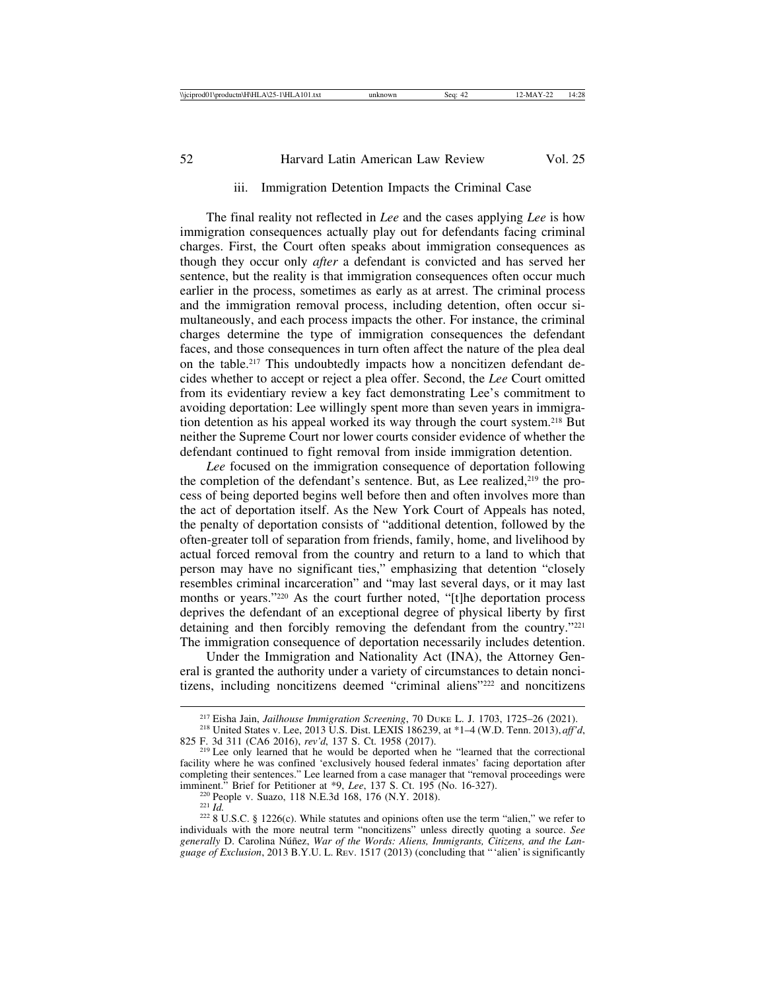#### iii. Immigration Detention Impacts the Criminal Case

The final reality not reflected in *Lee* and the cases applying *Lee* is how immigration consequences actually play out for defendants facing criminal charges. First, the Court often speaks about immigration consequences as though they occur only *after* a defendant is convicted and has served her sentence, but the reality is that immigration consequences often occur much earlier in the process, sometimes as early as at arrest. The criminal process and the immigration removal process, including detention, often occur simultaneously, and each process impacts the other. For instance, the criminal charges determine the type of immigration consequences the defendant faces, and those consequences in turn often affect the nature of the plea deal on the table.217 This undoubtedly impacts how a noncitizen defendant decides whether to accept or reject a plea offer. Second, the *Lee* Court omitted from its evidentiary review a key fact demonstrating Lee's commitment to avoiding deportation: Lee willingly spent more than seven years in immigration detention as his appeal worked its way through the court system.218 But neither the Supreme Court nor lower courts consider evidence of whether the defendant continued to fight removal from inside immigration detention.

*Lee* focused on the immigration consequence of deportation following the completion of the defendant's sentence. But, as Lee realized,<sup>219</sup> the process of being deported begins well before then and often involves more than the act of deportation itself. As the New York Court of Appeals has noted, the penalty of deportation consists of "additional detention, followed by the often-greater toll of separation from friends, family, home, and livelihood by actual forced removal from the country and return to a land to which that person may have no significant ties," emphasizing that detention "closely resembles criminal incarceration" and "may last several days, or it may last months or years."220 As the court further noted, "[t]he deportation process deprives the defendant of an exceptional degree of physical liberty by first detaining and then forcibly removing the defendant from the country."<sup>221</sup> The immigration consequence of deportation necessarily includes detention.

Under the Immigration and Nationality Act (INA), the Attorney General is granted the authority under a variety of circumstances to detain noncitizens, including noncitizens deemed "criminal aliens"222 and noncitizens

<sup>&</sup>lt;sup>217</sup> Eisha Jain, *Jailhouse Immigration Screening*, 70 DUKE L. J. 1703, 1725–26 (2021).<br><sup>218</sup> United States v. Lee, 2013 U.S. Dist. LEXIS 186239, at \*1–4 (W.D. Tenn. 2013), *aff'd*,<br>825 F. 3d 311 (CA6 2016), *rev'd*, 137

<sup>&</sup>lt;sup>219</sup> Lee only learned that he would be deported when he "learned that the correctional facility where he was confined 'exclusively housed federal inmates' facing deportation after completing their sentences." Lee learned from a case manager that "removal proceedings were imminent." Brief for Petitioner at \*9, Lee, 137 S. Ct. 195 (No. 16-327).

<sup>&</sup>lt;sup>220</sup> People v. Suazo, 118 N.E.3d 168, 176 (N.Y. 2018).<br><sup>221</sup> *Id.* <sup>222</sup> 8 U.S.C. § 1226(c). While statutes and opinions often use the term "alien," we refer to individuals with the more neutral term "noncitizens" unless directly quoting a source. *See* generally D. Carolina Núñez, *War of the Words: Aliens, Immigrants, Citizens, and the Language of Exclusion*, 2013 B.Y.U. L. REV. 1517 (2013) (concluding that "'alien' is significantly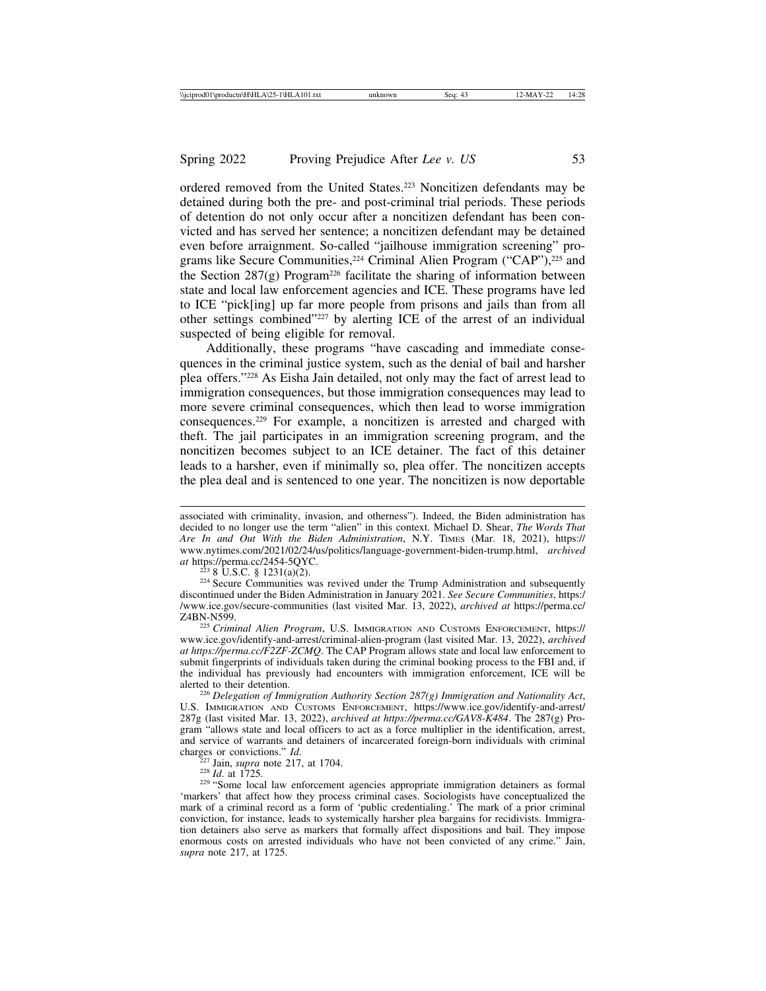ordered removed from the United States.223 Noncitizen defendants may be detained during both the pre- and post-criminal trial periods. These periods of detention do not only occur after a noncitizen defendant has been convicted and has served her sentence; a noncitizen defendant may be detained even before arraignment. So-called "jailhouse immigration screening" programs like Secure Communities,<sup>224</sup> Criminal Alien Program ("CAP"),<sup>225</sup> and the Section  $287(g)$  Program<sup>226</sup> facilitate the sharing of information between state and local law enforcement agencies and ICE. These programs have led to ICE "pick[ing] up far more people from prisons and jails than from all other settings combined"227 by alerting ICE of the arrest of an individual suspected of being eligible for removal.

Additionally, these programs "have cascading and immediate consequences in the criminal justice system, such as the denial of bail and harsher plea offers."228 As Eisha Jain detailed, not only may the fact of arrest lead to immigration consequences, but those immigration consequences may lead to more severe criminal consequences, which then lead to worse immigration consequences.229 For example, a noncitizen is arrested and charged with theft. The jail participates in an immigration screening program, and the noncitizen becomes subject to an ICE detainer. The fact of this detainer leads to a harsher, even if minimally so, plea offer. The noncitizen accepts the plea deal and is sentenced to one year. The noncitizen is now deportable

<sup>223</sup> 8 U.S.C. § 1231(a)(2). 224 Secure Communities was revived under the Trump Administration and subsequently discontinued under the Biden Administration in January 2021. *See Secure Communities*, https:/ /www.ice.gov/secure-communities (last visited Mar. 13, 2022), *archived at* https://perma.cc/

225 *Criminal Alien Program*, U.S. IMMIGRATION AND CUSTOMS ENFORCEMENT, https:// www.ice.gov/identify-and-arrest/criminal-alien-program (last visited Mar. 13, 2022), *archived at https://perma.cc/F2ZF-ZCMQ*. The CAP Program allows state and local law enforcement to submit fingerprints of individuals taken during the criminal booking process to the FBI and, if the individual has previously had encounters with immigration enforcement, ICE will be

<sup>226</sup> Delegation of Immigration Authority Section 287(g) Immigration and Nationality Act, U.S. IMMIGRATION AND CUSTOMS ENFORCEMENT, https://www.ice.gov/identify-and-arrest/ 287g (last visited Mar. 13, 2022), *archived at https://perma.cc/GAV8-K484*. The 287(g) Program "allows state and local officers to act as a force multiplier in the identification, arrest, and service of warrants and detainers of incarcerated foreign-born individuals with criminal charges or convictions."  $Id$ .

<sup>227</sup> Jain, *supra* note 217, at 1704.<br><sup>228</sup> *Id.* at 1725.<br><sup>229</sup> "Some local law enforcement agencies appropriate immigration detainers as formal 'markers' that affect how they process criminal cases. Sociologists have conceptualized the mark of a criminal record as a form of 'public credentialing.' The mark of a prior criminal conviction, for instance, leads to systemically harsher plea bargains for recidivists. Immigration detainers also serve as markers that formally affect dispositions and bail. They impose enormous costs on arrested individuals who have not been convicted of any crime." Jain, *supra* note 217, at 1725.

associated with criminality, invasion, and otherness"). Indeed, the Biden administration has decided to no longer use the term "alien" in this context. Michael D. Shear, *The Words That Are In and Out With the Biden Administration*, N.Y. TIMES (Mar. 18, 2021), https:// www.nytimes.com/2021/02/24/us/politics/language-government-biden-trump.html, *archived*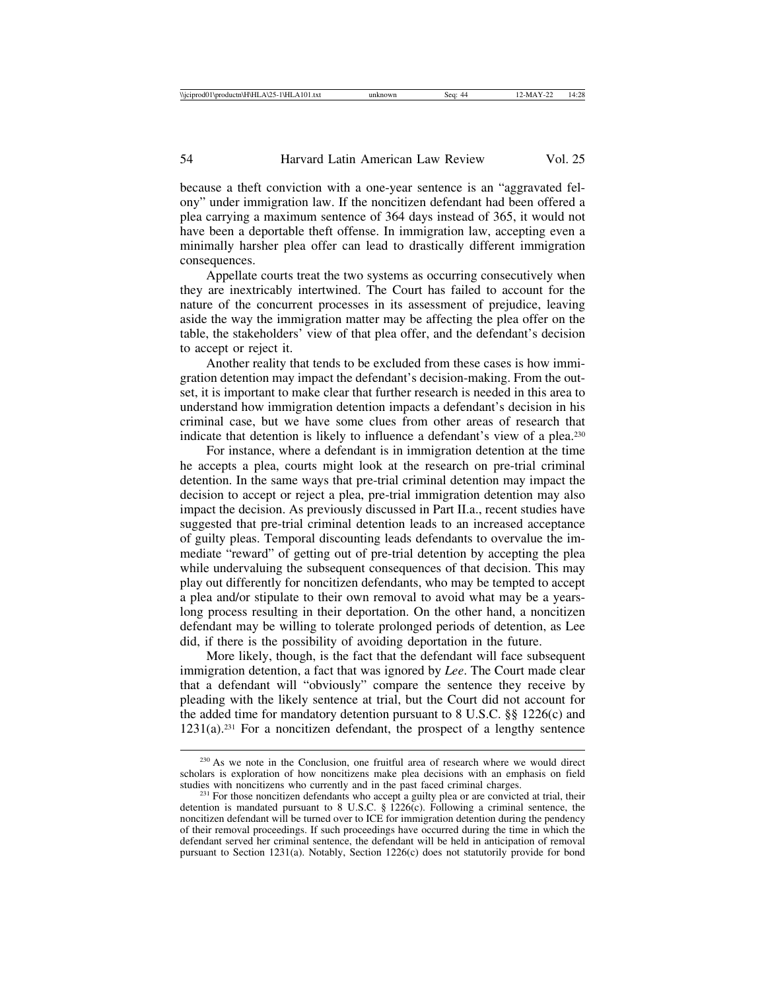because a theft conviction with a one-year sentence is an "aggravated felony" under immigration law. If the noncitizen defendant had been offered a plea carrying a maximum sentence of 364 days instead of 365, it would not have been a deportable theft offense. In immigration law, accepting even a minimally harsher plea offer can lead to drastically different immigration consequences.

Appellate courts treat the two systems as occurring consecutively when they are inextricably intertwined. The Court has failed to account for the nature of the concurrent processes in its assessment of prejudice, leaving aside the way the immigration matter may be affecting the plea offer on the table, the stakeholders' view of that plea offer, and the defendant's decision to accept or reject it.

Another reality that tends to be excluded from these cases is how immigration detention may impact the defendant's decision-making. From the outset, it is important to make clear that further research is needed in this area to understand how immigration detention impacts a defendant's decision in his criminal case, but we have some clues from other areas of research that indicate that detention is likely to influence a defendant's view of a plea.230

For instance, where a defendant is in immigration detention at the time he accepts a plea, courts might look at the research on pre-trial criminal detention. In the same ways that pre-trial criminal detention may impact the decision to accept or reject a plea, pre-trial immigration detention may also impact the decision. As previously discussed in Part II.a., recent studies have suggested that pre-trial criminal detention leads to an increased acceptance of guilty pleas. Temporal discounting leads defendants to overvalue the immediate "reward" of getting out of pre-trial detention by accepting the plea while undervaluing the subsequent consequences of that decision. This may play out differently for noncitizen defendants, who may be tempted to accept a plea and/or stipulate to their own removal to avoid what may be a yearslong process resulting in their deportation. On the other hand, a noncitizen defendant may be willing to tolerate prolonged periods of detention, as Lee did, if there is the possibility of avoiding deportation in the future.

More likely, though, is the fact that the defendant will face subsequent immigration detention, a fact that was ignored by *Lee*. The Court made clear that a defendant will "obviously" compare the sentence they receive by pleading with the likely sentence at trial, but the Court did not account for the added time for mandatory detention pursuant to 8 U.S.C. §§ 1226(c) and  $1231(a).^{231}$  For a noncitizen defendant, the prospect of a lengthy sentence

<sup>&</sup>lt;sup>230</sup> As we note in the Conclusion, one fruitful area of research where we would direct scholars is exploration of how noncitizens make plea decisions with an emphasis on field studies with noncitizens who currently and in the past faced criminal charges.

<sup>&</sup>lt;sup>231</sup> For those noncitizen defendants who accept a guilty plea or are convicted at trial, their detention is mandated pursuant to 8 U.S.C.  $\S$  1226(c). Following a criminal sentence, the noncitizen defendant will be turned over to ICE for immigration detention during the pendency of their removal proceedings. If such proceedings have occurred during the time in which the defendant served her criminal sentence, the defendant will be held in anticipation of removal pursuant to Section 1231(a). Notably, Section 1226(c) does not statutorily provide for bond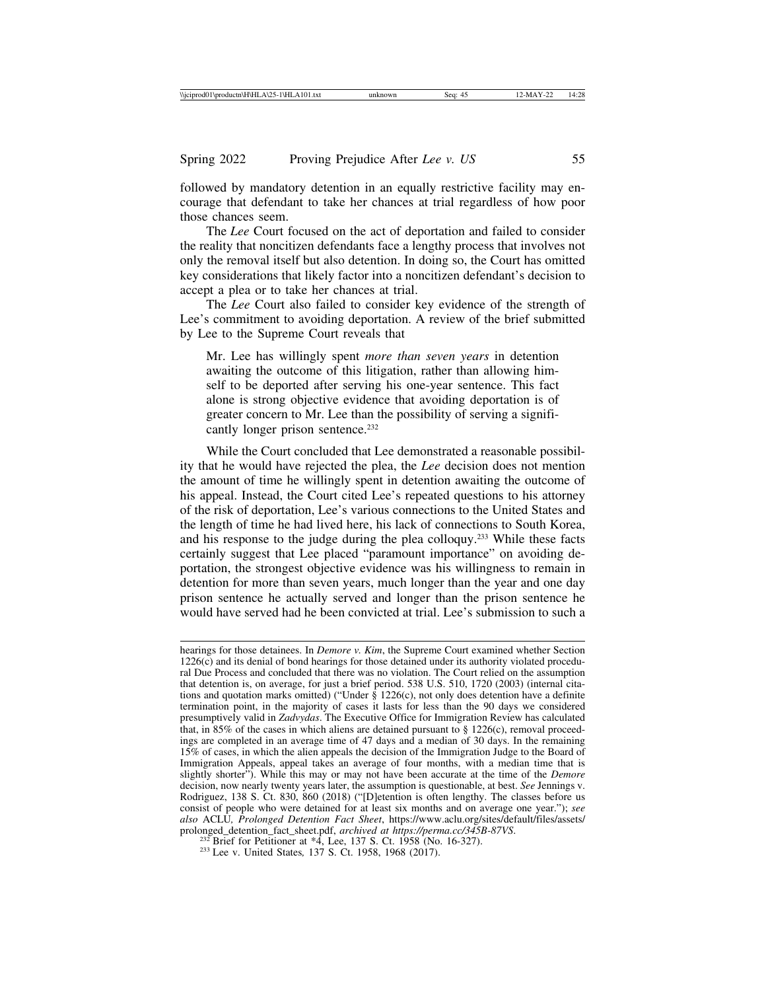followed by mandatory detention in an equally restrictive facility may encourage that defendant to take her chances at trial regardless of how poor those chances seem.

The *Lee* Court focused on the act of deportation and failed to consider the reality that noncitizen defendants face a lengthy process that involves not only the removal itself but also detention. In doing so, the Court has omitted key considerations that likely factor into a noncitizen defendant's decision to accept a plea or to take her chances at trial.

The *Lee* Court also failed to consider key evidence of the strength of Lee's commitment to avoiding deportation. A review of the brief submitted by Lee to the Supreme Court reveals that

Mr. Lee has willingly spent *more than seven years* in detention awaiting the outcome of this litigation, rather than allowing himself to be deported after serving his one-year sentence. This fact alone is strong objective evidence that avoiding deportation is of greater concern to Mr. Lee than the possibility of serving a significantly longer prison sentence.<sup>232</sup>

While the Court concluded that Lee demonstrated a reasonable possibility that he would have rejected the plea, the *Lee* decision does not mention the amount of time he willingly spent in detention awaiting the outcome of his appeal. Instead, the Court cited Lee's repeated questions to his attorney of the risk of deportation, Lee's various connections to the United States and the length of time he had lived here, his lack of connections to South Korea, and his response to the judge during the plea colloquy.233 While these facts certainly suggest that Lee placed "paramount importance" on avoiding deportation, the strongest objective evidence was his willingness to remain in detention for more than seven years, much longer than the year and one day prison sentence he actually served and longer than the prison sentence he would have served had he been convicted at trial. Lee's submission to such a

hearings for those detainees. In *Demore v. Kim*, the Supreme Court examined whether Section 1226(c) and its denial of bond hearings for those detained under its authority violated procedural Due Process and concluded that there was no violation. The Court relied on the assumption that detention is, on average, for just a brief period. 538 U.S. 510, 1720 (2003) (internal citations and quotation marks omitted) ("Under  $\S$  1226(c), not only does detention have a definite termination point, in the majority of cases it lasts for less than the 90 days we considered presumptively valid in *Zadvydas*. The Executive Office for Immigration Review has calculated that, in 85% of the cases in which aliens are detained pursuant to  $\S$  1226(c), removal proceedings are completed in an average time of 47 days and a median of 30 days. In the remaining 15% of cases, in which the alien appeals the decision of the Immigration Judge to the Board of Immigration Appeals, appeal takes an average of four months, with a median time that is slightly shorter"). While this may or may not have been accurate at the time of the *Demore* decision, now nearly twenty years later, the assumption is questionable, at best. *See* Jennings v. Rodriguez, 138 S. Ct. 830, 860 (2018) ("[D]etention is often lengthy. The classes before us consist of people who were detained for at least six months and on average one year."); *see also* ACLU*, Prolonged Detention Fact Sheet*, https://www.aclu.org/sites/default/files/assets/ prolonged\_detention\_fact\_sheet.pdf, *archived at https://perma.cc/345B-87VS*.<br><sup>232</sup> Brief for Petitioner at \*4, Lee, 137 S. Ct. 1958 (No. 16-327).<br><sup>233</sup> Lee v. United States, 137 S. Ct. 1958, 1968 (2017).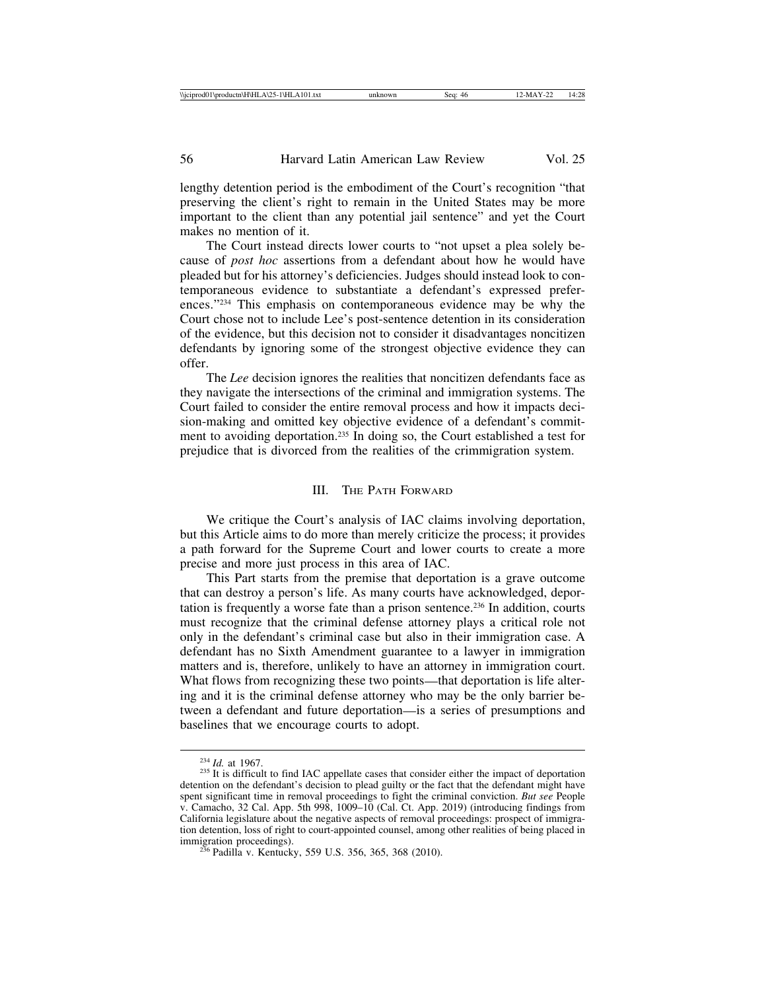lengthy detention period is the embodiment of the Court's recognition "that preserving the client's right to remain in the United States may be more important to the client than any potential jail sentence" and yet the Court makes no mention of it.

The Court instead directs lower courts to "not upset a plea solely because of *post hoc* assertions from a defendant about how he would have pleaded but for his attorney's deficiencies. Judges should instead look to contemporaneous evidence to substantiate a defendant's expressed preferences."234 This emphasis on contemporaneous evidence may be why the Court chose not to include Lee's post-sentence detention in its consideration of the evidence, but this decision not to consider it disadvantages noncitizen defendants by ignoring some of the strongest objective evidence they can offer.

The *Lee* decision ignores the realities that noncitizen defendants face as they navigate the intersections of the criminal and immigration systems. The Court failed to consider the entire removal process and how it impacts decision-making and omitted key objective evidence of a defendant's commitment to avoiding deportation.235 In doing so, the Court established a test for prejudice that is divorced from the realities of the crimmigration system.

# III. THE PATH FORWARD

We critique the Court's analysis of IAC claims involving deportation, but this Article aims to do more than merely criticize the process; it provides a path forward for the Supreme Court and lower courts to create a more precise and more just process in this area of IAC.

This Part starts from the premise that deportation is a grave outcome that can destroy a person's life. As many courts have acknowledged, deportation is frequently a worse fate than a prison sentence.236 In addition, courts must recognize that the criminal defense attorney plays a critical role not only in the defendant's criminal case but also in their immigration case. A defendant has no Sixth Amendment guarantee to a lawyer in immigration matters and is, therefore, unlikely to have an attorney in immigration court. What flows from recognizing these two points—that deportation is life altering and it is the criminal defense attorney who may be the only barrier between a defendant and future deportation—is a series of presumptions and baselines that we encourage courts to adopt.

<sup>&</sup>lt;sup>234</sup> *Id.* at 1967.<br><sup>235</sup> It is difficult to find IAC appellate cases that consider either the impact of deportation detention on the defendant's decision to plead guilty or the fact that the defendant might have spent significant time in removal proceedings to fight the criminal conviction. *But see* People v. Camacho, 32 Cal. App. 5th 998, 1009–10 (Cal. Ct. App. 2019) (introducing findings from California legislature about the negative aspects of removal proceedings: prospect of immigration detention, loss of right to court-appointed counsel, among other realities of being placed in

 $^{236}$  Padilla v. Kentucky, 559 U.S. 356, 365, 368 (2010).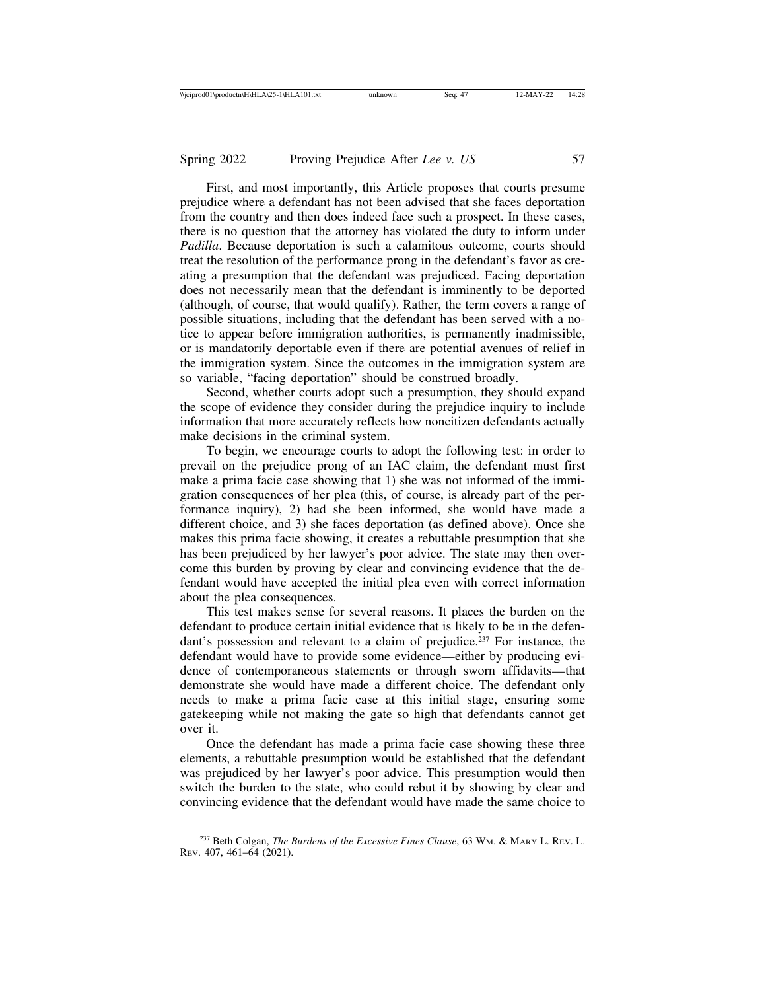First, and most importantly, this Article proposes that courts presume prejudice where a defendant has not been advised that she faces deportation from the country and then does indeed face such a prospect. In these cases, there is no question that the attorney has violated the duty to inform under *Padilla*. Because deportation is such a calamitous outcome, courts should treat the resolution of the performance prong in the defendant's favor as creating a presumption that the defendant was prejudiced. Facing deportation does not necessarily mean that the defendant is imminently to be deported (although, of course, that would qualify). Rather, the term covers a range of possible situations, including that the defendant has been served with a notice to appear before immigration authorities, is permanently inadmissible, or is mandatorily deportable even if there are potential avenues of relief in the immigration system. Since the outcomes in the immigration system are so variable, "facing deportation" should be construed broadly.

Second, whether courts adopt such a presumption, they should expand the scope of evidence they consider during the prejudice inquiry to include information that more accurately reflects how noncitizen defendants actually make decisions in the criminal system.

To begin, we encourage courts to adopt the following test: in order to prevail on the prejudice prong of an IAC claim, the defendant must first make a prima facie case showing that 1) she was not informed of the immigration consequences of her plea (this, of course, is already part of the performance inquiry), 2) had she been informed, she would have made a different choice, and 3) she faces deportation (as defined above). Once she makes this prima facie showing, it creates a rebuttable presumption that she has been prejudiced by her lawyer's poor advice. The state may then overcome this burden by proving by clear and convincing evidence that the defendant would have accepted the initial plea even with correct information about the plea consequences.

This test makes sense for several reasons. It places the burden on the defendant to produce certain initial evidence that is likely to be in the defendant's possession and relevant to a claim of prejudice.237 For instance, the defendant would have to provide some evidence—either by producing evidence of contemporaneous statements or through sworn affidavits—that demonstrate she would have made a different choice. The defendant only needs to make a prima facie case at this initial stage, ensuring some gatekeeping while not making the gate so high that defendants cannot get over it.

Once the defendant has made a prima facie case showing these three elements, a rebuttable presumption would be established that the defendant was prejudiced by her lawyer's poor advice. This presumption would then switch the burden to the state, who could rebut it by showing by clear and convincing evidence that the defendant would have made the same choice to

<sup>237</sup> Beth Colgan, *The Burdens of the Excessive Fines Clause*, 63 WM. & MARY L. REV. L. REV. 407, 461–64 (2021).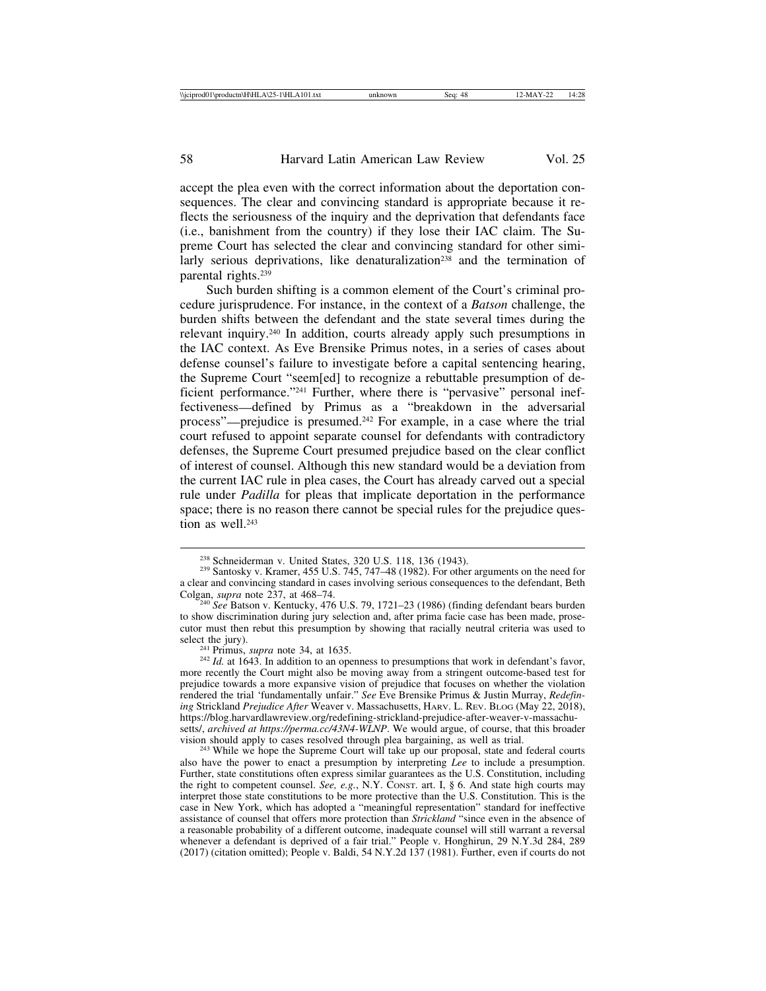accept the plea even with the correct information about the deportation consequences. The clear and convincing standard is appropriate because it reflects the seriousness of the inquiry and the deprivation that defendants face (i.e., banishment from the country) if they lose their IAC claim. The Supreme Court has selected the clear and convincing standard for other similarly serious deprivations, like denaturalization<sup>238</sup> and the termination of parental rights.239

Such burden shifting is a common element of the Court's criminal procedure jurisprudence. For instance, in the context of a *Batson* challenge, the burden shifts between the defendant and the state several times during the relevant inquiry.240 In addition, courts already apply such presumptions in the IAC context. As Eve Brensike Primus notes, in a series of cases about defense counsel's failure to investigate before a capital sentencing hearing, the Supreme Court "seem[ed] to recognize a rebuttable presumption of deficient performance."241 Further, where there is "pervasive" personal ineffectiveness—defined by Primus as a "breakdown in the adversarial process"—prejudice is presumed.242 For example, in a case where the trial court refused to appoint separate counsel for defendants with contradictory defenses, the Supreme Court presumed prejudice based on the clear conflict of interest of counsel. Although this new standard would be a deviation from the current IAC rule in plea cases, the Court has already carved out a special rule under *Padilla* for pleas that implicate deportation in the performance space; there is no reason there cannot be special rules for the prejudice question as well.<sup>243</sup>

<sup>243</sup> While we hope the Supreme Court will take up our proposal, state and federal courts also have the power to enact a presumption by interpreting *Lee* to include a presumption. Further, state constitutions often express similar guarantees as the U.S. Constitution, including the right to competent counsel. *See, e.g.*, N.Y. CONST. art. I, § 6. And state high courts may interpret those state constitutions to be more protective than the U.S. Constitution. This is the case in New York, which has adopted a "meaningful representation" standard for ineffective assistance of counsel that offers more protection than *Strickland* "since even in the absence of a reasonable probability of a different outcome, inadequate counsel will still warrant a reversal whenever a defendant is deprived of a fair trial." People v. Honghirun, 29 N.Y.3d 284, 289 (2017) (citation omitted); People v. Baldi, 54 N.Y.2d 137 (1981). Further, even if courts do not

<sup>&</sup>lt;sup>238</sup> Schneiderman v. United States, 320 U.S. 118, 136 (1943).<br><sup>239</sup> Santosky v. Kramer, 455 U.S. 745, 747–48 (1982). For other arguments on the need for a clear and convincing standard in cases involving serious consequences to the defendant, Beth Colgan, *supra* note 237, at 468-74.

<sup>&</sup>lt;sup>240</sup> See Batson v. Kentucky, 476 U.S. 79, 1721–23 (1986) (finding defendant bears burden to show discrimination during jury selection and, after prima facie case has been made, prosecutor must then rebut this presumption by showing that racially neutral criteria was used to

<sup>&</sup>lt;sup>241</sup> Primus, *supra* note 34, at 1635. <sup>242</sup> *Id.* at 1643. In addition to an openness to presumptions that work in defendant's favor, more recently the Court might also be moving away from a stringent outcome-based test for prejudice towards a more expansive vision of prejudice that focuses on whether the violation rendered the trial 'fundamentally unfair." *See* Eve Brensike Primus & Justin Murray, *Redefin-ing* Strickland *Prejudice After* Weaver v. Massachusetts, HARV. L. REV. BLOG (May 22, 2018), https://blog.harvardlawreview.org/redefining-strickland-prejudice-after-weaver-v-massachusetts/, *archived at https://perma.cc/43N4-WLNP*. We would argue, of course, that this broader vision should apply to cases resolved through plea bargaining, as well as trial.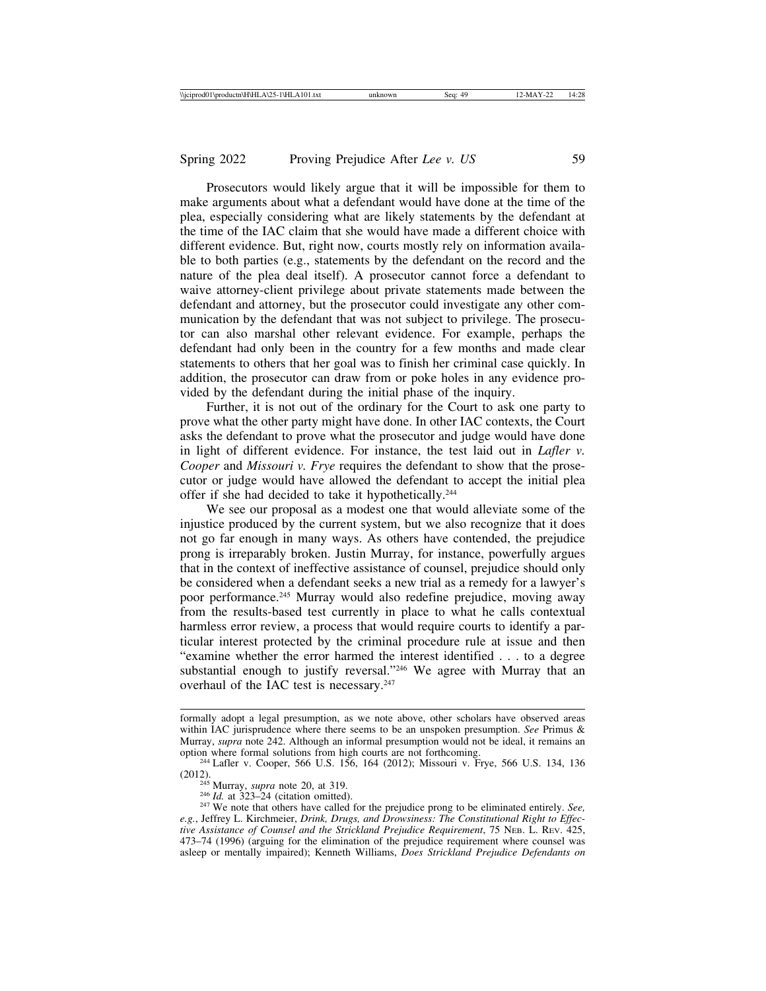Prosecutors would likely argue that it will be impossible for them to make arguments about what a defendant would have done at the time of the plea, especially considering what are likely statements by the defendant at the time of the IAC claim that she would have made a different choice with different evidence. But, right now, courts mostly rely on information available to both parties (e.g., statements by the defendant on the record and the nature of the plea deal itself). A prosecutor cannot force a defendant to waive attorney-client privilege about private statements made between the defendant and attorney, but the prosecutor could investigate any other communication by the defendant that was not subject to privilege. The prosecutor can also marshal other relevant evidence. For example, perhaps the defendant had only been in the country for a few months and made clear statements to others that her goal was to finish her criminal case quickly. In addition, the prosecutor can draw from or poke holes in any evidence provided by the defendant during the initial phase of the inquiry.

Further, it is not out of the ordinary for the Court to ask one party to prove what the other party might have done. In other IAC contexts, the Court asks the defendant to prove what the prosecutor and judge would have done in light of different evidence. For instance, the test laid out in *Lafler v. Cooper* and *Missouri v. Frye* requires the defendant to show that the prosecutor or judge would have allowed the defendant to accept the initial plea offer if she had decided to take it hypothetically.244

We see our proposal as a modest one that would alleviate some of the injustice produced by the current system, but we also recognize that it does not go far enough in many ways. As others have contended, the prejudice prong is irreparably broken. Justin Murray, for instance, powerfully argues that in the context of ineffective assistance of counsel, prejudice should only be considered when a defendant seeks a new trial as a remedy for a lawyer's poor performance.245 Murray would also redefine prejudice, moving away from the results-based test currently in place to what he calls contextual harmless error review, a process that would require courts to identify a particular interest protected by the criminal procedure rule at issue and then "examine whether the error harmed the interest identified . . . to a degree substantial enough to justify reversal."246 We agree with Murray that an overhaul of the IAC test is necessary.<sup>247</sup>

formally adopt a legal presumption, as we note above, other scholars have observed areas within IAC jurisprudence where there seems to be an unspoken presumption. *See* Primus & Murray, *supra* note 242. Although an informal presumption would not be ideal, it remains an option where formal solutions from high courts are not forthcoming.

<sup>&</sup>lt;sup>244</sup> Lafler v. Cooper, 566 U.S. 156, 164 (2012); Missouri v. Frye, 566 U.S. 134, 136 (2012).

<sup>(2012).</sup> <sup>245</sup> Murray, *supra* note 20, at 319. <sup>246</sup> *Id.* at 323–24 (citation omitted). <sup>247</sup> We note that others have called for the prejudice prong to be eliminated entirely. *See, e.g.*, Jeffrey L. Kirchmeier, *Drink, Drugs, and Drowsiness: The Constitutional Right to Effective Assistance of Counsel and the Strickland Prejudice Requirement*, 75 NEB. L. REV. 425, 473–74 (1996) (arguing for the elimination of the prejudice requirement where counsel was asleep or mentally impaired); Kenneth Williams, *Does Strickland Prejudice Defendants on*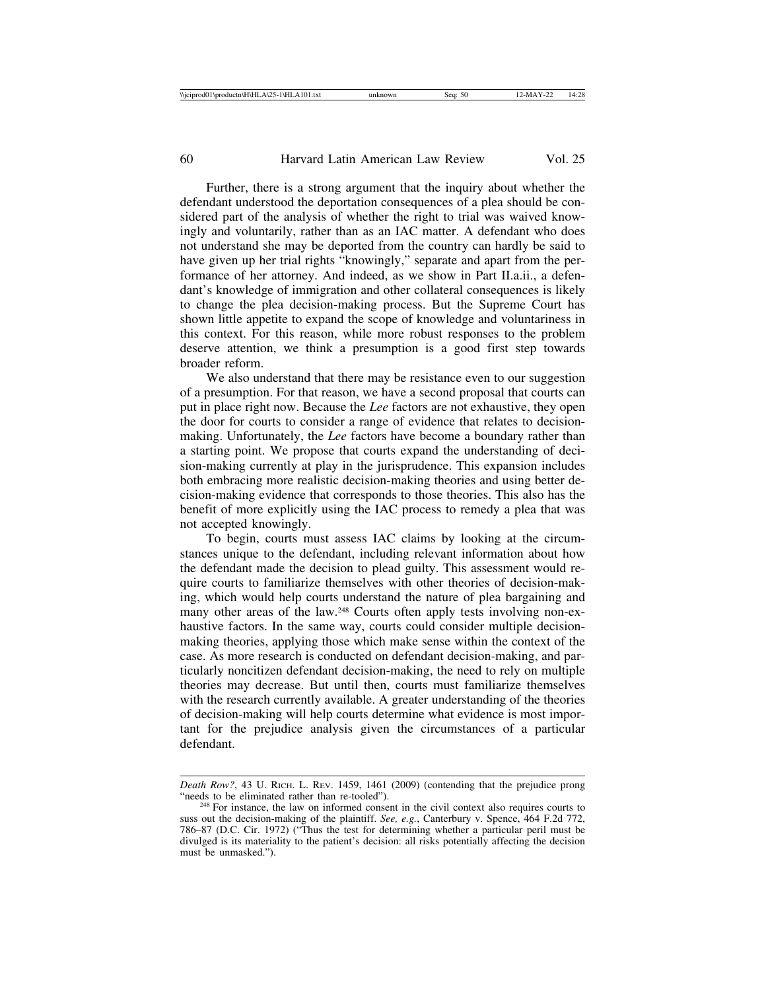Further, there is a strong argument that the inquiry about whether the defendant understood the deportation consequences of a plea should be considered part of the analysis of whether the right to trial was waived knowingly and voluntarily, rather than as an IAC matter. A defendant who does not understand she may be deported from the country can hardly be said to have given up her trial rights "knowingly," separate and apart from the performance of her attorney. And indeed, as we show in Part II.a.ii., a defendant's knowledge of immigration and other collateral consequences is likely to change the plea decision-making process. But the Supreme Court has shown little appetite to expand the scope of knowledge and voluntariness in this context. For this reason, while more robust responses to the problem deserve attention, we think a presumption is a good first step towards broader reform.

We also understand that there may be resistance even to our suggestion of a presumption. For that reason, we have a second proposal that courts can put in place right now. Because the *Lee* factors are not exhaustive, they open the door for courts to consider a range of evidence that relates to decisionmaking. Unfortunately, the *Lee* factors have become a boundary rather than a starting point. We propose that courts expand the understanding of decision-making currently at play in the jurisprudence. This expansion includes both embracing more realistic decision-making theories and using better decision-making evidence that corresponds to those theories. This also has the benefit of more explicitly using the IAC process to remedy a plea that was not accepted knowingly.

To begin, courts must assess IAC claims by looking at the circumstances unique to the defendant, including relevant information about how the defendant made the decision to plead guilty. This assessment would require courts to familiarize themselves with other theories of decision-making, which would help courts understand the nature of plea bargaining and many other areas of the law.<sup>248</sup> Courts often apply tests involving non-exhaustive factors. In the same way, courts could consider multiple decisionmaking theories, applying those which make sense within the context of the case. As more research is conducted on defendant decision-making, and particularly noncitizen defendant decision-making, the need to rely on multiple theories may decrease. But until then, courts must familiarize themselves with the research currently available. A greater understanding of the theories of decision-making will help courts determine what evidence is most important for the prejudice analysis given the circumstances of a particular defendant.

*Death Row?*, 43 U. RICH. L. REV. 1459, 1461 (2009) (contending that the prejudice prong "needs to be eliminated rather than re-tooled").

<sup>&</sup>lt;sup>248</sup> For instance, the law on informed consent in the civil context also requires courts to suss out the decision-making of the plaintiff. *See, e.g.*, Canterbury v. Spence, 464 F.2d 772, 786–87 (D.C. Cir. 1972) ("Thus the test for determining whether a particular peril must be divulged is its materiality to the patient's decision: all risks potentially affecting the decision must be unmasked.").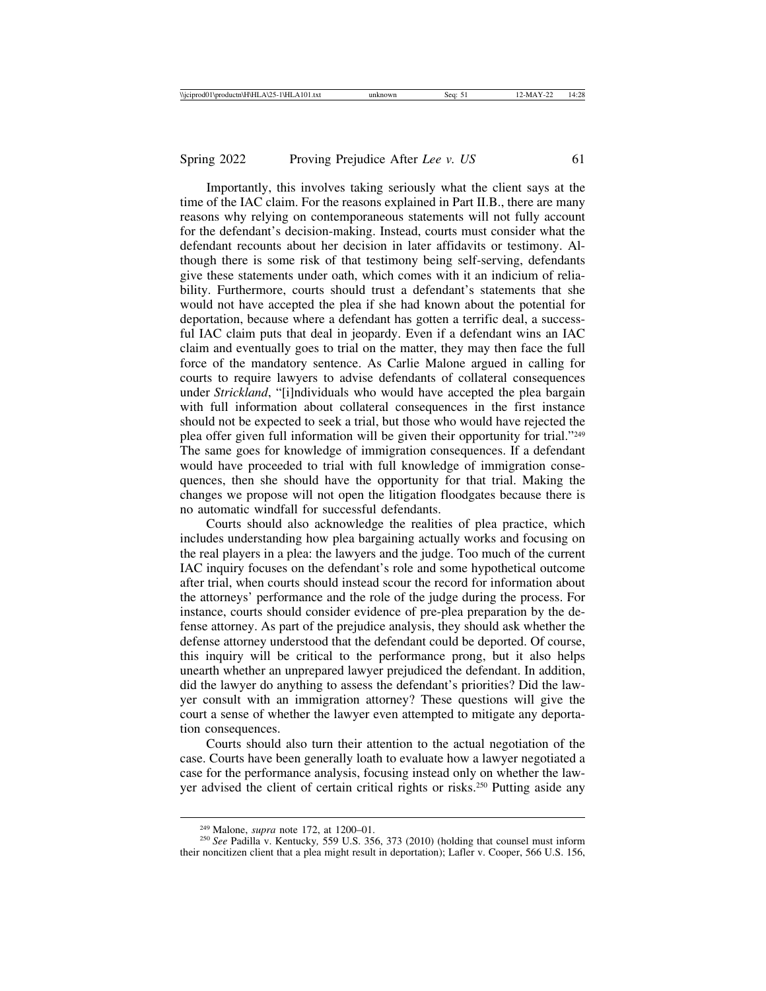Importantly, this involves taking seriously what the client says at the time of the IAC claim. For the reasons explained in Part II.B., there are many reasons why relying on contemporaneous statements will not fully account for the defendant's decision-making. Instead, courts must consider what the defendant recounts about her decision in later affidavits or testimony. Although there is some risk of that testimony being self-serving, defendants give these statements under oath, which comes with it an indicium of reliability. Furthermore, courts should trust a defendant's statements that she would not have accepted the plea if she had known about the potential for deportation, because where a defendant has gotten a terrific deal, a successful IAC claim puts that deal in jeopardy. Even if a defendant wins an IAC claim and eventually goes to trial on the matter, they may then face the full force of the mandatory sentence. As Carlie Malone argued in calling for courts to require lawyers to advise defendants of collateral consequences under *Strickland*, "[i]ndividuals who would have accepted the plea bargain with full information about collateral consequences in the first instance should not be expected to seek a trial, but those who would have rejected the plea offer given full information will be given their opportunity for trial."249 The same goes for knowledge of immigration consequences. If a defendant would have proceeded to trial with full knowledge of immigration consequences, then she should have the opportunity for that trial. Making the changes we propose will not open the litigation floodgates because there is no automatic windfall for successful defendants.

Courts should also acknowledge the realities of plea practice, which includes understanding how plea bargaining actually works and focusing on the real players in a plea: the lawyers and the judge. Too much of the current IAC inquiry focuses on the defendant's role and some hypothetical outcome after trial, when courts should instead scour the record for information about the attorneys' performance and the role of the judge during the process. For instance, courts should consider evidence of pre-plea preparation by the defense attorney. As part of the prejudice analysis, they should ask whether the defense attorney understood that the defendant could be deported. Of course, this inquiry will be critical to the performance prong, but it also helps unearth whether an unprepared lawyer prejudiced the defendant. In addition, did the lawyer do anything to assess the defendant's priorities? Did the lawyer consult with an immigration attorney? These questions will give the court a sense of whether the lawyer even attempted to mitigate any deportation consequences.

Courts should also turn their attention to the actual negotiation of the case. Courts have been generally loath to evaluate how a lawyer negotiated a case for the performance analysis, focusing instead only on whether the lawyer advised the client of certain critical rights or risks.250 Putting aside any

<sup>&</sup>lt;sup>249</sup> Malone, *supra* note 172, at 1200–01.<br><sup>250</sup> *See* Padilla v. Kentucky, 559 U.S. 356, 373 (2010) (holding that counsel must inform their noncitizen client that a plea might result in deportation); Lafler v. Cooper, 566 U.S. 156,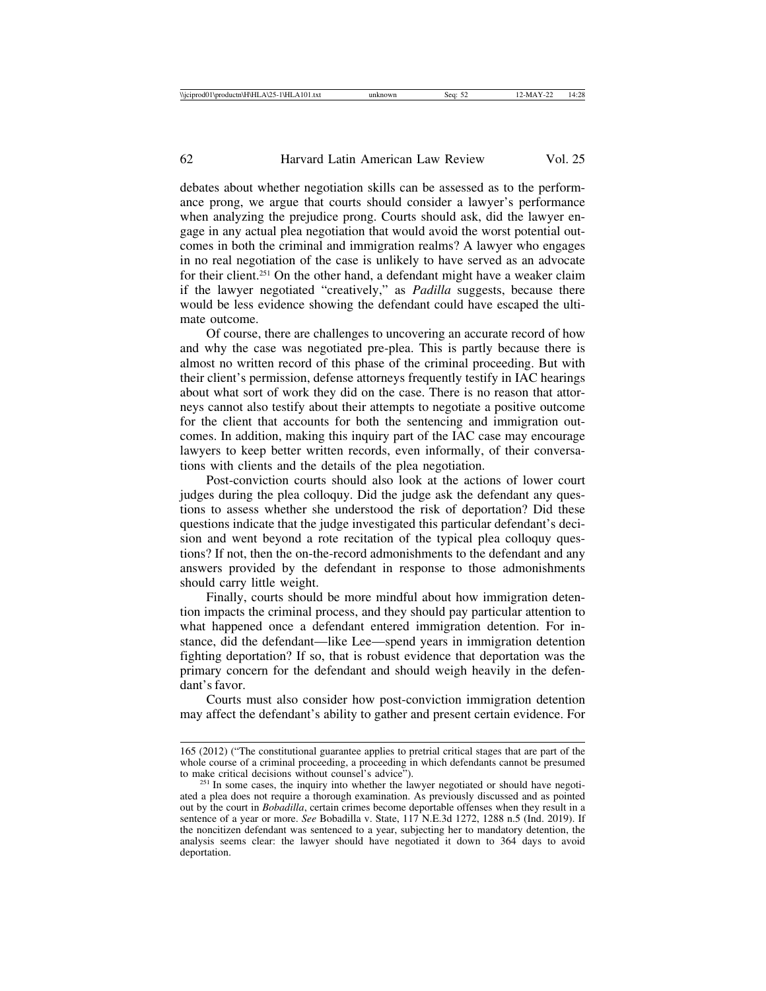debates about whether negotiation skills can be assessed as to the performance prong, we argue that courts should consider a lawyer's performance when analyzing the prejudice prong. Courts should ask, did the lawyer engage in any actual plea negotiation that would avoid the worst potential outcomes in both the criminal and immigration realms? A lawyer who engages in no real negotiation of the case is unlikely to have served as an advocate for their client.251 On the other hand, a defendant might have a weaker claim if the lawyer negotiated "creatively," as *Padilla* suggests, because there would be less evidence showing the defendant could have escaped the ultimate outcome.

Of course, there are challenges to uncovering an accurate record of how and why the case was negotiated pre-plea. This is partly because there is almost no written record of this phase of the criminal proceeding. But with their client's permission, defense attorneys frequently testify in IAC hearings about what sort of work they did on the case. There is no reason that attorneys cannot also testify about their attempts to negotiate a positive outcome for the client that accounts for both the sentencing and immigration outcomes. In addition, making this inquiry part of the IAC case may encourage lawyers to keep better written records, even informally, of their conversations with clients and the details of the plea negotiation.

Post-conviction courts should also look at the actions of lower court judges during the plea colloquy. Did the judge ask the defendant any questions to assess whether she understood the risk of deportation? Did these questions indicate that the judge investigated this particular defendant's decision and went beyond a rote recitation of the typical plea colloquy questions? If not, then the on-the-record admonishments to the defendant and any answers provided by the defendant in response to those admonishments should carry little weight.

Finally, courts should be more mindful about how immigration detention impacts the criminal process, and they should pay particular attention to what happened once a defendant entered immigration detention. For instance, did the defendant—like Lee—spend years in immigration detention fighting deportation? If so, that is robust evidence that deportation was the primary concern for the defendant and should weigh heavily in the defendant's favor.

Courts must also consider how post-conviction immigration detention may affect the defendant's ability to gather and present certain evidence. For

<sup>165 (2012) (&</sup>quot;The constitutional guarantee applies to pretrial critical stages that are part of the whole course of a criminal proceeding, a proceeding in which defendants cannot be presumed to make critical decisions without counsel's advice").

 $251$  In some cases, the inquiry into whether the lawyer negotiated or should have negotiated a plea does not require a thorough examination. As previously discussed and as pointed out by the court in *Bobadilla*, certain crimes become deportable offenses when they result in a sentence of a year or more. *See* Bobadilla v. State, 117 N.E.3d 1272, 1288 n.5 (Ind. 2019). If the noncitizen defendant was sentenced to a year, subjecting her to mandatory detention, the analysis seems clear: the lawyer should have negotiated it down to 364 days to avoid deportation.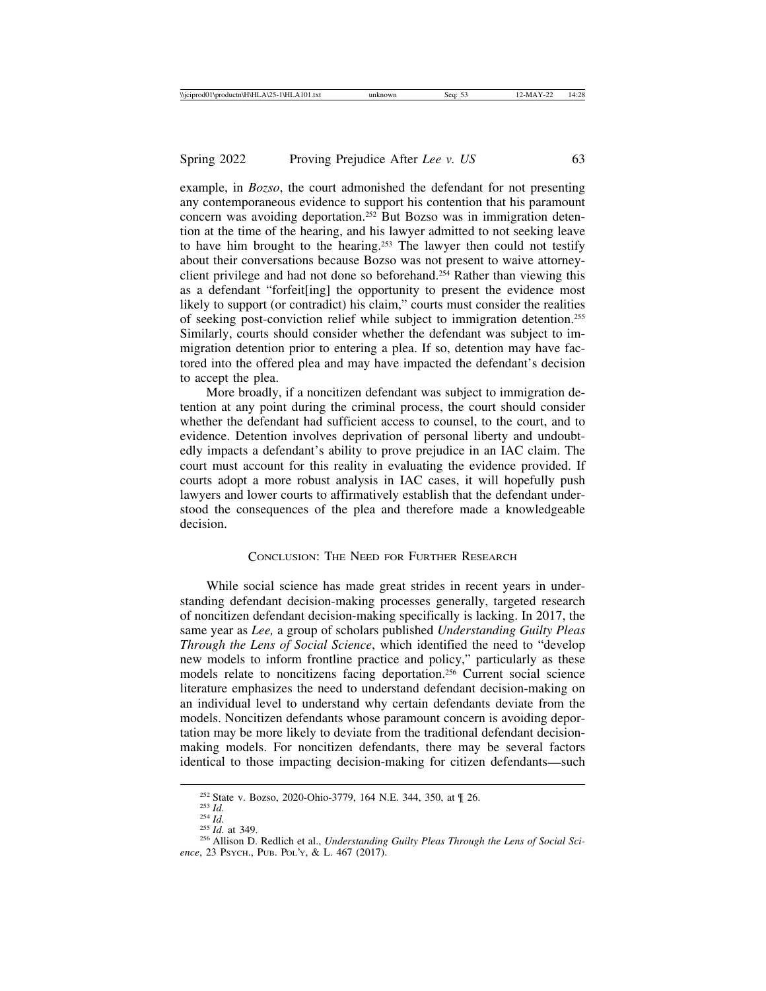example, in *Bozso*, the court admonished the defendant for not presenting any contemporaneous evidence to support his contention that his paramount concern was avoiding deportation.252 But Bozso was in immigration detention at the time of the hearing, and his lawyer admitted to not seeking leave to have him brought to the hearing.253 The lawyer then could not testify about their conversations because Bozso was not present to waive attorneyclient privilege and had not done so beforehand.254 Rather than viewing this as a defendant "forfeit[ing] the opportunity to present the evidence most likely to support (or contradict) his claim," courts must consider the realities of seeking post-conviction relief while subject to immigration detention.255 Similarly, courts should consider whether the defendant was subject to immigration detention prior to entering a plea. If so, detention may have factored into the offered plea and may have impacted the defendant's decision to accept the plea.

More broadly, if a noncitizen defendant was subject to immigration detention at any point during the criminal process, the court should consider whether the defendant had sufficient access to counsel, to the court, and to evidence. Detention involves deprivation of personal liberty and undoubtedly impacts a defendant's ability to prove prejudice in an IAC claim. The court must account for this reality in evaluating the evidence provided. If courts adopt a more robust analysis in IAC cases, it will hopefully push lawyers and lower courts to affirmatively establish that the defendant understood the consequences of the plea and therefore made a knowledgeable decision.

#### CONCLUSION: THE NEED FOR FURTHER RESEARCH

While social science has made great strides in recent years in understanding defendant decision-making processes generally, targeted research of noncitizen defendant decision-making specifically is lacking. In 2017, the same year as *Lee,* a group of scholars published *Understanding Guilty Pleas Through the Lens of Social Science*, which identified the need to "develop new models to inform frontline practice and policy," particularly as these models relate to noncitizens facing deportation.256 Current social science literature emphasizes the need to understand defendant decision-making on an individual level to understand why certain defendants deviate from the models. Noncitizen defendants whose paramount concern is avoiding deportation may be more likely to deviate from the traditional defendant decisionmaking models. For noncitizen defendants, there may be several factors identical to those impacting decision-making for citizen defendants—such

<sup>&</sup>lt;sup>252</sup> State v. Bozso, 2020-Ohio-3779, 164 N.E. 344, 350, at ¶ 26.<br><sup>253</sup> *Id.* 254 *Id.* 255 *Id.* at 349.<br><sup>256</sup> Allison D. Redlich et al., *Understanding Guilty Pleas Through the Lens of Social Sci-*

*ence*, 23 PSYCH., PUB. POL'Y, & L. 467 (2017).